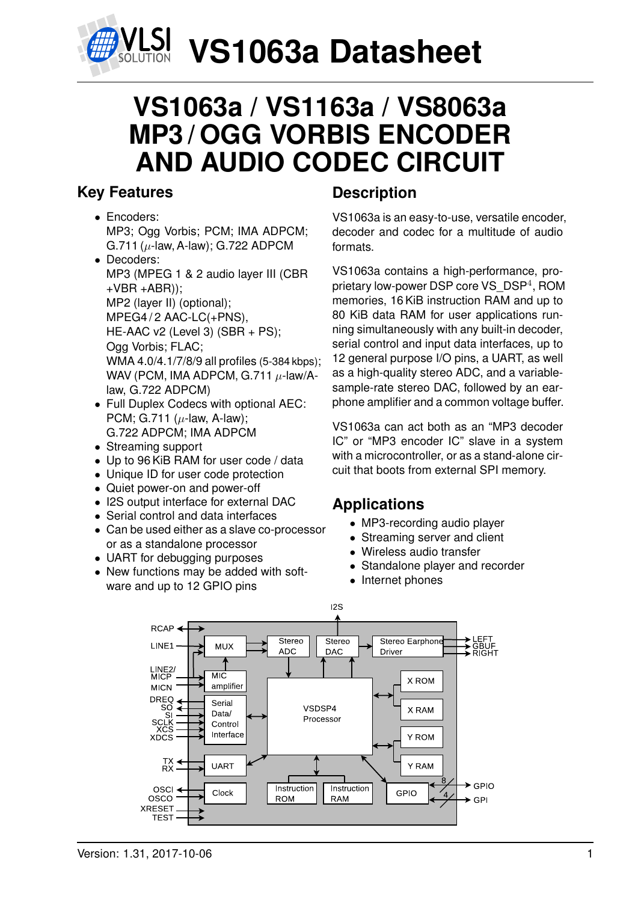

## **VS1063a / VS1163a / VS8063a MP3 / OGG VORBIS ENCODER AND AUDIO CODEC CIRCUIT**

## <span id="page-0-0"></span>**Key Features**

- Encoders: MP3; Ogg Vorbis; PCM; IMA ADPCM; G.711 ( $\mu$ -law, A-law); G.722 ADPCM
- Decoders: MP3 (MPEG 1 & 2 audio layer III (CBR  $+VBR + ABR$ )); MP2 (layer II) (optional); MPEG4/2 AAC-LC(+PNS), HE-AAC v2 (Level 3) (SBR + PS); Ogg Vorbis; FLAC; WMA 4.0/4.1/7/8/9 all profiles (5-384 kbps); WAV (PCM, IMA ADPCM, G.711  $\mu$ -law/Alaw, G.722 ADPCM)
- Full Duplex Codecs with optional AEC: PCM; G.711 ( $\mu$ -law, A-law); G.722 ADPCM; IMA ADPCM
- Streaming support
- Up to 96 KiB RAM for user code / data
- Unique ID for user code protection
- Quiet power-on and power-off
- I2S output interface for external DAC
- Serial control and data interfaces
- Can be used either as a slave co-processor or as a standalone processor
- UART for debugging purposes
- New functions may be added with software and up to 12 GPIO pins

## **Description**

VS1063a is an easy-to-use, versatile encoder, decoder and codec for a multitude of audio formats.

VS1063a contains a high-performance, proprietary low-power DSP core VS\_DSP<sup>4</sup>, ROM memories, 16 KiB instruction RAM and up to 80 KiB data RAM for user applications running simultaneously with any built-in decoder, serial control and input data interfaces, up to 12 general purpose I/O pins, a UART, as well as a high-quality stereo ADC, and a variablesample-rate stereo DAC, followed by an earphone amplifier and a common voltage buffer.

VS1063a can act both as an "MP3 decoder IC" or "MP3 encoder IC" slave in a system with a microcontroller, or as a stand-alone circuit that boots from external SPI memory.

## **Applications**

- MP3-recording audio player
- Streaming server and client
- Wireless audio transfer
- Standalone player and recorder
- Internet phones

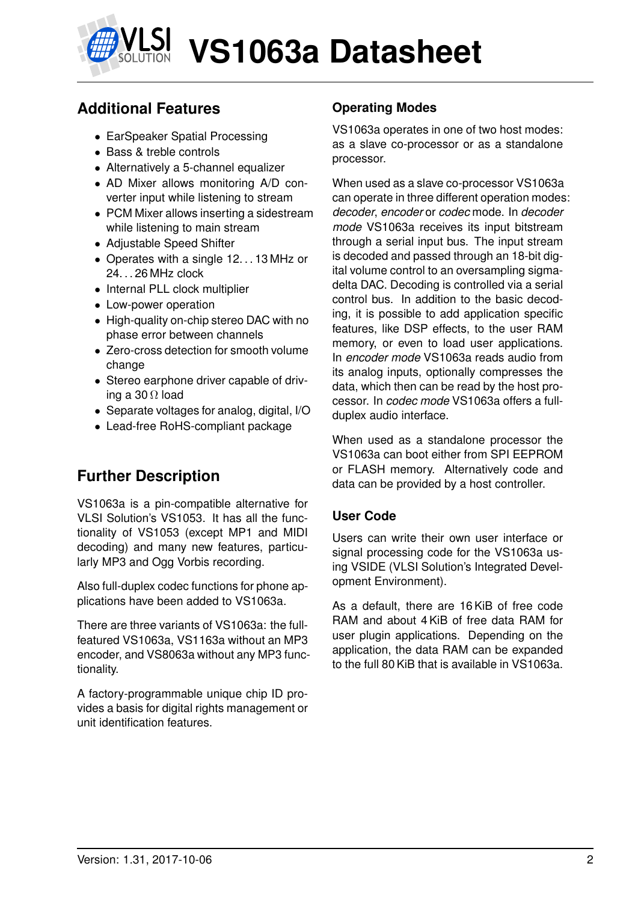

## **Additional Features**

- EarSpeaker Spatial Processing
- Bass & treble controls
- Alternatively a 5-channel equalizer
- AD Mixer allows monitoring A/D converter input while listening to stream
- PCM Mixer allows inserting a sidestream while listening to main stream
- Adjustable Speed Shifter
- Operates with a single 12...13 MHz or 24. . . 26 MHz clock
- Internal PLL clock multiplier
- Low-power operation
- High-quality on-chip stereo DAC with no phase error between channels
- Zero-cross detection for smooth volume change
- Stereo earphone driver capable of driving a 30  $\Omega$  load
- Separate voltages for analog, digital, I/O
- Lead-free RoHS-compliant package

## **Further Description**

VS1063a is a pin-compatible alternative for VLSI Solution's VS1053. It has all the functionality of VS1053 (except MP1 and MIDI decoding) and many new features, particularly MP3 and Ogg Vorbis recording.

Also full-duplex codec functions for phone applications have been added to VS1063a.

There are three variants of VS1063a: the fullfeatured VS1063a, VS1163a without an MP3 encoder, and VS8063a without any MP3 functionality.

A factory-programmable unique chip ID provides a basis for digital rights management or unit identification features.

### **Operating Modes**

VS1063a operates in one of two host modes: as a slave co-processor or as a standalone processor.

When used as a slave co-processor VS1063a can operate in three different operation modes: *decoder*, *encoder* or *codec* mode. In *decoder mode* VS1063a receives its input bitstream through a serial input bus. The input stream is decoded and passed through an 18-bit digital volume control to an oversampling sigmadelta DAC. Decoding is controlled via a serial control bus. In addition to the basic decoding, it is possible to add application specific features, like DSP effects, to the user RAM memory, or even to load user applications. In *encoder mode* VS1063a reads audio from its analog inputs, optionally compresses the data, which then can be read by the host processor. In *codec mode* VS1063a offers a fullduplex audio interface.

When used as a standalone processor the VS1063a can boot either from SPI EEPROM or FLASH memory. Alternatively code and data can be provided by a host controller.

#### **User Code**

Users can write their own user interface or signal processing code for the VS1063a using VSIDE (VLSI Solution's Integrated Development Environment).

As a default, there are 16 KiB of free code RAM and about 4 KiB of free data RAM for user plugin applications. Depending on the application, the data RAM can be expanded to the full 80 KiB that is available in VS1063a.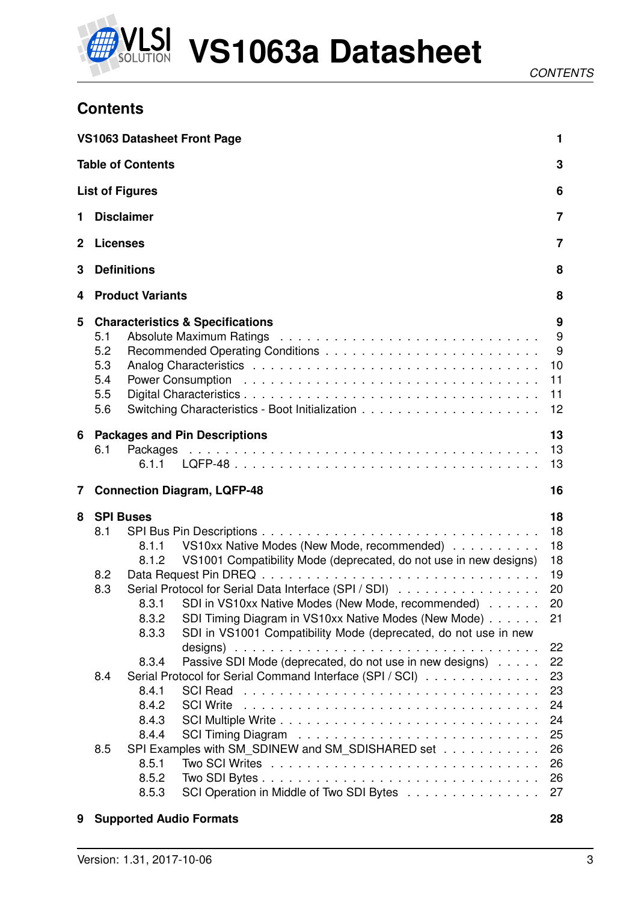

## <span id="page-2-0"></span>**Contents**

|                         |                                        |                                                                      | <b>VS1063 Datasheet Front Page</b>                                                                                                                                                                                                                                                                                                                         | 1                                                              |
|-------------------------|----------------------------------------|----------------------------------------------------------------------|------------------------------------------------------------------------------------------------------------------------------------------------------------------------------------------------------------------------------------------------------------------------------------------------------------------------------------------------------------|----------------------------------------------------------------|
|                         |                                        | <b>Table of Contents</b>                                             |                                                                                                                                                                                                                                                                                                                                                            | 3                                                              |
|                         |                                        | <b>List of Figures</b>                                               |                                                                                                                                                                                                                                                                                                                                                            | 6                                                              |
| 1                       | <b>Disclaimer</b>                      |                                                                      |                                                                                                                                                                                                                                                                                                                                                            | $\overline{7}$                                                 |
| $\mathbf 2$             | <b>Licenses</b>                        |                                                                      |                                                                                                                                                                                                                                                                                                                                                            | $\overline{7}$                                                 |
| 3                       |                                        | <b>Definitions</b>                                                   |                                                                                                                                                                                                                                                                                                                                                            | 8                                                              |
| 4                       |                                        | <b>Product Variants</b>                                              |                                                                                                                                                                                                                                                                                                                                                            | 8                                                              |
| 5                       | 5.1<br>5.2<br>5.3<br>5.4<br>5.5<br>5.6 |                                                                      | <b>Characteristics &amp; Specifications</b><br>Power Consumption education of the contract of the contract of the contract of the contract of the contract of                                                                                                                                                                                              | 9<br>9<br>9<br>10<br>11<br>11<br>12                            |
| 6                       | 6.1                                    | 6.1.1                                                                | <b>Packages and Pin Descriptions</b>                                                                                                                                                                                                                                                                                                                       | 13<br>13<br>13                                                 |
| $\overline{\mathbf{7}}$ |                                        |                                                                      | <b>Connection Diagram, LQFP-48</b>                                                                                                                                                                                                                                                                                                                         | 16                                                             |
| 8                       | <b>SPI Buses</b><br>8.1<br>8.2<br>8.3  | 8.1.1<br>8.1.2<br>8.3.1<br>8.3.2<br>8.3.3                            | VS10xx Native Modes (New Mode, recommended)<br>VS1001 Compatibility Mode (deprecated, do not use in new designs)<br>Serial Protocol for Serial Data Interface (SPI / SDI)<br>SDI in VS10xx Native Modes (New Mode, recommended)<br>SDI Timing Diagram in VS10xx Native Modes (New Mode)<br>SDI in VS1001 Compatibility Mode (deprecated, do not use in new | 18<br>18<br>18<br>18<br>19<br>20<br>20<br>21                   |
|                         | 8.4<br>8.5                             | 8.3.4<br>8.4.1<br>8.4.2<br>8.4.3<br>8.4.4<br>8.5.1<br>8.5.2<br>8.5.3 | Passive SDI Mode (deprecated, do not use in new designs)<br>Serial Protocol for Serial Command Interface (SPI / SCI)<br><b>SCI Read</b><br><b>SCI Write</b><br>SPI Examples with SM_SDINEW and SM_SDISHARED set<br>SCI Operation in Middle of Two SDI Bytes                                                                                                | 22<br>22<br>23<br>23<br>24<br>24<br>25<br>26<br>26<br>26<br>27 |

#### **[9 Supported Audio Formats](#page-27-0) 28**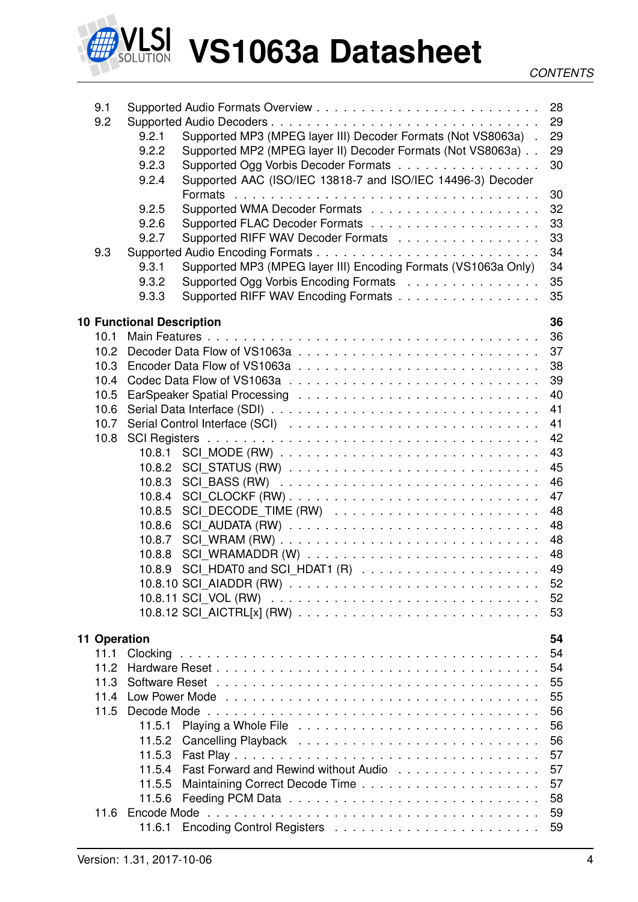

| 9.1          |                                                                                                                                   |    |
|--------------|-----------------------------------------------------------------------------------------------------------------------------------|----|
| 9.2          |                                                                                                                                   | 29 |
|              | Supported MP3 (MPEG layer III) Decoder Formats (Not VS8063a).<br>9.2.1                                                            | 29 |
|              | 9.2.2<br>Supported MP2 (MPEG layer II) Decoder Formats (Not VS8063a)                                                              | 29 |
|              | Supported Ogg Vorbis Decoder Formats<br>9.2.3                                                                                     | 30 |
|              | Supported AAC (ISO/IEC 13818-7 and ISO/IEC 14496-3) Decoder<br>9.2.4                                                              |    |
|              |                                                                                                                                   | 30 |
|              | 9.2.5                                                                                                                             | 32 |
|              | 9.2.6                                                                                                                             | 33 |
|              | Supported RIFF WAV Decoder Formats<br>9.2.7                                                                                       | 33 |
| 9.3          |                                                                                                                                   | 34 |
|              | Supported MP3 (MPEG layer III) Encoding Formats (VS1063a Only)<br>9.3.1                                                           | 34 |
|              | 9.3.2<br>Supported Ogg Vorbis Encoding Formats 35                                                                                 |    |
|              | Supported RIFF WAV Encoding Formats<br>9.3.3                                                                                      | 35 |
|              |                                                                                                                                   |    |
|              | <b>10 Functional Description</b>                                                                                                  | 36 |
| 10.1         |                                                                                                                                   | 36 |
| 10.2         |                                                                                                                                   | 37 |
| 10.3         |                                                                                                                                   | 38 |
| 10.4         |                                                                                                                                   | 39 |
| 10.5         |                                                                                                                                   | 40 |
| 10.6         |                                                                                                                                   | 41 |
| 10.7         |                                                                                                                                   | 41 |
| 10.8         |                                                                                                                                   | 42 |
|              | 10.8.1                                                                                                                            | 43 |
|              | 10.8.2                                                                                                                            | 45 |
|              |                                                                                                                                   | 46 |
|              | 10.8.3                                                                                                                            |    |
|              | 10.8.4                                                                                                                            | 47 |
|              | 10.8.5                                                                                                                            | 48 |
|              | 10.8.6<br>$SCI$ _AUDATA $(RW)$ $\ldots$ $\ldots$ $\ldots$ $\ldots$ $\ldots$ $\ldots$ $\ldots$ $\ldots$ $\ldots$ $\ldots$ $\ldots$ | 48 |
|              | 10.8.7                                                                                                                            | 48 |
|              | 10.8.8                                                                                                                            |    |
|              | 10.8.9                                                                                                                            |    |
|              |                                                                                                                                   |    |
|              |                                                                                                                                   | 52 |
|              |                                                                                                                                   | 53 |
| 11 Operation |                                                                                                                                   | 54 |
| 11.1         |                                                                                                                                   | 54 |
| 11.2         |                                                                                                                                   | 54 |
| 11.3         |                                                                                                                                   | 55 |
| 11.4         |                                                                                                                                   | 55 |
| 11.5         |                                                                                                                                   |    |
|              |                                                                                                                                   | 56 |
|              | 11.5.1                                                                                                                            | 56 |
|              | 11.5.2                                                                                                                            | 56 |
|              | 11.5.3                                                                                                                            | 57 |
|              | 11.5.4<br>Fast Forward and Rewind without Audio                                                                                   | 57 |
|              | 11.5.5                                                                                                                            | 57 |
|              | 11.5.6                                                                                                                            | 58 |
| 11.6         |                                                                                                                                   | 59 |
|              | 11.6.1                                                                                                                            |    |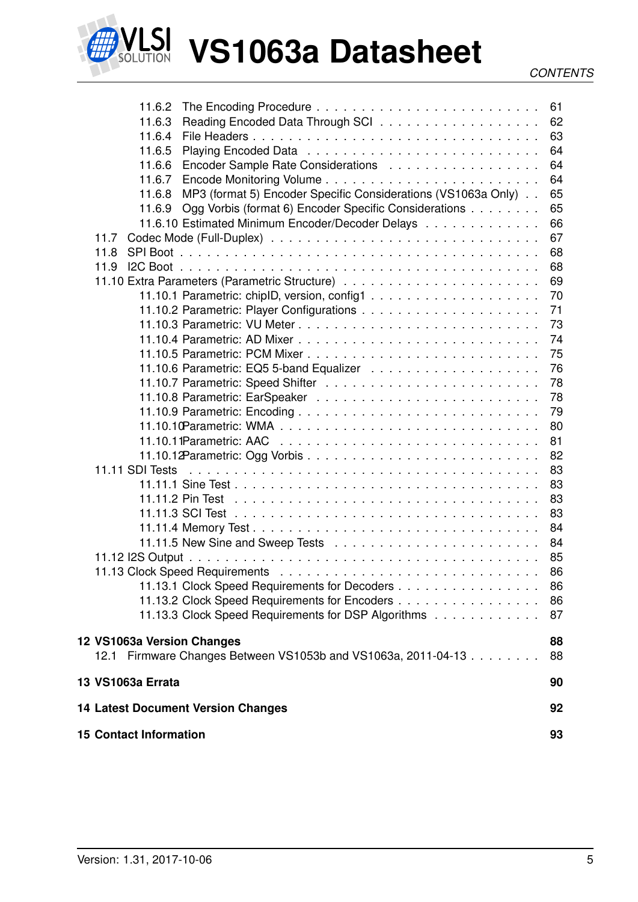

| 11.6.2<br>11.6.3                                                                               | 61<br>62 |
|------------------------------------------------------------------------------------------------|----------|
| 11.6.4<br>File Headers                                                                         | 63       |
| 11.6.5                                                                                         | 64       |
| Encoder Sample Rate Considerations<br>11.6.6                                                   | 64       |
| 11.6.7                                                                                         | 64       |
| MP3 (format 5) Encoder Specific Considerations (VS1063a Only)<br>11.6.8                        | 65       |
| Ogg Vorbis (format 6) Encoder Specific Considerations<br>11.6.9                                | 65<br>66 |
| 11.6.10 Estimated Minimum Encoder/Decoder Delays<br>11.7                                       | 67       |
| 11.8                                                                                           | 68       |
| 11.9                                                                                           | 68       |
|                                                                                                | 69       |
|                                                                                                | 70       |
|                                                                                                | 71       |
|                                                                                                | 73       |
|                                                                                                | 74       |
|                                                                                                | 75       |
|                                                                                                | 76       |
|                                                                                                | 78       |
|                                                                                                | 78       |
|                                                                                                | 79       |
|                                                                                                | 80       |
|                                                                                                | 81       |
|                                                                                                | 82       |
| 11.11 SDI Tests                                                                                | 83       |
|                                                                                                | 83       |
|                                                                                                | 83       |
|                                                                                                | 83       |
|                                                                                                | 84       |
|                                                                                                | 84       |
|                                                                                                | 85       |
|                                                                                                | 86       |
| 11.13.1 Clock Speed Requirements for Decoders                                                  | 86       |
| 11.13.2 Clock Speed Requirements for Encoders                                                  | 86       |
| 11.13.3 Clock Speed Requirements for DSP Algorithms                                            | 87       |
|                                                                                                |          |
| 12 VS1063a Version Changes<br>Firmware Changes Between VS1053b and VS1063a, 2011-04-13<br>12.1 | 88<br>88 |
| 13 VS1063a Errata                                                                              |          |
|                                                                                                | 90       |
| <b>14 Latest Document Version Changes</b>                                                      | 92       |
| <b>15 Contact Information</b>                                                                  | 93       |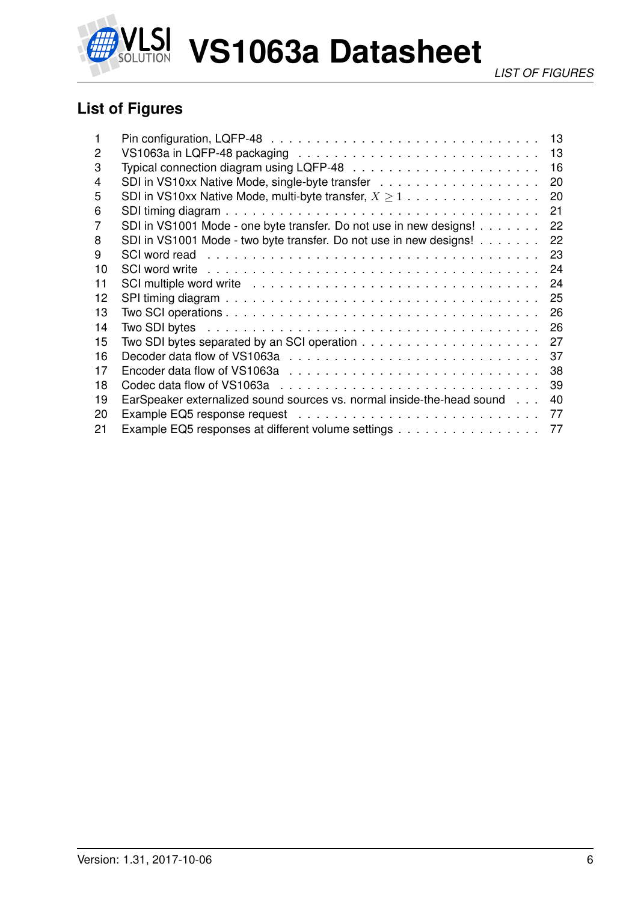

## <span id="page-5-0"></span>**List of Figures**

|    |                                                                                                | 13 |
|----|------------------------------------------------------------------------------------------------|----|
| 2  |                                                                                                | 13 |
| 3  |                                                                                                | 16 |
| 4  |                                                                                                | 20 |
| 5  | SDI in VS10xx Native Mode, multi-byte transfer, $X \geq 1$                                     | 20 |
| 6  |                                                                                                | 21 |
| 7  | SDI in VS1001 Mode - one byte transfer. Do not use in new designs!                             | 22 |
| 8  | SDI in VS1001 Mode - two byte transfer. Do not use in new designs!                             | 22 |
| 9  |                                                                                                | 23 |
| 10 |                                                                                                | 24 |
| 11 |                                                                                                | 24 |
| 12 |                                                                                                | 25 |
| 13 |                                                                                                | 26 |
| 14 |                                                                                                | 26 |
| 15 | Two SDI bytes separated by an SCI operation $\ldots \ldots \ldots \ldots \ldots \ldots \ldots$ | 27 |
| 16 |                                                                                                | 37 |
| 17 |                                                                                                | 38 |
| 18 |                                                                                                | 39 |
| 19 | EarSpeaker externalized sound sources vs. normal inside-the-head sound                         | 40 |
| 20 |                                                                                                | 77 |
| 21 | Example EQ5 responses at different volume settings                                             | 77 |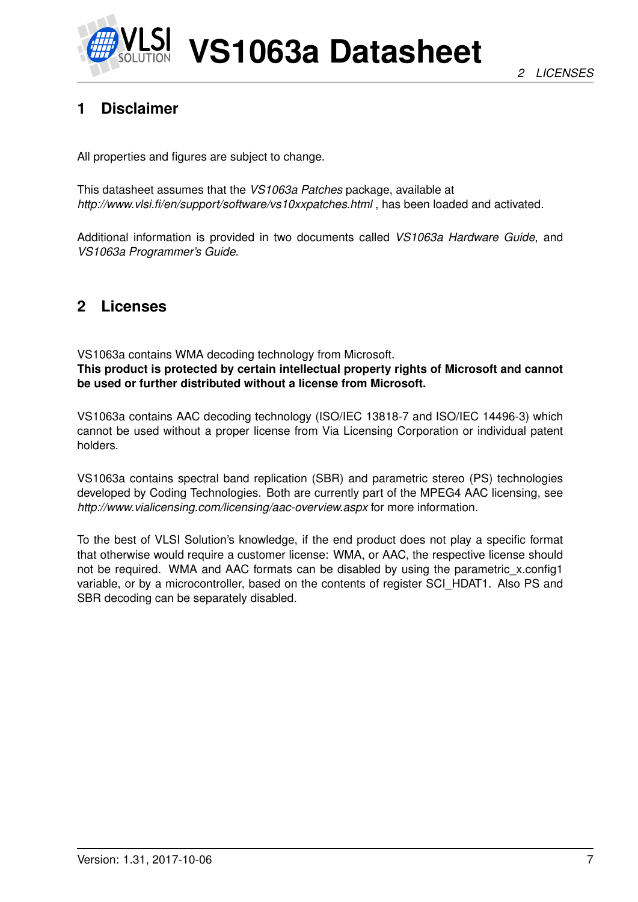

## <span id="page-6-0"></span>**1 Disclaimer**

All properties and figures are subject to change.

This datasheet assumes that the *VS1063a Patches* package, available at *http://www.vlsi.fi/en/support/software/vs10xxpatches.html* , has been loaded and activated.

Additional information is provided in two documents called *VS1063a Hardware Guide*, and *VS1063a Programmer's Guide*.

## <span id="page-6-1"></span>**2 Licenses**

VS1063a contains WMA decoding technology from Microsoft.

**This product is protected by certain intellectual property rights of Microsoft and cannot be used or further distributed without a license from Microsoft.**

VS1063a contains AAC decoding technology (ISO/IEC 13818-7 and ISO/IEC 14496-3) which cannot be used without a proper license from Via Licensing Corporation or individual patent holders.

VS1063a contains spectral band replication (SBR) and parametric stereo (PS) technologies developed by Coding Technologies. Both are currently part of the MPEG4 AAC licensing, see *http://www.vialicensing.com/licensing/aac-overview.aspx* for more information.

To the best of VLSI Solution's knowledge, if the end product does not play a specific format that otherwise would require a customer license: WMA, or AAC, the respective license should not be required. WMA and AAC formats can be disabled by using the parametric x.config1 variable, or by a microcontroller, based on the contents of register SCI\_HDAT1. Also PS and SBR decoding can be separately disabled.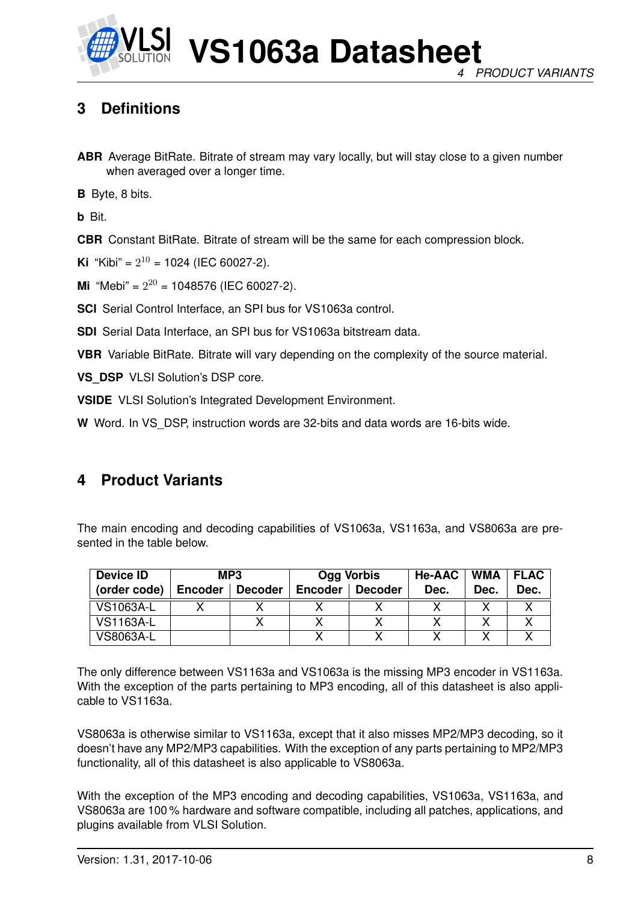

## <span id="page-7-0"></span>**3 Definitions**

**ABR** Average BitRate. Bitrate of stream may vary locally, but will stay close to a given number when averaged over a longer time.

**B** Byte, 8 bits.

**b** Bit.

**CBR** Constant BitRate. Bitrate of stream will be the same for each compression block.

**Ki** "Kibi" =  $2^{10}$  = 1024 (IEC 60027-2).

**Mi** "Mebi" =  $2^{20}$  = 1048576 (IEC 60027-2).

**SCI** Serial Control Interface, an SPI bus for VS1063a control.

**SDI** Serial Data Interface, an SPI bus for VS1063a bitstream data.

**VBR** Variable BitRate. Bitrate will vary depending on the complexity of the source material.

**VS\_DSP\_VLSI Solution's DSP core.** 

**VSIDE** VLSI Solution's Integrated Development Environment.

**W** Word. In VS\_DSP, instruction words are 32-bits and data words are 16-bits wide.

### <span id="page-7-1"></span>**4 Product Variants**

The main encoding and decoding capabilities of VS1063a, VS1163a, and VS8063a are presented in the table below.

| <b>Device ID</b> |                | MP3     |                | Ogg Vorbis | <b>He-AAC</b> | WMA  | <b>FLAC</b> |
|------------------|----------------|---------|----------------|------------|---------------|------|-------------|
| (order code)     | <b>Encoder</b> | Decoder | <b>Encoder</b> | Decoder    | Dec.          | Dec. | Dec.        |
| <b>VS1063A-L</b> |                |         |                |            |               |      |             |
| <b>VS1163A-L</b> |                |         |                |            |               |      |             |
| VS8063A-L        |                |         |                |            |               |      |             |

The only difference between VS1163a and VS1063a is the missing MP3 encoder in VS1163a. With the exception of the parts pertaining to MP3 encoding, all of this datasheet is also applicable to VS1163a.

VS8063a is otherwise similar to VS1163a, except that it also misses MP2/MP3 decoding, so it doesn't have any MP2/MP3 capabilities. With the exception of any parts pertaining to MP2/MP3 functionality, all of this datasheet is also applicable to VS8063a.

With the exception of the MP3 encoding and decoding capabilities, VS1063a, VS1163a, and VS8063a are 100 % hardware and software compatible, including all patches, applications, and plugins available from VLSI Solution.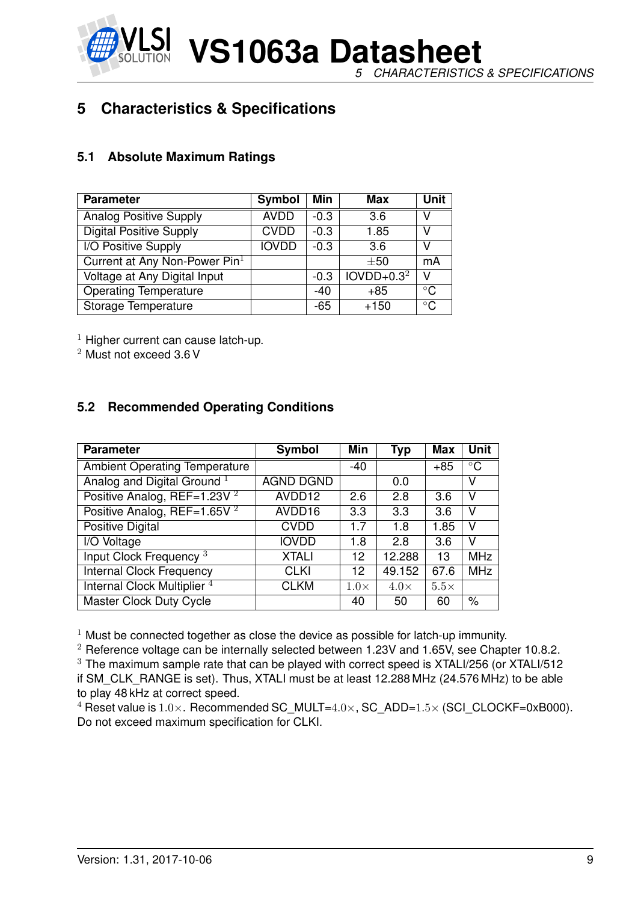*5 CHARACTERISTICS & SPECIFICATIONS*

## <span id="page-8-0"></span>**5 Characteristics & Specifications**

#### <span id="page-8-1"></span>**5.1 Absolute Maximum Ratings**

| <b>Parameter</b>                | Symbol       | <b>Min</b> | Max          | <b>Unit</b>  |
|---------------------------------|--------------|------------|--------------|--------------|
| <b>Analog Positive Supply</b>   | <b>AVDD</b>  | $-0.3$     | 3.6          | V            |
| <b>Digital Positive Supply</b>  | <b>CVDD</b>  | $-0.3$     | 1.85         | v            |
| I/O Positive Supply             | <b>IOVDD</b> | $-0.3$     | 3.6          | V            |
| Current at Any Non-Power $Pin1$ |              |            | $\pm 50$     | mA           |
| Voltage at Any Digital Input    |              | $-0.3$     | $IOVDD+0.32$ | v            |
| <b>Operating Temperature</b>    |              | $-40$      | $+85$        | $^{\circ}$ C |
| Storage Temperature             |              | -65        | $+150$       | $^{\circ}$ C |

 $1$  Higher current can cause latch-up.

<sup>2</sup> Must not exceed 3.6 V

#### <span id="page-8-2"></span>**5.2 Recommended Operating Conditions**

| <b>Parameter</b>                        | Symbol           | Min         | <b>Typ</b>  | <b>Max</b>  | <b>Unit</b> |
|-----------------------------------------|------------------|-------------|-------------|-------------|-------------|
| <b>Ambient Operating Temperature</b>    |                  | $-40$       |             | $+85$       | $\circ$ C   |
| Analog and Digital Ground <sup>1</sup>  | <b>AGND DGND</b> |             | 0.0         |             | v           |
| Positive Analog, REF=1.23V <sup>2</sup> | AVDD12           | 2.6         | 2.8         | 3.6         | v           |
| Positive Analog, REF=1.65V $^2$         | AVDD16           | 3.3         | 3.3         | 3.6         | v           |
| Positive Digital                        | <b>CVDD</b>      | 1.7         | 1.8         | 1.85        | v           |
| I/O Voltage                             | <b>IOVDD</b>     | 1.8         | 2.8         | 3.6         | v           |
| Input Clock Frequency <sup>3</sup>      | <b>XTALI</b>     | 12          | 12.288      | 13          | <b>MHz</b>  |
| <b>Internal Clock Frequency</b>         | CLKI             | 12          | 49.152      | 67.6        | <b>MHz</b>  |
| Internal Clock Multiplier <sup>4</sup>  | <b>CLKM</b>      | $1.0\times$ | $4.0\times$ | $5.5\times$ |             |
| Master Clock Duty Cycle                 |                  | 40          | 50          | 60          | $\%$        |

 $1$  Must be connected together as close the device as possible for latch-up immunity.

 $2$  Reference voltage can be internally selected between 1.23V and 1.65V, see Chapter [10.8.2.](#page-44-0) <sup>3</sup> The maximum sample rate that can be played with correct speed is XTALI/256 (or XTALI/512 if SM\_CLK\_RANGE is set). Thus, XTALI must be at least 12.288 MHz (24.576 MHz) to be able to play 48 kHz at correct speed.

<sup>4</sup> Reset value is  $1.0\times$ . Recommended SC\_MULT= $4.0\times$ , SC\_ADD= $1.5\times$  (SCI\_CLOCKF=0xB000). Do not exceed maximum specification for CLKI.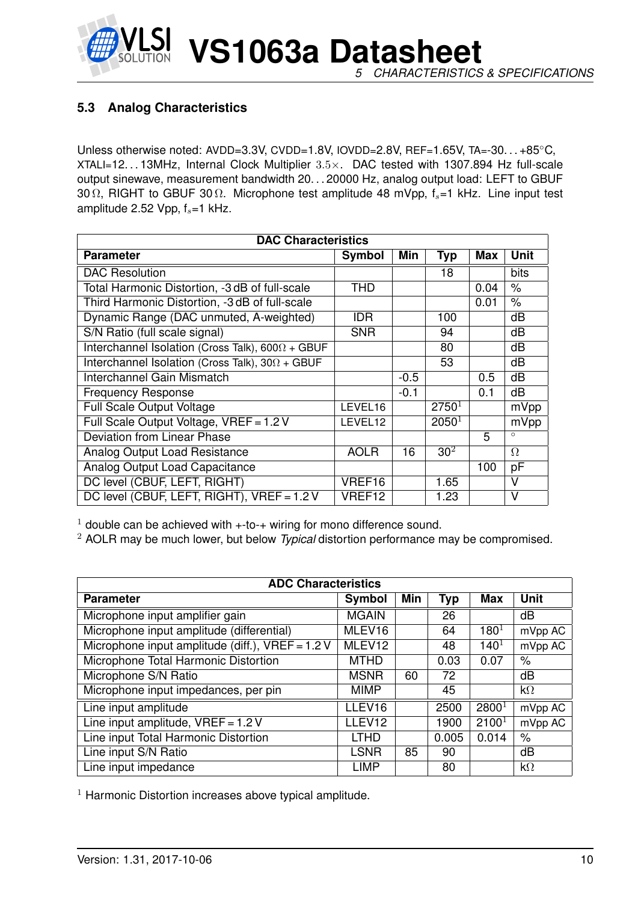

#### <span id="page-9-0"></span>**5.3 Analog Characteristics**

Unless otherwise noted: AVDD=3.3V, CVDD=1.8V, IOVDD=2.8V, REF=1.65V, TA=-30. . . +85°C, XTALI=12. . . 13MHz, Internal Clock Multiplier 3.5×. DAC tested with 1307.894 Hz full-scale output sinewave, measurement bandwidth 20. . . 20000 Hz, analog output load: LEFT to GBUF 30  $\Omega$ , RIGHT to GBUF 30  $\Omega$ . Microphone test amplitude 48 mVpp,  $f_s=1$  kHz. Line input test amplitude 2.52 Vpp,  $f_s = 1$  kHz.

| <b>DAC Characteristics</b>                              |             |        |                 |            |                         |  |  |  |
|---------------------------------------------------------|-------------|--------|-----------------|------------|-------------------------|--|--|--|
| <b>Parameter</b>                                        | Symbol      | Min    | <b>Typ</b>      | <b>Max</b> | <b>Unit</b>             |  |  |  |
| <b>DAC Resolution</b>                                   |             |        | 18              |            | bits                    |  |  |  |
| Total Harmonic Distortion, -3 dB of full-scale          | THD         |        |                 | 0.04       | $\%$                    |  |  |  |
| Third Harmonic Distortion, -3 dB of full-scale          |             |        |                 | 0.01       | $\%$                    |  |  |  |
| Dynamic Range (DAC unmuted, A-weighted)                 | <b>IDR</b>  |        | 100             |            | dB                      |  |  |  |
| S/N Ratio (full scale signal)                           | <b>SNR</b>  |        | 94              |            | dB                      |  |  |  |
| Interchannel Isolation (Cross Talk), $600\Omega + GBUF$ |             |        | 80              |            | dB                      |  |  |  |
| Interchannel Isolation (Cross Talk), $30\Omega + GBUF$  |             |        | 53              |            | dB                      |  |  |  |
| Interchannel Gain Mismatch                              |             | $-0.5$ |                 | 0.5        | dB                      |  |  |  |
| <b>Frequency Response</b>                               |             | $-0.1$ |                 | 0.1        | dB                      |  |  |  |
| <b>Full Scale Output Voltage</b>                        | LEVEL16     |        | $2750^1$        |            | mVpp                    |  |  |  |
| Full Scale Output Voltage, VREF = 1.2 V                 | LEVEL12     |        | $2050^1$        |            | mVpp                    |  |  |  |
| Deviation from Linear Phase                             |             |        |                 | 5          | $\circ$                 |  |  |  |
| <b>Analog Output Load Resistance</b>                    | <b>AOLR</b> | 16     | 30 <sup>2</sup> |            | $\Omega$                |  |  |  |
| Analog Output Load Capacitance                          |             |        |                 | 100        | pF                      |  |  |  |
| DC level (CBUF, LEFT, RIGHT)                            | VREF16      |        | 1.65            |            | V                       |  |  |  |
| DC level (CBUF, LEFT, RIGHT), VREF = 1.2 V              | VREF12      |        | 1.23            |            | $\overline{\mathsf{V}}$ |  |  |  |

 $1$  double can be achieved with  $+$ -to- $+$  wiring for mono difference sound.

<sup>2</sup> AOLR may be much lower, but below *Typical* distortion performance may be compromised.

| <b>ADC Characteristics</b>                         |              |     |            |                   |                    |  |  |  |
|----------------------------------------------------|--------------|-----|------------|-------------------|--------------------|--|--|--|
| <b>Parameter</b>                                   | Symbol       | Min | <b>Typ</b> | <b>Max</b>        | <b>Unit</b>        |  |  |  |
| Microphone input amplifier gain                    | <b>MGAIN</b> |     | 26         |                   | dB                 |  |  |  |
| Microphone input amplitude (differential)          | MLEV16       |     | 64         | $180^{1}$         | mVpp AC            |  |  |  |
| Microphone input amplitude (diff.), $VREF = 1.2 V$ | MLEV12       |     | 48         | $140^{1}$         | mVpp AC            |  |  |  |
| Microphone Total Harmonic Distortion               | <b>MTHD</b>  |     | 0.03       | 0.07              | $\%$               |  |  |  |
| Microphone S/N Ratio                               | <b>MSNR</b>  | 60  | 72         |                   | dB                 |  |  |  |
| Microphone input impedances, per pin               | <b>MIMP</b>  |     | 45         |                   | $k\Omega$          |  |  |  |
| Line input amplitude                               | LLEV16       |     | 2500       | 2800 <sup>1</sup> | mVpp AC            |  |  |  |
| Line input amplitude, $VREF = 1.2 V$               | LLEV12       |     | 1900       | 2100 <sup>1</sup> | mVpp AC            |  |  |  |
| Line input Total Harmonic Distortion               | <b>LTHD</b>  |     | 0.005      | 0.014             | $\%$               |  |  |  |
| Line input S/N Ratio                               | <b>LSNR</b>  | 85  | 90         |                   | dB                 |  |  |  |
| Line input impedance                               | <b>LIMP</b>  |     | 80         |                   | $\mathsf{k}\Omega$ |  |  |  |

 $1$  Harmonic Distortion increases above typical amplitude.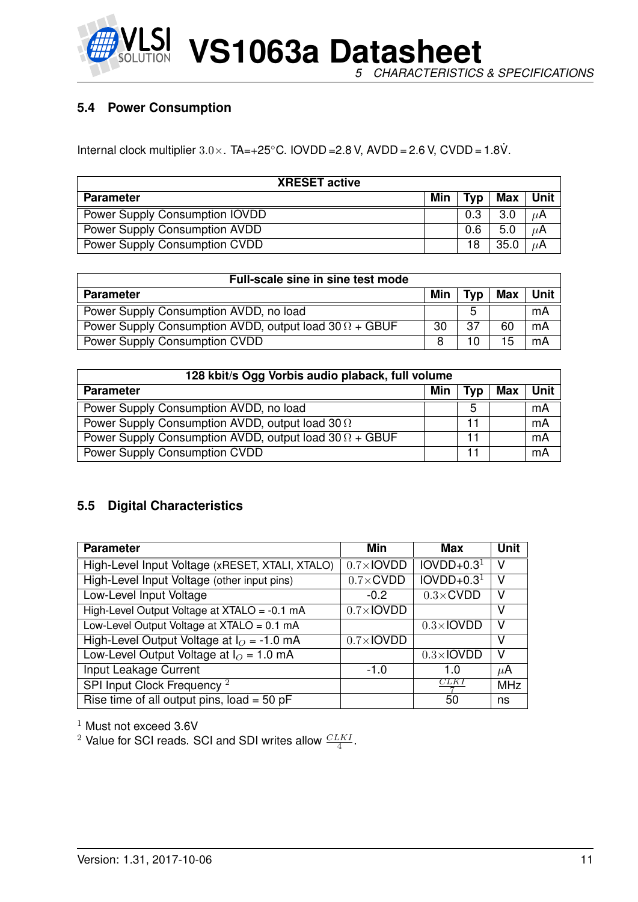

#### <span id="page-10-0"></span>**5.4 Power Consumption**

Internal clock multiplier  $3.0 \times$ . TA=+25°C. IOVDD = 2.8 V, AVDD = 2.6 V, CVDD = 1.8V.

| <b>XRESET active</b>           |     |     |      |         |  |  |
|--------------------------------|-----|-----|------|---------|--|--|
| <b>Parameter</b>               | Min | Typ | Max  | Unit    |  |  |
| Power Supply Consumption IOVDD |     | 0.3 | 3.0  | $\mu$ A |  |  |
| Power Supply Consumption AVDD  |     | 0.6 | 5.0  | $\mu$ A |  |  |
| Power Supply Consumption CVDD  |     | 18  | 35.0 |         |  |  |

| Full-scale sine in sine test mode                             |     |     |     |               |  |
|---------------------------------------------------------------|-----|-----|-----|---------------|--|
| <b>Parameter</b>                                              | Min | Tvp | Max | Unit <b>I</b> |  |
| Power Supply Consumption AVDD, no load                        |     | 5   |     | mA            |  |
| Power Supply Consumption AVDD, output load $30 \Omega + GBUF$ | 30  | 37  | 60  | mA            |  |
| Power Supply Consumption CVDD                                 |     |     | 15  | mA            |  |

| 128 kbit/s Ogg Vorbis audio plaback, full volume              |     |            |            |      |  |  |
|---------------------------------------------------------------|-----|------------|------------|------|--|--|
| <b>Parameter</b>                                              | Min | <b>Typ</b> | <b>Max</b> | Unit |  |  |
| Power Supply Consumption AVDD, no load                        |     | 5          |            | mA   |  |  |
| Power Supply Consumption AVDD, output load 30 $\Omega$        |     |            |            | mA   |  |  |
| Power Supply Consumption AVDD, output load $30 \Omega + GBUF$ |     |            |            | mA   |  |  |
| Power Supply Consumption CVDD                                 |     |            |            | mA   |  |  |

#### <span id="page-10-1"></span>**5.5 Digital Characteristics**

| <b>Parameter</b>                                | Min                | Max               | <b>Unit</b> |
|-------------------------------------------------|--------------------|-------------------|-------------|
| High-Level Input Voltage (xRESET, XTALI, XTALO) | $0.7\times$ IOVDD  | $IOVDD+0.31$      | ٧           |
| High-Level Input Voltage (other input pins)     | $0.7 \times$ CVDD  | $IOVDD+0.31$      | V           |
| Low-Level Input Voltage                         | $-0.2$             | $0.3 \times$ CVDD | v           |
| High-Level Output Voltage at XTALO = -0.1 mA    | $0.7 \times$ IOVDD |                   | V           |
| Low-Level Output Voltage at XTALO = 0.1 mA      |                    | $0.3\times$ IOVDD | V           |
| High-Level Output Voltage at $IO = -1.0$ mA     | $0.7\times$ IOVDD  |                   | v           |
| Low-Level Output Voltage at $I_O = 1.0$ mA      |                    | $0.3\times$ IOVDD | v           |
| Input Leakage Current                           | $-1.0$             |                   | $\mu$ A     |
| SPI Input Clock Frequency <sup>2</sup>          |                    | CLK I             | <b>MHz</b>  |
| Rise time of all output pins, $load = 50$ pF    |                    | 50                | ns          |

<sup>1</sup> Must not exceed 3.6V

<sup>2</sup> Value for SCI reads. SCI and SDI writes allow  $\frac{CLKI}{4}$ .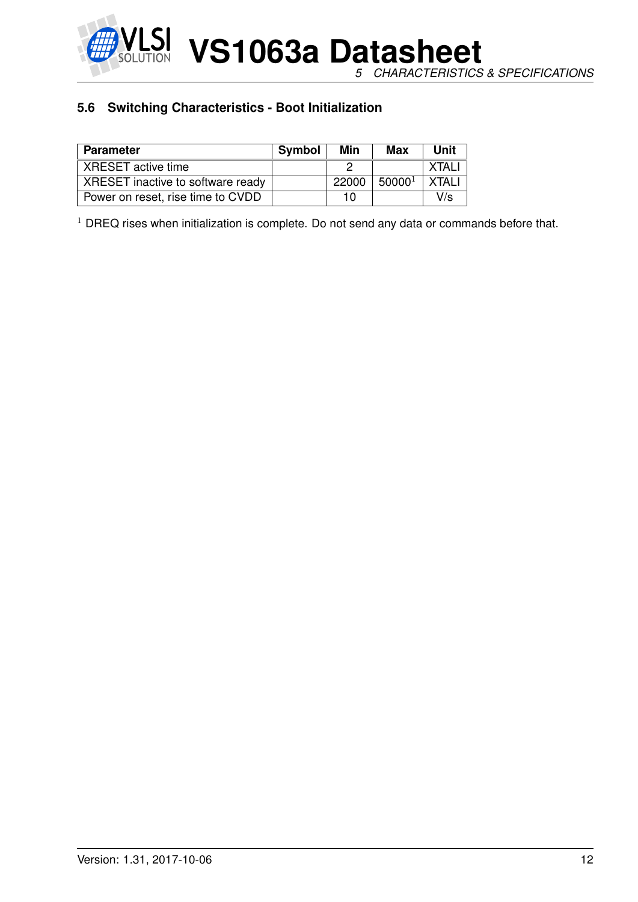

**VS1063a Datasheet** *5 CHARACTERISTICS & SPECIFICATIONS*

#### <span id="page-11-0"></span>**5.6 Switching Characteristics - Boot Initialization**

| <b>Parameter</b>                  | Symbol | Min   | Max                | Unit  |
|-----------------------------------|--------|-------|--------------------|-------|
| XRESET active time                |        |       |                    | XTAI  |
| XRESET inactive to software ready |        | 22000 | 50000 <sup>1</sup> | XTAL' |
| Power on reset, rise time to CVDD |        | 10    |                    | V/s   |

 $1$  DREQ rises when initialization is complete. Do not send any data or commands before that.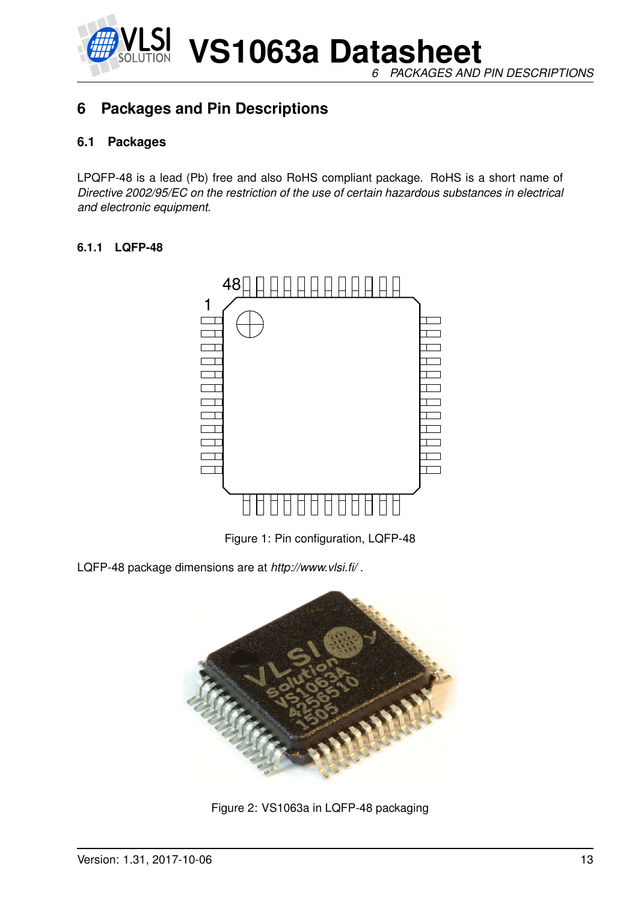

**VS1063a Datasheet** *6 PACKAGES AND PIN DESCRIPTIONS*

## <span id="page-12-1"></span><span id="page-12-0"></span>**6 Packages and Pin Descriptions**

#### **6.1 Packages**

LPQFP-48 is a lead (Pb) free and also RoHS compliant package. RoHS is a short name of *Directive 2002/95/EC on the restriction of the use of certain hazardous substances in electrical and electronic equipment*.

#### <span id="page-12-2"></span>**6.1.1 LQFP-48**



<span id="page-12-3"></span>Figure 1: Pin configuration, LQFP-48

LQFP-48 package dimensions are at *http://www.vlsi.fi/* .



<span id="page-12-4"></span>Figure 2: VS1063a in LQFP-48 packaging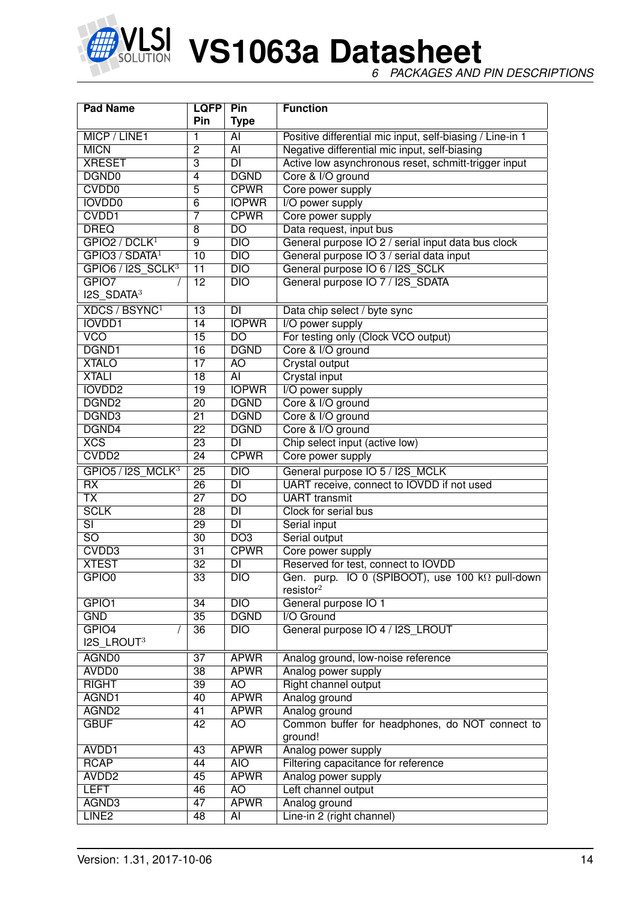

*6 PACKAGES AND PIN DESCRIPTIONS*

| <b>Pad Name</b>                  | <b>LQFP</b>     | Pin                      | <b>Function</b>                                           |  |  |  |  |
|----------------------------------|-----------------|--------------------------|-----------------------------------------------------------|--|--|--|--|
|                                  | <b>Pin</b>      | <b>Type</b>              |                                                           |  |  |  |  |
| MICP / LINE1                     | 1               | AI                       | Positive differential mic input, self-biasing / Line-in 1 |  |  |  |  |
| <b>MICN</b>                      | $\overline{2}$  | $\overline{AI}$          | Negative differential mic input, self-biasing             |  |  |  |  |
| <b>XRESET</b>                    | $\overline{3}$  | DI                       | Active low asynchronous reset, schmitt-trigger input      |  |  |  |  |
| DGND <sub>0</sub>                | 4               | <b>DGND</b>              | Core & I/O ground                                         |  |  |  |  |
| <b>CVDD0</b>                     | $\overline{5}$  | <b>CPWR</b>              | Core power supply                                         |  |  |  |  |
| <b>IOVDD0</b>                    | $\overline{6}$  | <b>IOPWR</b>             | I/O power supply                                          |  |  |  |  |
| CVDD1                            | 7               | <b>CPWR</b>              | Core power supply                                         |  |  |  |  |
| <b>DREQ</b>                      | 8               | $\overline{DO}$          | Data request, input bus                                   |  |  |  |  |
| GPIO2 / DCLK <sup>1</sup>        | $\overline{9}$  | DIO                      | General purpose IO 2 / serial input data bus clock        |  |  |  |  |
| GPIO3 / SDATA <sup>1</sup>       | 10              | DIO                      | General purpose IO 3 / serial data input                  |  |  |  |  |
| $GPIO6 / I2S_SCLK3$              | $\overline{11}$ | $\overline{DIO}$         | General purpose IO 6 / I2S_SCLK                           |  |  |  |  |
| GPIO7                            | $\overline{12}$ | $\overline{DIO}$         | General purpose IO 7 / I2S SDATA                          |  |  |  |  |
| $I2S$ SDATA <sup>3</sup>         |                 |                          |                                                           |  |  |  |  |
| <b>XDCS / BSYNC</b> <sup>1</sup> | $\overline{13}$ | <b>DI</b>                | Data chip select / byte sync                              |  |  |  |  |
| <b>IOVDD1</b>                    | 14              | <b>IOPWR</b>             | I/O power supply                                          |  |  |  |  |
| <b>VCO</b>                       | $\overline{15}$ | $\overline{DO}$          | For testing only (Clock VCO output)                       |  |  |  |  |
| DGND1                            | $\overline{16}$ | <b>DGND</b>              | Core & I/O ground                                         |  |  |  |  |
| <b>XTALO</b>                     | $\overline{17}$ | AO                       | <b>Crystal output</b>                                     |  |  |  |  |
| <b>XTALI</b>                     | $\overline{18}$ | $\overline{AI}$          | <b>Crystal input</b>                                      |  |  |  |  |
| <b>IOVDD2</b>                    | $\overline{19}$ | <b>IOPWR</b>             | I/O power supply                                          |  |  |  |  |
| DGND <sub>2</sub>                | $\overline{20}$ | <b>DGND</b>              | Core & I/O ground                                         |  |  |  |  |
| DGND3                            | $\overline{21}$ | <b>DGND</b>              | Core & I/O ground                                         |  |  |  |  |
| DGND4                            | $\overline{22}$ | <b>DGND</b>              | Core & I/O ground                                         |  |  |  |  |
| XCS                              | $\overline{23}$ | $\overline{DI}$          | Chip select input (active low)                            |  |  |  |  |
| CVDD <sub>2</sub>                | $\overline{24}$ | <b>CPWR</b>              | Core power supply                                         |  |  |  |  |
| GPIO5 / I2S MCLK <sup>3</sup>    | $\overline{25}$ | $\overline{DIO}$         | General purpose IO 5 / I2S_MCLK                           |  |  |  |  |
| $\overline{RX}$                  | $\overline{26}$ | $\overline{\mathsf{DI}}$ | UART receive, connect to IOVDD if not used                |  |  |  |  |
| $\overline{\mathsf{TX}}$         | $\overline{27}$ | $\overline{DO}$          | <b>UART</b> transmit                                      |  |  |  |  |
| <b>SCLK</b>                      | $\overline{28}$ | $\overline{DI}$          | Clock for serial bus                                      |  |  |  |  |
| $\overline{\mathsf{SI}}$         | $\overline{29}$ | $\overline{DI}$          | Serial input                                              |  |  |  |  |
| $\overline{SO}$                  | $\overline{30}$ | D <sub>O3</sub>          | Serial output                                             |  |  |  |  |
| CVDD3                            | $\overline{31}$ | <b>CPWR</b>              | Core power supply                                         |  |  |  |  |
| <b>XTEST</b>                     | $\overline{32}$ | $\overline{\mathsf{DI}}$ | Reserved for test, connect to IOVDD                       |  |  |  |  |
| GPIO <sub>0</sub>                | $\overline{33}$ | DIO                      | Gen. purp. IO 0 (SPIBOOT), use 100 kΩ pull-down           |  |  |  |  |
|                                  |                 |                          | resistor <sup>2</sup>                                     |  |  |  |  |
| GPIO1                            | 34              | DIO                      | General purpose IO 1                                      |  |  |  |  |
| <b>GND</b>                       | $\overline{35}$ | <b>DGND</b>              | I/O Ground                                                |  |  |  |  |
| GPIO4                            | 36              | $\overline{DIO}$         | General purpose IO 4 / I2S_LROUT                          |  |  |  |  |
| I2S_LROUT3                       |                 |                          |                                                           |  |  |  |  |
| AGND0                            | $\overline{37}$ | <b>APWR</b>              | Analog ground, low-noise reference                        |  |  |  |  |
| AVDD <sub>0</sub>                | $\overline{38}$ | <b>APWR</b>              | Analog power supply                                       |  |  |  |  |
| <b>RIGHT</b>                     | $\overline{39}$ | AO                       | Right channel output                                      |  |  |  |  |
| AGND1                            | 40              | <b>APWR</b>              | Analog ground                                             |  |  |  |  |
| AGND <sub>2</sub>                | 41              | <b>APWR</b>              | Analog ground                                             |  |  |  |  |
| <b>GBUF</b>                      | 42              | <b>AO</b>                | Common buffer for headphones, do NOT connect to           |  |  |  |  |
|                                  |                 |                          | ground!                                                   |  |  |  |  |
| AVDD1                            | $\overline{43}$ | <b>APWR</b>              | Analog power supply                                       |  |  |  |  |
| <b>RCAP</b>                      | 44              | <b>AIO</b>               | Filtering capacitance for reference                       |  |  |  |  |
| AVDD <sub>2</sub>                | 45              | <b>APWR</b>              | Analog power supply                                       |  |  |  |  |
| <b>LEFT</b>                      | 46              | AO                       | Left channel output                                       |  |  |  |  |
| AGND3                            | $\overline{47}$ | <b>APWR</b>              | Analog ground                                             |  |  |  |  |
| LINE <sub>2</sub>                | 48              | $\overline{AI}$          | Line-in 2 (right channel)                                 |  |  |  |  |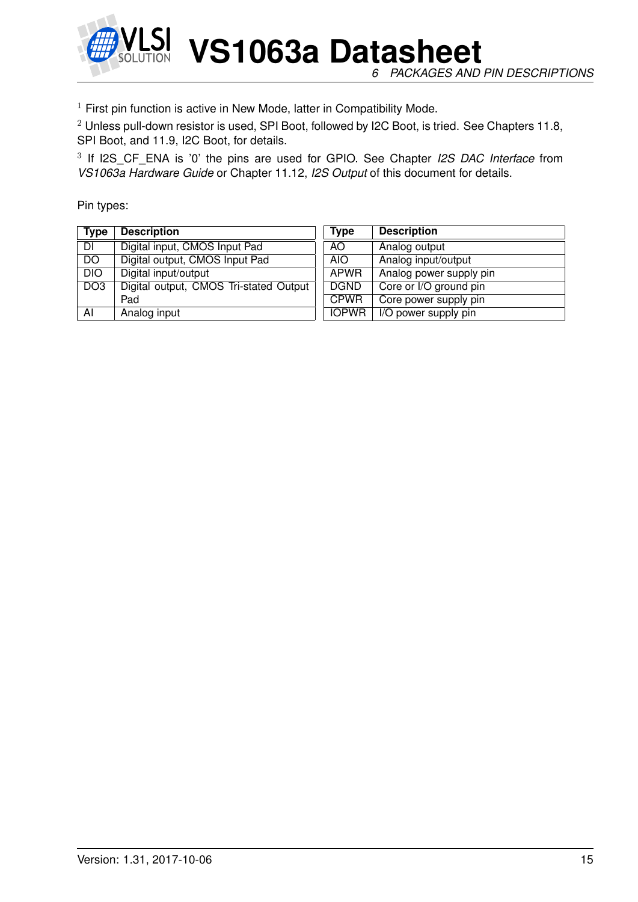

*6 PACKAGES AND PIN DESCRIPTIONS*

 $1$  First pin function is active in New Mode, latter in Compatibility Mode.

<sup>2</sup> Unless pull-down resistor is used, SPI Boot, followed by I2C Boot, is tried. See Chapters [11.8,](#page-67-0) SPI Boot, and [11.9,](#page-67-1) I2C Boot, for details.

3 If I2S\_CF\_ENA is '0' the pins are used for GPIO. See Chapter *I2S DAC Interface* from *VS1063a Hardware Guide* or Chapter [11.12,](#page-84-0) *I2S Output* of this document for details.

Pin types:

| <b>Type</b>     | <b>Description</b>                     | <b>Type</b>  | <b>Description</b>      |
|-----------------|----------------------------------------|--------------|-------------------------|
| DI              | Digital input, CMOS Input Pad          | AO.          | Analog output           |
| $\overline{DO}$ | Digital output, CMOS Input Pad         | AIO.         | Analog input/output     |
| DIO             | Digital input/output                   | APWR         | Analog power supply pin |
| DO <sub>3</sub> | Digital output, CMOS Tri-stated Output | <b>DGND</b>  | Core or I/O ground pin  |
|                 | Pad                                    | <b>CPWR</b>  | Core power supply pin   |
| AI              | Analog input                           | <b>IOPWR</b> | I/O power supply pin    |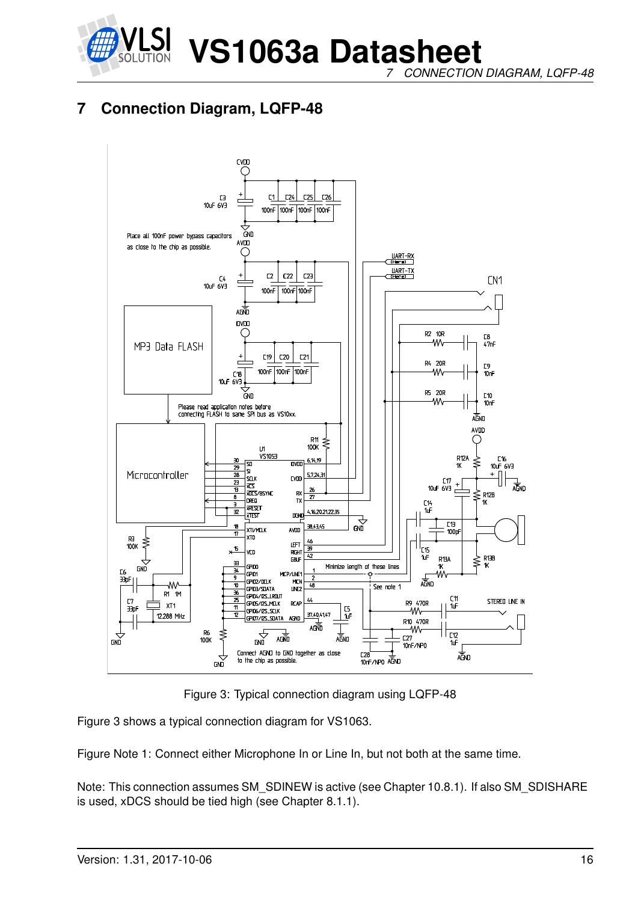

*7 CONNECTION DIAGRAM, LQFP-48*

## <span id="page-15-0"></span>**7 Connection Diagram, LQFP-48**



<span id="page-15-1"></span>Figure 3: Typical connection diagram using LQFP-48

Figure [3](#page-15-1) shows a typical connection diagram for VS1063.

Figure Note 1: Connect either Microphone In or Line In, but not both at the same time.

Note: This connection assumes SM\_SDINEW is active (see Chapter [10.8.1\)](#page-42-0). If also SM\_SDISHARE is used, xDCS should be tied high (see Chapter [8.1.1\)](#page-17-2).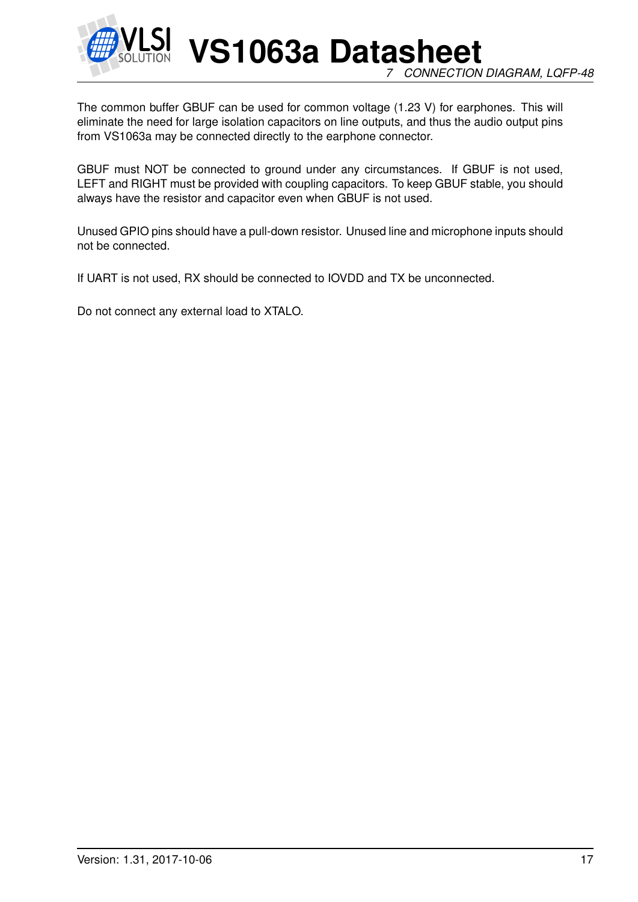

**VS1063a Datasheet** *7 CONNECTION DIAGRAM, LQFP-48*

The common buffer GBUF can be used for common voltage (1.23 V) for earphones. This will eliminate the need for large isolation capacitors on line outputs, and thus the audio output pins from VS1063a may be connected directly to the earphone connector.

GBUF must NOT be connected to ground under any circumstances. If GBUF is not used, LEFT and RIGHT must be provided with coupling capacitors. To keep GBUF stable, you should always have the resistor and capacitor even when GBUF is not used.

Unused GPIO pins should have a pull-down resistor. Unused line and microphone inputs should not be connected.

If UART is not used, RX should be connected to IOVDD and TX be unconnected.

Do not connect any external load to XTALO.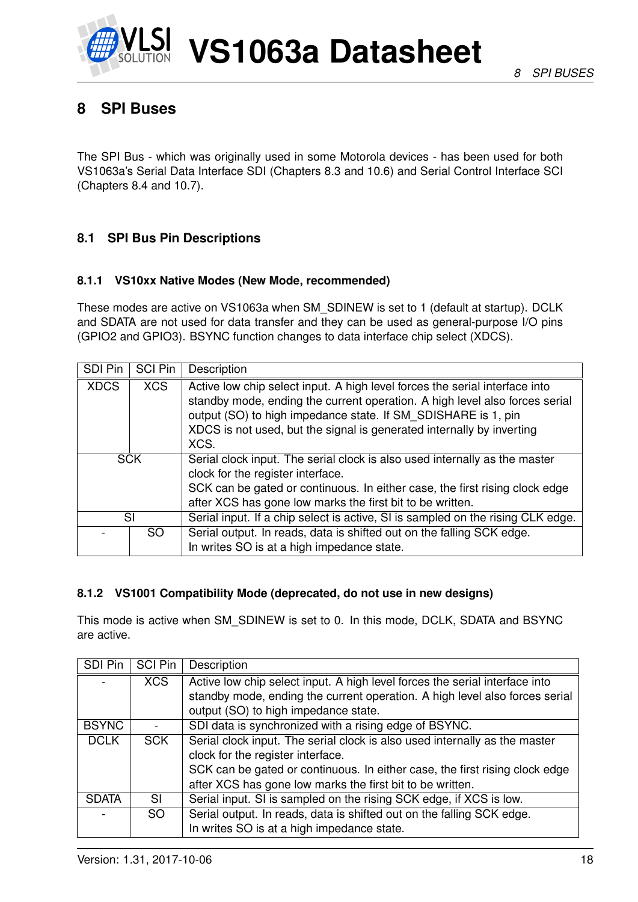

## <span id="page-17-0"></span>**8 SPI Buses**

The SPI Bus - which was originally used in some Motorola devices - has been used for both VS1063a's Serial Data Interface SDI (Chapters [8.3](#page-19-0) and [10.6\)](#page-40-0) and Serial Control Interface SCI (Chapters [8.4](#page-22-0) and [10.7\)](#page-40-1).

#### <span id="page-17-1"></span>**8.1 SPI Bus Pin Descriptions**

#### <span id="page-17-2"></span>**8.1.1 VS10xx Native Modes (New Mode, recommended)**

These modes are active on VS1063a when SM\_SDINEW is set to 1 (default at startup). DCLK and SDATA are not used for data transfer and they can be used as general-purpose I/O pins (GPIO2 and GPIO3). BSYNC function changes to data interface chip select (XDCS).

| SDI Pin     | <b>SCI Pin</b> | Description                                                                                                                                                                                                                                                                                                  |  |  |  |  |
|-------------|----------------|--------------------------------------------------------------------------------------------------------------------------------------------------------------------------------------------------------------------------------------------------------------------------------------------------------------|--|--|--|--|
| <b>XDCS</b> | <b>XCS</b>     | Active low chip select input. A high level forces the serial interface into<br>standby mode, ending the current operation. A high level also forces serial<br>output (SO) to high impedance state. If SM_SDISHARE is 1, pin<br>XDCS is not used, but the signal is generated internally by inverting<br>XCS. |  |  |  |  |
| <b>SCK</b>  |                | Serial clock input. The serial clock is also used internally as the master<br>clock for the register interface.<br>SCK can be gated or continuous. In either case, the first rising clock edge<br>after XCS has gone low marks the first bit to be written.                                                  |  |  |  |  |
| SI          |                | Serial input. If a chip select is active, SI is sampled on the rising CLK edge.                                                                                                                                                                                                                              |  |  |  |  |
| SO.         |                | Serial output. In reads, data is shifted out on the falling SCK edge.<br>In writes SO is at a high impedance state.                                                                                                                                                                                          |  |  |  |  |

#### <span id="page-17-3"></span>**8.1.2 VS1001 Compatibility Mode (deprecated, do not use in new designs)**

This mode is active when SM\_SDINEW is set to 0. In this mode, DCLK, SDATA and BSYNC are active.

| SDI Pin      | <b>SCI Pin</b> | Description                                                                 |
|--------------|----------------|-----------------------------------------------------------------------------|
|              | <b>XCS</b>     | Active low chip select input. A high level forces the serial interface into |
|              |                | standby mode, ending the current operation. A high level also forces serial |
|              |                | output (SO) to high impedance state.                                        |
| <b>BSYNC</b> |                | SDI data is synchronized with a rising edge of BSYNC.                       |
| <b>DCLK</b>  | <b>SCK</b>     | Serial clock input. The serial clock is also used internally as the master  |
|              |                | clock for the register interface.                                           |
|              |                | SCK can be gated or continuous. In either case, the first rising clock edge |
|              |                | after XCS has gone low marks the first bit to be written.                   |
| <b>SDATA</b> | SI             | Serial input. SI is sampled on the rising SCK edge, if XCS is low.          |
|              | SO.            | Serial output. In reads, data is shifted out on the falling SCK edge.       |
|              |                | In writes SO is at a high impedance state.                                  |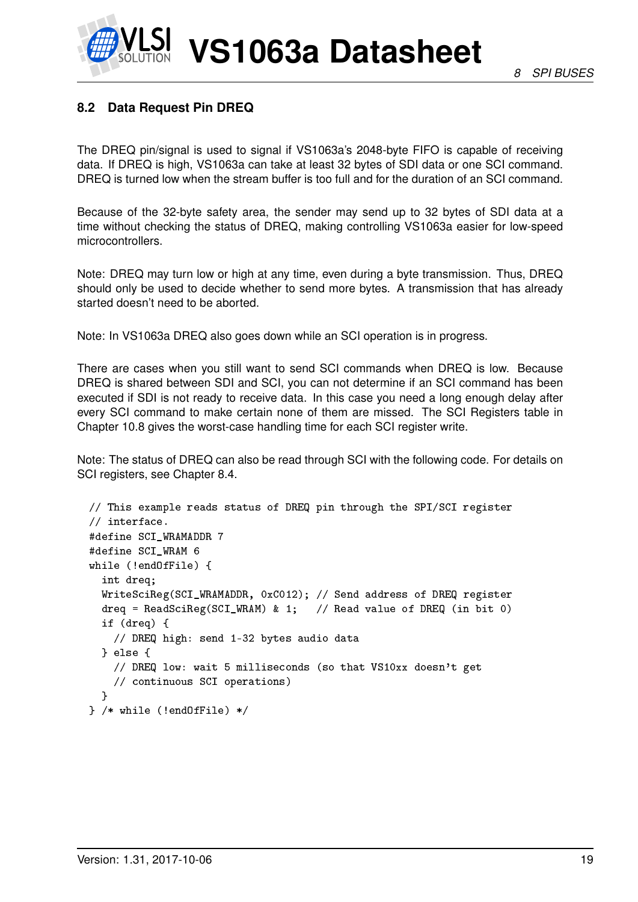#### <span id="page-18-0"></span>**8.2 Data Request Pin DREQ**

The DREQ pin/signal is used to signal if VS1063a's 2048-byte FIFO is capable of receiving data. If DREQ is high, VS1063a can take at least 32 bytes of SDI data or one SCI command. DREQ is turned low when the stream buffer is too full and for the duration of an SCI command.

Because of the 32-byte safety area, the sender may send up to 32 bytes of SDI data at a time without checking the status of DREQ, making controlling VS1063a easier for low-speed microcontrollers.

Note: DREQ may turn low or high at any time, even during a byte transmission. Thus, DREQ should only be used to decide whether to send more bytes. A transmission that has already started doesn't need to be aborted.

Note: In VS1063a DREQ also goes down while an SCI operation is in progress.

There are cases when you still want to send SCI commands when DREQ is low. Because DREQ is shared between SDI and SCI, you can not determine if an SCI command has been executed if SDI is not ready to receive data. In this case you need a long enough delay after every SCI command to make certain none of them are missed. The SCI Registers table in Chapter [10.8](#page-41-0) gives the worst-case handling time for each SCI register write.

Note: The status of DREQ can also be read through SCI with the following code. For details on SCI registers, see Chapter [8.4.](#page-22-0)

```
// This example reads status of DREQ pin through the SPI/SCI register
// interface.
#define SCI_WRAMADDR 7
#define SCI_WRAM 6
while (!endOfFile) {
  int dreq;
  WriteSciReg(SCI_WRAMADDR, 0xC012); // Send address of DREQ register
  dreq = ReadSciReg(SCI_WRAM) & 1; // Read value of DREQ (in bit 0)
  if (dreq) {
   // DREQ high: send 1-32 bytes audio data
  } else {
    // DREQ low: wait 5 milliseconds (so that VS10xx doesn't get
    // continuous SCI operations)
  }
} /* while (!endOfFile) */
```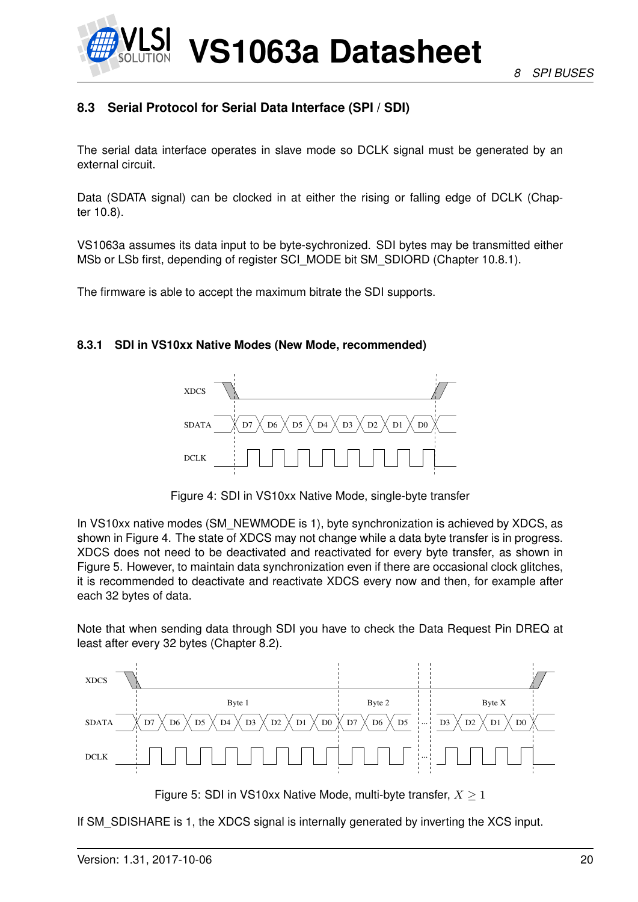

#### <span id="page-19-0"></span>**8.3 Serial Protocol for Serial Data Interface (SPI / SDI)**

The serial data interface operates in slave mode so DCLK signal must be generated by an external circuit.

Data (SDATA signal) can be clocked in at either the rising or falling edge of DCLK (Chapter [10.8\)](#page-41-0).

VS1063a assumes its data input to be byte-sychronized. SDI bytes may be transmitted either MSb or LSb first, depending of register SCI\_MODE bit SM\_SDIORD (Chapter [10.8.1\)](#page-42-0).

The firmware is able to accept the maximum bitrate the SDI supports.

#### <span id="page-19-1"></span>**8.3.1 SDI in VS10xx Native Modes (New Mode, recommended)**



<span id="page-19-2"></span>Figure 4: SDI in VS10xx Native Mode, single-byte transfer

In VS10xx native modes (SM\_NEWMODE is 1), byte synchronization is achieved by XDCS, as shown in Figure [4.](#page-19-2) The state of XDCS may not change while a data byte transfer is in progress. XDCS does not need to be deactivated and reactivated for every byte transfer, as shown in Figure [5.](#page-19-3) However, to maintain data synchronization even if there are occasional clock glitches, it is recommended to deactivate and reactivate XDCS every now and then, for example after each 32 bytes of data.

Note that when sending data through SDI you have to check the Data Request Pin DREQ at least after every 32 bytes (Chapter [8.2\)](#page-18-0).



<span id="page-19-3"></span>Figure 5: SDI in VS10xx Native Mode, multi-byte transfer,  $X \geq 1$ 

If SM\_SDISHARE is 1, the XDCS signal is internally generated by inverting the XCS input.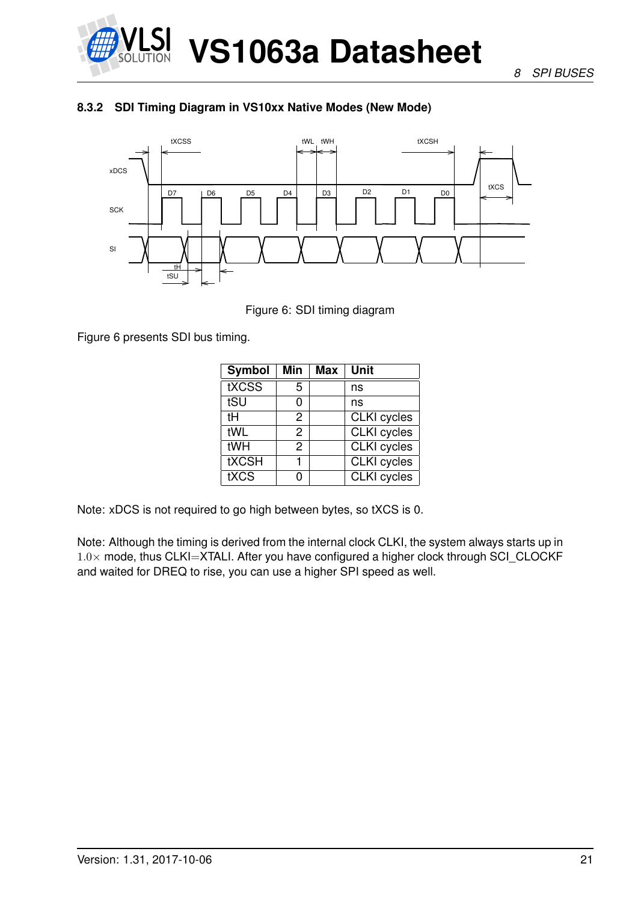

*8 SPI BUSES*

#### <span id="page-20-0"></span>**8.3.2 SDI Timing Diagram in VS10xx Native Modes (New Mode)**



<span id="page-20-1"></span>Figure 6: SDI timing diagram

Figure [6](#page-20-1) presents SDI bus timing.

| <b>Symbol</b> | Min | Max | Unit               |
|---------------|-----|-----|--------------------|
| tXCSS         | 5   |     | ns                 |
| tSU           | 0   |     | ns                 |
| tН            | 2   |     | <b>CLKI</b> cycles |
| tWL           | 2   |     | <b>CLKI</b> cycles |
| tWH           | 2   |     | <b>CLKI</b> cycles |
| <b>tXCSH</b>  |     |     | <b>CLKI</b> cycles |
| tXCS          | n   |     | <b>CLKI</b> cycles |

Note: xDCS is not required to go high between bytes, so tXCS is 0.

Note: Although the timing is derived from the internal clock CLKI, the system always starts up in  $1.0\times$  mode, thus CLKI=XTALI. After you have configured a higher clock through SCI CLOCKF and waited for DREQ to rise, you can use a higher SPI speed as well.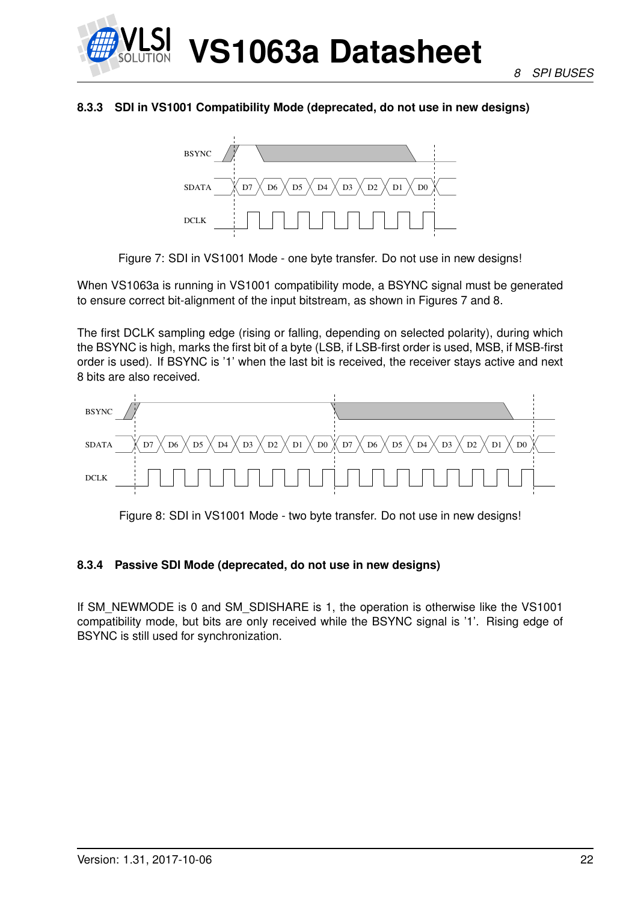

#### <span id="page-21-0"></span>**8.3.3 SDI in VS1001 Compatibility Mode (deprecated, do not use in new designs)**



<span id="page-21-2"></span>Figure 7: SDI in VS1001 Mode - one byte transfer. Do not use in new designs!

When VS1063a is running in VS1001 compatibility mode, a BSYNC signal must be generated to ensure correct bit-alignment of the input bitstream, as shown in Figures [7](#page-21-2) and [8.](#page-21-3)

The first DCLK sampling edge (rising or falling, depending on selected polarity), during which the BSYNC is high, marks the first bit of a byte (LSB, if LSB-first order is used, MSB, if MSB-first order is used). If BSYNC is '1' when the last bit is received, the receiver stays active and next 8 bits are also received.



<span id="page-21-3"></span>Figure 8: SDI in VS1001 Mode - two byte transfer. Do not use in new designs!

#### <span id="page-21-1"></span>**8.3.4 Passive SDI Mode (deprecated, do not use in new designs)**

If SM\_NEWMODE is 0 and SM\_SDISHARE is 1, the operation is otherwise like the VS1001 compatibility mode, but bits are only received while the BSYNC signal is '1'. Rising edge of BSYNC is still used for synchronization.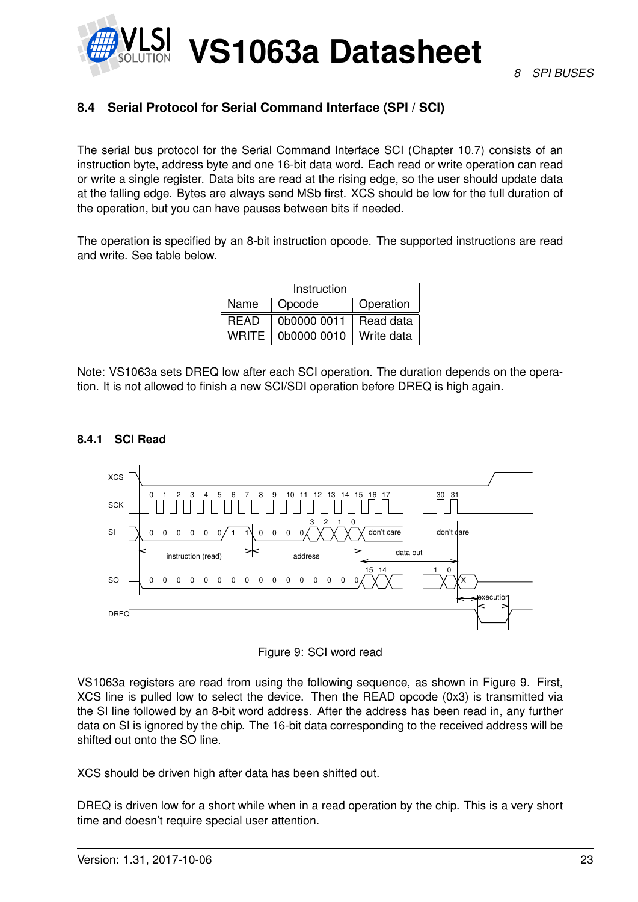#### <span id="page-22-0"></span>**8.4 Serial Protocol for Serial Command Interface (SPI / SCI)**

The serial bus protocol for the Serial Command Interface SCI (Chapter [10.7\)](#page-40-1) consists of an instruction byte, address byte and one 16-bit data word. Each read or write operation can read or write a single register. Data bits are read at the rising edge, so the user should update data at the falling edge. Bytes are always send MSb first. XCS should be low for the full duration of the operation, but you can have pauses between bits if needed.

The operation is specified by an 8-bit instruction opcode. The supported instructions are read and write. See table below.

| Instruction  |             |            |  |  |  |  |  |  |
|--------------|-------------|------------|--|--|--|--|--|--|
| Name         | Operation   |            |  |  |  |  |  |  |
| <b>READ</b>  | 0b0000 0011 | Read data  |  |  |  |  |  |  |
| <b>WRITE</b> | 0b0000 0010 | Write data |  |  |  |  |  |  |

Note: VS1063a sets DREQ low after each SCI operation. The duration depends on the operation. It is not allowed to finish a new SCI/SDI operation before DREQ is high again.

#### <span id="page-22-1"></span>**8.4.1 SCI Read**



<span id="page-22-2"></span>

VS1063a registers are read from using the following sequence, as shown in Figure [9.](#page-22-2) First, XCS line is pulled low to select the device. Then the READ opcode (0x3) is transmitted via the SI line followed by an 8-bit word address. After the address has been read in, any further data on SI is ignored by the chip. The 16-bit data corresponding to the received address will be shifted out onto the SO line.

XCS should be driven high after data has been shifted out.

DREQ is driven low for a short while when in a read operation by the chip. This is a very short time and doesn't require special user attention.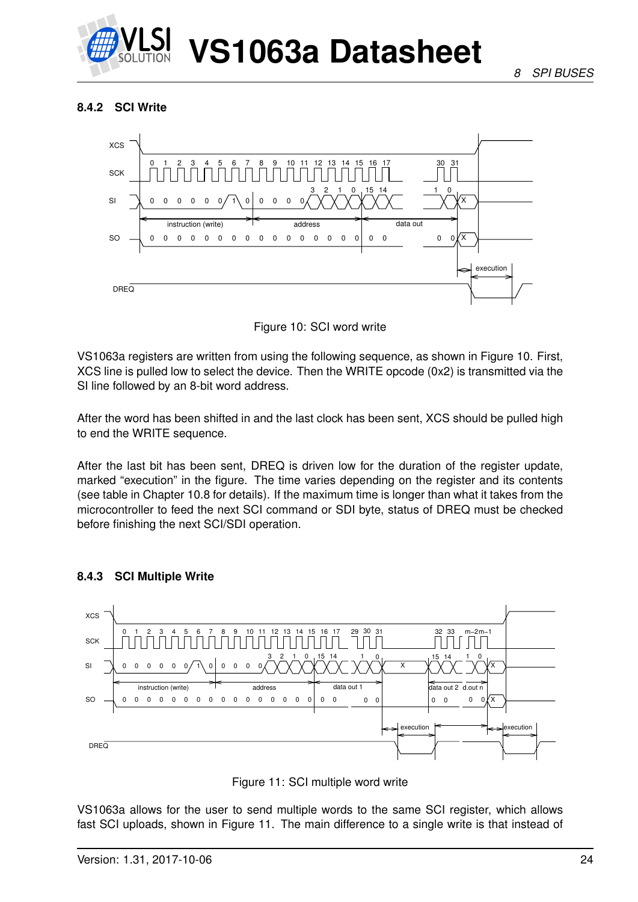

#### <span id="page-23-0"></span>**8.4.2 SCI Write**



<span id="page-23-2"></span>Figure 10: SCI word write

VS1063a registers are written from using the following sequence, as shown in Figure [10.](#page-23-2) First, XCS line is pulled low to select the device. Then the WRITE opcode (0x2) is transmitted via the SI line followed by an 8-bit word address.

After the word has been shifted in and the last clock has been sent, XCS should be pulled high to end the WRITE sequence.

After the last bit has been sent, DREQ is driven low for the duration of the register update, marked "execution" in the figure. The time varies depending on the register and its contents (see table in Chapter [10.8](#page-41-0) for details). If the maximum time is longer than what it takes from the microcontroller to feed the next SCI command or SDI byte, status of DREQ must be checked before finishing the next SCI/SDI operation.



#### <span id="page-23-1"></span>**8.4.3 SCI Multiple Write**

<span id="page-23-3"></span>

VS1063a allows for the user to send multiple words to the same SCI register, which allows fast SCI uploads, shown in Figure [11.](#page-23-3) The main difference to a single write is that instead of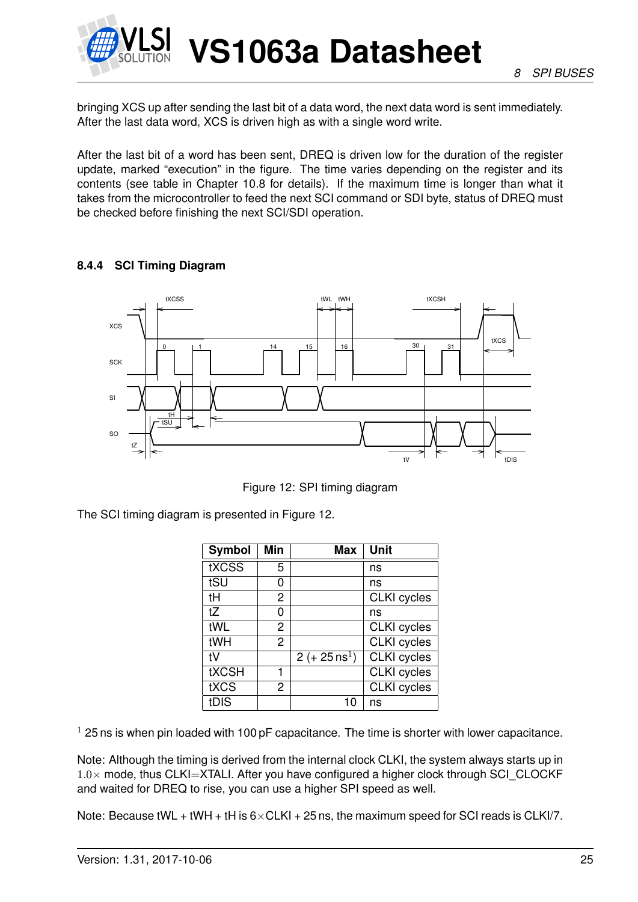

bringing XCS up after sending the last bit of a data word, the next data word is sent immediately. After the last data word, XCS is driven high as with a single word write.

After the last bit of a word has been sent, DREQ is driven low for the duration of the register update, marked "execution" in the figure. The time varies depending on the register and its contents (see table in Chapter [10.8](#page-41-0) for details). If the maximum time is longer than what it takes from the microcontroller to feed the next SCI command or SDI byte, status of DREQ must be checked before finishing the next SCI/SDI operation.

#### <span id="page-24-0"></span>**8.4.4 SCI Timing Diagram**



<span id="page-24-1"></span>Figure 12: SPI timing diagram

The SCI timing diagram is presented in Figure [12.](#page-24-1)

| <b>Symbol</b> | <b>Min</b>     | <b>Max</b>               | Unit               |
|---------------|----------------|--------------------------|--------------------|
| tXCSS         | 5              |                          | ns                 |
| tSU           | O)             |                          | ns                 |
| tH            | $\overline{2}$ |                          | <b>CLKI</b> cycles |
| tZ            | 0              |                          | ns                 |
| tWL           | 2              |                          | <b>CLKI</b> cycles |
| tWH           | $\overline{2}$ |                          | <b>CLKI</b> cycles |
| tV            |                | 2 (+ $25 \text{ ns}^1$ ) | <b>CLKI</b> cycles |
| <b>tXCSH</b>  |                |                          | <b>CLKI</b> cycles |
| tXCS          | $\overline{c}$ |                          | <b>CLKI</b> cycles |
| tDIS          |                | 10                       | ns                 |

 $1$  25 ns is when pin loaded with 100 pF capacitance. The time is shorter with lower capacitance.

Note: Although the timing is derived from the internal clock CLKI, the system always starts up in  $1.0\times$  mode, thus CLKI=XTALI. After you have configured a higher clock through SCI\_CLOCKF and waited for DREQ to rise, you can use a higher SPI speed as well.

Note: Because tWL + tWH + tH is  $6 \times$ CLKI + 25 ns, the maximum speed for SCI reads is CLKI/7.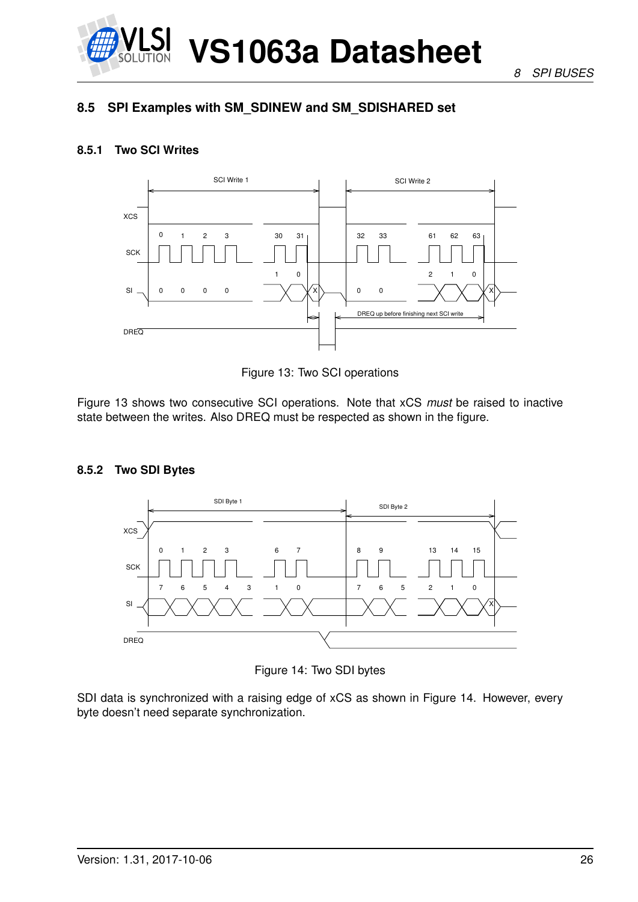

*8 SPI BUSES*

#### <span id="page-25-0"></span>**8.5 SPI Examples with SM\_SDINEW and SM\_SDISHARED set**

#### <span id="page-25-1"></span>**8.5.1 Two SCI Writes**



<span id="page-25-3"></span>Figure 13: Two SCI operations

Figure [13](#page-25-3) shows two consecutive SCI operations. Note that xCS *must* be raised to inactive state between the writes. Also DREQ must be respected as shown in the figure.

#### <span id="page-25-2"></span>**8.5.2 Two SDI Bytes**



<span id="page-25-4"></span>Figure 14: Two SDI bytes

SDI data is synchronized with a raising edge of xCS as shown in Figure [14.](#page-25-4) However, every byte doesn't need separate synchronization.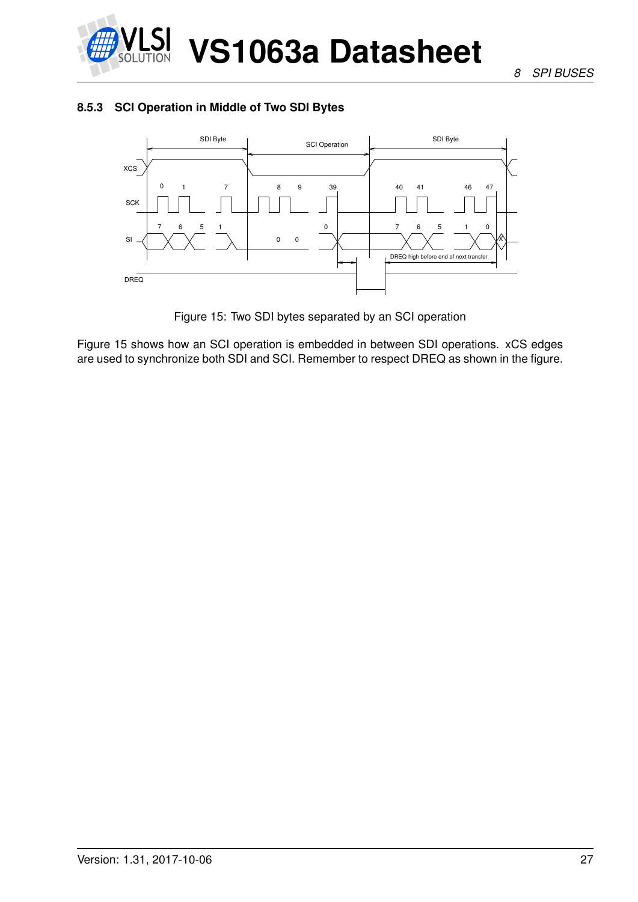

#### <span id="page-26-0"></span>**8.5.3 SCI Operation in Middle of Two SDI Bytes**



<span id="page-26-1"></span>Figure 15: Two SDI bytes separated by an SCI operation

Figure [15](#page-26-1) shows how an SCI operation is embedded in between SDI operations. xCS edges are used to synchronize both SDI and SCI. Remember to respect DREQ as shown in the figure.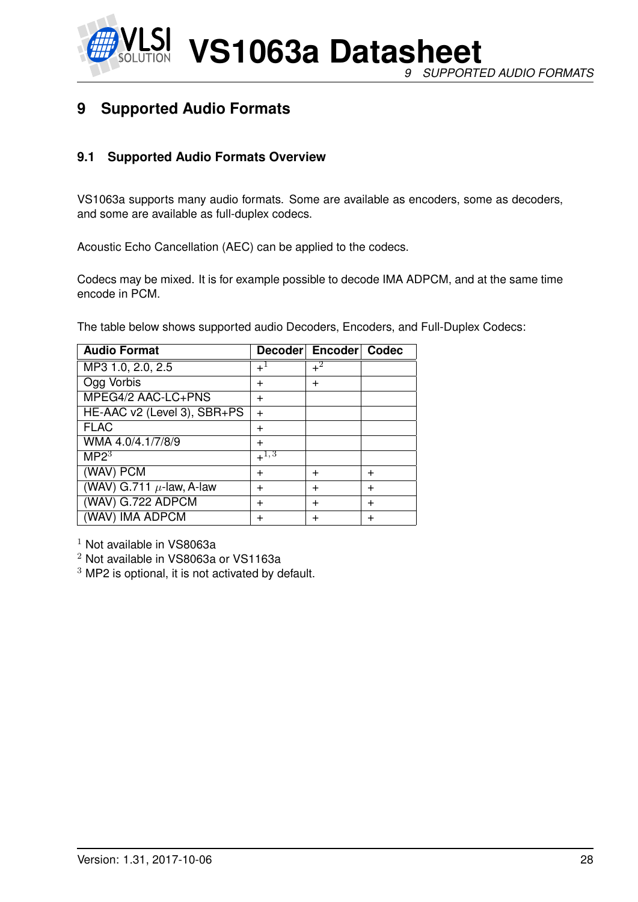

**VS1063a Datasheet** *9 SUPPORTED AUDIO FORMATS*

## <span id="page-27-0"></span>**9 Supported Audio Formats**

#### <span id="page-27-1"></span>**9.1 Supported Audio Formats Overview**

VS1063a supports many audio formats. Some are available as encoders, some as decoders, and some are available as full-duplex codecs.

Acoustic Echo Cancellation (AEC) can be applied to the codecs.

Codecs may be mixed. It is for example possible to decode IMA ADPCM, and at the same time encode in PCM.

The table below shows supported audio Decoders, Encoders, and Full-Duplex Codecs:

| <b>Audio Format</b>           |           | Decoder Encoder Codec |       |
|-------------------------------|-----------|-----------------------|-------|
| MP3 1.0, 2.0, 2.5             | $+^1$     | $+^2$                 |       |
| Ogg Vorbis                    | $\pm$     | $\div$                |       |
| MPEG4/2 AAC-LC+PNS            | $\div$    |                       |       |
| HE-AAC v2 (Level 3), SBR+PS   | $+$       |                       |       |
| <b>FLAC</b>                   | $\ddot{}$ |                       |       |
| WMA 4.0/4.1/7/8/9             | $\ddot{}$ |                       |       |
| MP2 <sup>3</sup>              | $+^{1,3}$ |                       |       |
| (WAV) PCM                     | $\ddot{}$ | $\pm$                 | $\pm$ |
| (WAV) G.711 $\mu$ -law, A-law | $\ddot{}$ | $\ddot{}$             | $\pm$ |
| (WAV) G.722 ADPCM             | $\ddot{}$ | $\ddot{}$             | $\pm$ |
| (WAV) IMA ADPCM               | $\ddot{}$ | $\pm$                 | $\pm$ |

 $1$  Not available in VS8063a

<sup>2</sup> Not available in VS8063a or VS1163a

 $3$  MP2 is optional, it is not activated by default.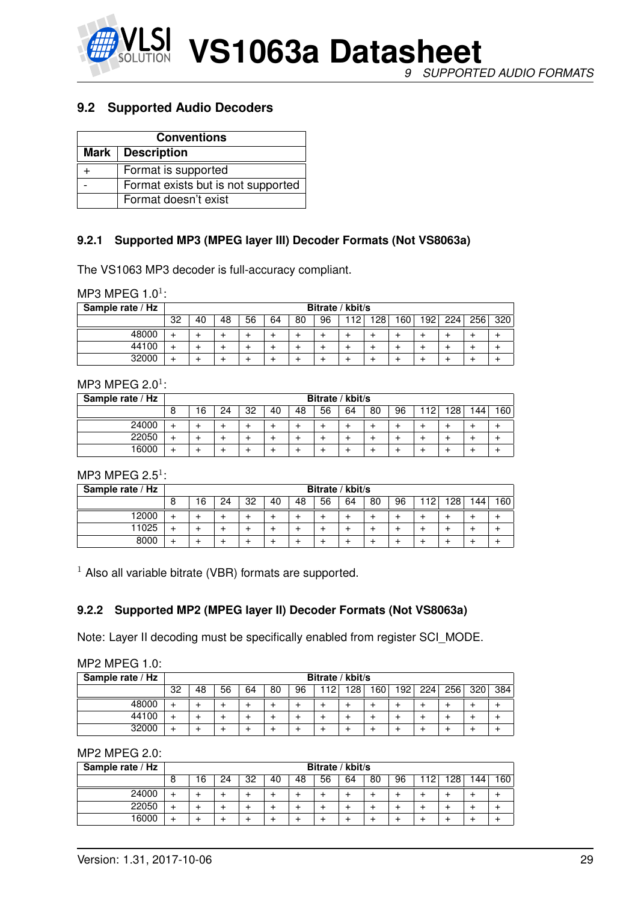

#### <span id="page-28-0"></span>**9.2 Supported Audio Decoders**

| <b>Conventions</b> |                                    |  |  |  |  |  |
|--------------------|------------------------------------|--|--|--|--|--|
|                    | Mark   Description                 |  |  |  |  |  |
|                    | Format is supported                |  |  |  |  |  |
|                    | Format exists but is not supported |  |  |  |  |  |
|                    | Format doesn't exist               |  |  |  |  |  |

#### <span id="page-28-1"></span>**9.2.1 Supported MP3 (MPEG layer III) Decoder Formats (Not VS8063a)**

The VS1063 MP3 decoder is full-accuracy compliant.

MP3 MPEG  $1.0<sup>1</sup>$ :

| Sample rate / Hz | Bitrate / kbit/s |    |    |    |    |    |    |    |                  |     |                  |     |     |     |
|------------------|------------------|----|----|----|----|----|----|----|------------------|-----|------------------|-----|-----|-----|
|                  | 32               | 40 | 48 | 56 | 64 | 80 | 96 | 12 | 128 <sub>1</sub> | 160 | 192 <sub>1</sub> | 224 | 256 | 320 |
| 48000            | ÷                |    |    |    |    |    |    |    |                  |     |                  |     |     |     |
| 44100            | ∸                |    |    |    |    |    |    |    |                  |     |                  |     |     |     |
| 32000            |                  |    |    |    |    |    |    |    |                  |     |                  |     |     |     |

#### MP3 MPEG  $2.0<sup>1</sup>$ :

| Sample rate / Hz |   |                                                                               |  |  |  |  |  | Bitrate / kbit/s |  |  |  |  |  |  |  |  |
|------------------|---|-------------------------------------------------------------------------------|--|--|--|--|--|------------------|--|--|--|--|--|--|--|--|
|                  | 8 | 160<br>96<br>32<br>56<br>128<br>40<br>80<br>48<br>64<br>144<br>6<br>112<br>24 |  |  |  |  |  |                  |  |  |  |  |  |  |  |  |
| 24000            | ∸ |                                                                               |  |  |  |  |  |                  |  |  |  |  |  |  |  |  |
| 22050            | ÷ |                                                                               |  |  |  |  |  |                  |  |  |  |  |  |  |  |  |
| 16000            |   |                                                                               |  |  |  |  |  |                  |  |  |  |  |  |  |  |  |

MP3 MPEG  $2.5<sup>1</sup>$ :

| Sample rate / Hz |   |                                                                              |  |  |  |  |  | Bitrate / kbit/s |  |  |  |  |  |  |  |
|------------------|---|------------------------------------------------------------------------------|--|--|--|--|--|------------------|--|--|--|--|--|--|--|
|                  | 8 | 160<br>56<br>128<br>32<br>64<br>96<br>48<br>80<br>40<br>6<br>12<br>24<br>144 |  |  |  |  |  |                  |  |  |  |  |  |  |  |
| 12000            |   |                                                                              |  |  |  |  |  |                  |  |  |  |  |  |  |  |
| 11025            |   |                                                                              |  |  |  |  |  |                  |  |  |  |  |  |  |  |
| 8000             |   |                                                                              |  |  |  |  |  |                  |  |  |  |  |  |  |  |

<span id="page-28-2"></span> $1$  Also all variable bitrate (VBR) formats are supported.

#### **9.2.2 Supported MP2 (MPEG layer II) Decoder Formats (Not VS8063a)**

Note: Layer II decoding must be specifically enabled from register SCI\_MODE.

| $MP2$ MPEG 1.0: |  |
|-----------------|--|
|-----------------|--|

| Sample rate / Hz |    |                                                                                        |  |  |  |  | Bitrate / kbit/s |  |  |  |  |  |  |     |
|------------------|----|----------------------------------------------------------------------------------------|--|--|--|--|------------------|--|--|--|--|--|--|-----|
|                  | 32 | 224<br>80<br>12 <sup>2</sup><br>28<br>160<br>192<br>256<br>320<br>56<br>96<br>48<br>64 |  |  |  |  |                  |  |  |  |  |  |  | 384 |
| 48000            |    |                                                                                        |  |  |  |  |                  |  |  |  |  |  |  |     |
| 44100            |    |                                                                                        |  |  |  |  |                  |  |  |  |  |  |  |     |
| 32000            |    |                                                                                        |  |  |  |  |                  |  |  |  |  |  |  |     |

MP2 MPEG 2.0:

| Sample rate / Hz |   |                                                                                         |  |  |  |  |  | Bitrate / kbit/s |  |  |  |  |  |  |  |
|------------------|---|-----------------------------------------------------------------------------------------|--|--|--|--|--|------------------|--|--|--|--|--|--|--|
|                  | 8 | 160<br>32<br>56<br>48<br>64<br>80<br>96<br>16<br>1 Ο Ω<br>40<br>-19<br>144.<br>24<br>20 |  |  |  |  |  |                  |  |  |  |  |  |  |  |
| 24000            |   |                                                                                         |  |  |  |  |  |                  |  |  |  |  |  |  |  |
| 22050            |   |                                                                                         |  |  |  |  |  |                  |  |  |  |  |  |  |  |
| 16000            |   |                                                                                         |  |  |  |  |  |                  |  |  |  |  |  |  |  |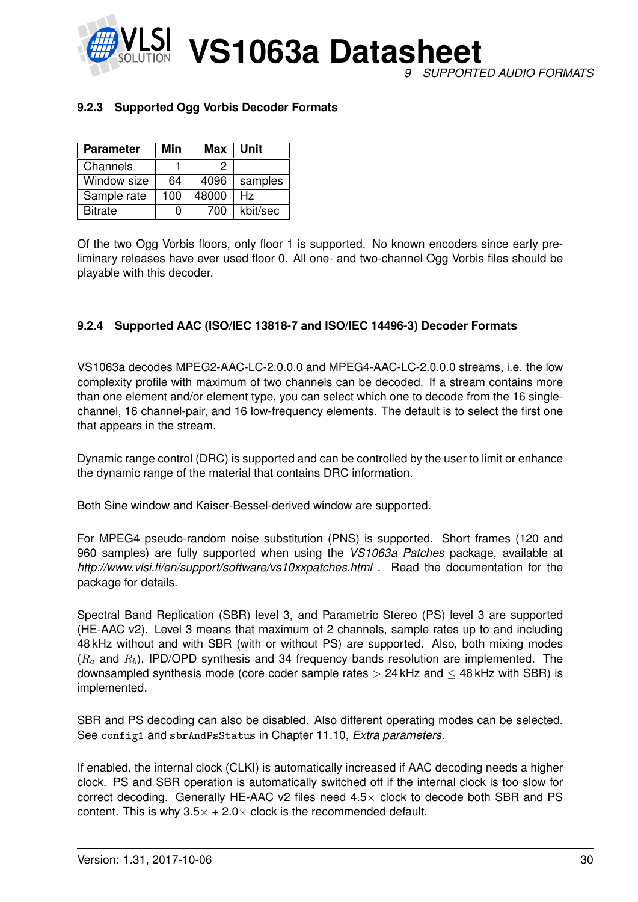

*9 SUPPORTED AUDIO FORMATS*

#### <span id="page-29-0"></span>**9.2.3 Supported Ogg Vorbis Decoder Formats**

| <b>Parameter</b> | Min | Max   | Unit     |
|------------------|-----|-------|----------|
| Channels         |     | ッ     |          |
| Window size      | 64  | 4096  | samples  |
| Sample rate      | 100 | 48000 | Hz.      |
| <b>Bitrate</b>   |     | 700   | kbit/sec |

Of the two Ogg Vorbis floors, only floor 1 is supported. No known encoders since early preliminary releases have ever used floor 0. All one- and two-channel Ogg Vorbis files should be playable with this decoder.

#### <span id="page-29-1"></span>**9.2.4 Supported AAC (ISO/IEC 13818-7 and ISO/IEC 14496-3) Decoder Formats**

VS1063a decodes MPEG2-AAC-LC-2.0.0.0 and MPEG4-AAC-LC-2.0.0.0 streams, i.e. the low complexity profile with maximum of two channels can be decoded. If a stream contains more than one element and/or element type, you can select which one to decode from the 16 singlechannel, 16 channel-pair, and 16 low-frequency elements. The default is to select the first one that appears in the stream.

Dynamic range control (DRC) is supported and can be controlled by the user to limit or enhance the dynamic range of the material that contains DRC information.

Both Sine window and Kaiser-Bessel-derived window are supported.

For MPEG4 pseudo-random noise substitution (PNS) is supported. Short frames (120 and 960 samples) are fully supported when using the *VS1063a Patches* package, available at *http://www.vlsi.fi/en/support/software/vs10xxpatches.html* . Read the documentation for the package for details.

Spectral Band Replication (SBR) level 3, and Parametric Stereo (PS) level 3 are supported (HE-AAC v2). Level 3 means that maximum of 2 channels, sample rates up to and including 48 kHz without and with SBR (with or without PS) are supported. Also, both mixing modes  $(R_a$  and  $R_b$ ), IPD/OPD synthesis and 34 frequency bands resolution are implemented. The downsampled synthesis mode (core coder sample rates  $> 24$  kHz and  $\leq 48$  kHz with SBR) is implemented.

SBR and PS decoding can also be disabled. Also different operating modes can be selected. See config1 and sbrAndPsStatus in Chapter [11.10,](#page-68-0) *Extra parameters*.

If enabled, the internal clock (CLKI) is automatically increased if AAC decoding needs a higher clock. PS and SBR operation is automatically switched off if the internal clock is too slow for correct decoding. Generally HE-AAC v2 files need  $4.5\times$  clock to decode both SBR and PS content. This is why  $3.5 \times + 2.0 \times$  clock is the recommended default.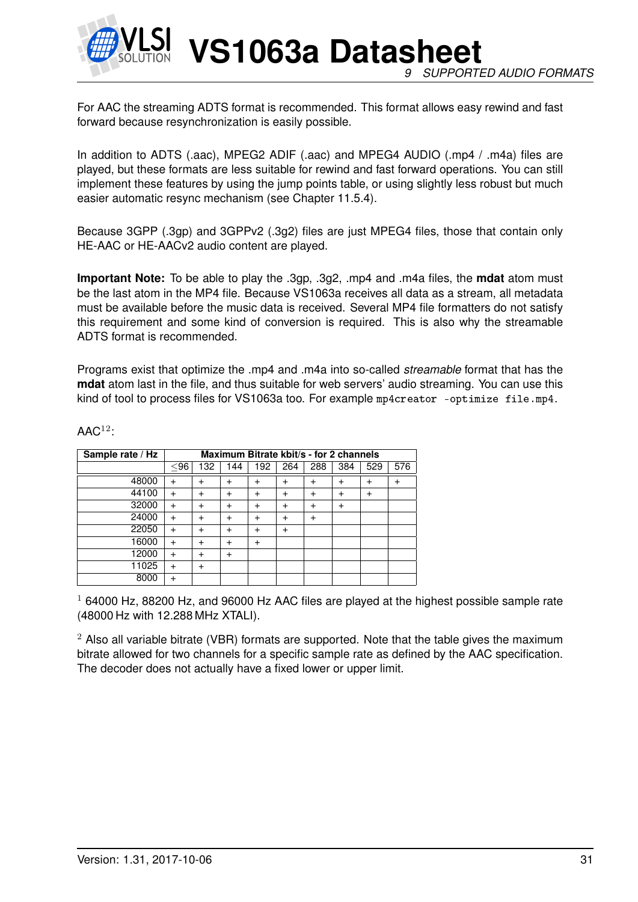

**VS1063a Datasheet** *9 SUPPORTED AUDIO FORMATS*

For AAC the streaming ADTS format is recommended. This format allows easy rewind and fast forward because resynchronization is easily possible.

In addition to ADTS (.aac), MPEG2 ADIF (.aac) and MPEG4 AUDIO (.mp4 / .m4a) files are played, but these formats are less suitable for rewind and fast forward operations. You can still implement these features by using the jump points table, or using slightly less robust but much easier automatic resync mechanism (see Chapter [11.5.4\)](#page-56-1).

Because 3GPP (.3gp) and 3GPPv2 (.3g2) files are just MPEG4 files, those that contain only HE-AAC or HE-AACv2 audio content are played.

**Important Note:** To be able to play the .3gp, .3g2, .mp4 and .m4a files, the **mdat** atom must be the last atom in the MP4 file. Because VS1063a receives all data as a stream, all metadata must be available before the music data is received. Several MP4 file formatters do not satisfy this requirement and some kind of conversion is required. This is also why the streamable ADTS format is recommended.

Programs exist that optimize the .mp4 and .m4a into so-called *streamable* format that has the **mdat** atom last in the file, and thus suitable for web servers' audio streaming. You can use this kind of tool to process files for VS1063a too. For example mp4creator -optimize file.mp4.

| Sample rate / Hz |           |                |                |           | Maximum Bitrate kbit/s - for 2 channels |           |           |           |     |
|------------------|-----------|----------------|----------------|-----------|-----------------------------------------|-----------|-----------|-----------|-----|
|                  | $96$      | 132            | 144            | 192       | 264                                     | 288       | 384       | 529       | 576 |
| 48000            | $\ddot{}$ | $\ddot{}$      | $\ddot{}$      | $\ddot{}$ | $\ddot{}$                               | $\ddot{}$ | $\ddot{}$ | $\ddot{}$ |     |
| 44100            | $\ddot{}$ | +              | $\ddot{}$      | $\ddot{}$ | $\ddot{}$                               | $\ddot{}$ | $\ddot{}$ | $\ddot{}$ |     |
| 32000            | $\ddot{}$ | +              | $\overline{+}$ | $\pm$     | $\ddot{}$                               | $\ddot{}$ | $\ddot{}$ |           |     |
| 24000            | $\ddot{}$ | +              | $\ddot{}$      | $\ddot{}$ | $\ddot{}$                               | $\ddot{}$ |           |           |     |
| 22050            | $\ddot{}$ | +              | $\ddot{}$      | $\ddot{}$ | $\ddot{}$                               |           |           |           |     |
| 16000            | $\ddot{}$ | +              | $\overline{+}$ | $\ddot{}$ |                                         |           |           |           |     |
| 12000            | $\ddot{}$ | $\ddot{}$      | $+$            |           |                                         |           |           |           |     |
| 11025            | $\ddot{}$ | $\overline{+}$ |                |           |                                         |           |           |           |     |
| 8000             | $\ddot{}$ |                |                |           |                                         |           |           |           |     |

 $AAC<sup>12</sup>$ 

 $1$  64000 Hz, 88200 Hz, and 96000 Hz AAC files are played at the highest possible sample rate (48000 Hz with 12.288 MHz XTALI).

 $2$  Also all variable bitrate (VBR) formats are supported. Note that the table gives the maximum bitrate allowed for two channels for a specific sample rate as defined by the AAC specification. The decoder does not actually have a fixed lower or upper limit.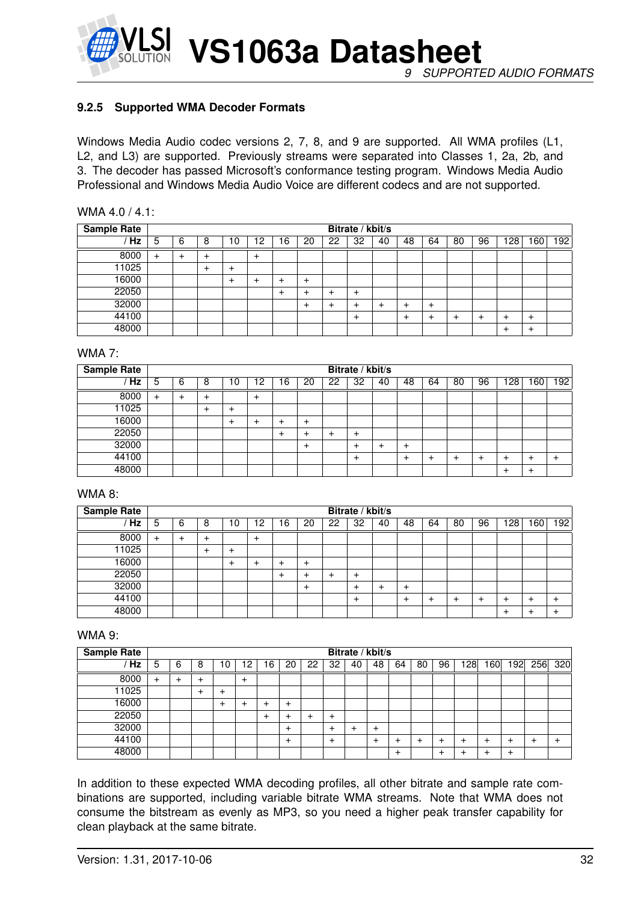

#### <span id="page-31-0"></span>**9.2.5 Supported WMA Decoder Formats**

Windows Media Audio codec versions 2, 7, 8, and 9 are supported. All WMA profiles (L1, L2, and L3) are supported. Previously streams were separated into Classes 1, 2a, 2b, and 3. The decoder has passed Microsoft's conformance testing program. Windows Media Audio Professional and Windows Media Audio Voice are different codecs and are not supported.

| WMA 4.0 / 4.1: |  |
|----------------|--|
|----------------|--|

| <b>Sample Rate</b> |   |   |   |    |    |    |       |       | Bitrate / kbit/s |    |       |           |    |    |     |           |                  |
|--------------------|---|---|---|----|----|----|-------|-------|------------------|----|-------|-----------|----|----|-----|-----------|------------------|
| <b>Hz</b>          | 5 | 6 | 8 | ۱0 | 12 | 16 | 20    | 22    | 32               | 40 | 48    | 64        | 80 | 96 | 128 | 60        | 192 <sub>1</sub> |
| 8000               | + |   | + |    | +  |    |       |       |                  |    |       |           |    |    |     |           |                  |
| 11025              |   |   |   |    |    |    |       |       |                  |    |       |           |    |    |     |           |                  |
| 16000              |   |   |   |    |    |    | $\pm$ |       |                  |    |       |           |    |    |     |           |                  |
| 22050              |   |   |   |    |    | +  | +     | +     | ÷                |    |       |           |    |    |     |           |                  |
| 32000              |   |   |   |    |    |    | $\pm$ | $\pm$ | $\pm$            | +  | ٠     | $\ddot{}$ |    |    |     |           |                  |
| 44100              |   |   |   |    |    |    |       |       | ÷                |    | $\pm$ | +         | ┱  |    |     | $\ddot{}$ |                  |
| 48000              |   |   |   |    |    |    |       |       |                  |    |       |           |    |    |     | $\,^+$    |                  |

#### WMA 7:

| <b>Sample Rate</b> |       |   |   |    |    |    |        |    | Bitrate / kbit/s |    |       |    |    |    |     |    |     |
|--------------------|-------|---|---|----|----|----|--------|----|------------------|----|-------|----|----|----|-----|----|-----|
| <b>Hz</b>          | 5     | 6 | 8 | ١0 | 12 | 16 | 20     | 22 | 32               | 40 | 48    | 64 | 80 | 96 | 128 | 60 | 192 |
| 8000               | $\pm$ | + | ÷ |    | +  |    |        |    |                  |    |       |    |    |    |     |    |     |
| 11025              |       |   |   |    |    |    |        |    |                  |    |       |    |    |    |     |    |     |
| 16000              |       |   |   |    |    | +  | $\div$ |    |                  |    |       |    |    |    |     |    |     |
| 22050              |       |   |   |    |    | +  | $\pm$  | +  | $\pm$            |    |       |    |    |    |     |    |     |
| 32000              |       |   |   |    |    |    | $\pm$  |    | ٠                | ┷  | $\pm$ |    |    |    |     |    |     |
| 44100              |       |   |   |    |    |    |        |    | $\pm$            |    | ÷     |    |    |    | +   | +  | +   |
| 48000              |       |   |   |    |    |    |        |    |                  |    |       |    |    |    | +   | +  |     |

#### WMA 8:

| <b>Sample Rate</b> |       |   |   |    |    |    |       |    | Bitrate / kbit/s |    |    |    |    |    |    |    |     |
|--------------------|-------|---|---|----|----|----|-------|----|------------------|----|----|----|----|----|----|----|-----|
| Hz                 | 5     | 6 | 8 | 10 | 12 | 16 | 20    | 22 | 32               | 40 | 48 | 64 | 80 | 96 | 28 | 60 | 192 |
| 8000               | $\pm$ | + |   |    | +  |    |       |    |                  |    |    |    |    |    |    |    |     |
| 11025              |       |   |   | +  |    |    |       |    |                  |    |    |    |    |    |    |    |     |
| 16000              |       |   |   |    |    |    | ٠     |    |                  |    |    |    |    |    |    |    |     |
| 22050              |       |   |   |    |    |    | ٠     | +  | +                |    |    |    |    |    |    |    |     |
| 32000              |       |   |   |    |    |    | $\pm$ |    |                  |    | +  |    |    |    |    |    |     |
| 44100              |       |   |   |    |    |    |       |    | +                |    |    |    |    |    |    | ٠  |     |
| 48000              |       |   |   |    |    |    |       |    |                  |    |    |    |    |    |    |    |     |

#### WMA 9:

| <b>Sample Rate</b> |   |   |   |        |           |    |    |    |                | Bitrate / kbit/s |    |              |    |    |                 |    |     |     |        |
|--------------------|---|---|---|--------|-----------|----|----|----|----------------|------------------|----|--------------|----|----|-----------------|----|-----|-----|--------|
| Hz                 | 5 | 6 | 8 | 10     | 2         | 16 | 20 | 22 | 32             | 40               | 48 | 64           | 80 | 96 | 128             | 60 | 192 | 256 | 320    |
| 8000               | + |   | ÷ |        | $\ddot{}$ |    |    |    |                |                  |    |              |    |    |                 |    |     |     |        |
| 11025              |   |   | ÷ | $\,^+$ |           |    |    |    |                |                  |    |              |    |    |                 |    |     |     |        |
| 16000              |   |   |   | +      |           |    | +  |    |                |                  |    |              |    |    |                 |    |     |     |        |
| 22050              |   |   |   |        |           | ٠  |    | ٠  | $\pm$          |                  |    |              |    |    |                 |    |     |     |        |
| 32000              |   |   |   |        |           |    | +  |    |                |                  |    |              |    |    |                 |    |     |     |        |
| 44100              |   |   |   |        |           |    | +  |    | $\overline{+}$ |                  |    | +            |    |    | $^{\mathrm{+}}$ |    |     |     | $\div$ |
| 48000              |   |   |   |        |           |    |    |    |                |                  |    | $\mathrm{+}$ |    |    | $^{\mathrm{+}}$ |    | +   |     |        |

In addition to these expected WMA decoding profiles, all other bitrate and sample rate combinations are supported, including variable bitrate WMA streams. Note that WMA does not consume the bitstream as evenly as MP3, so you need a higher peak transfer capability for clean playback at the same bitrate.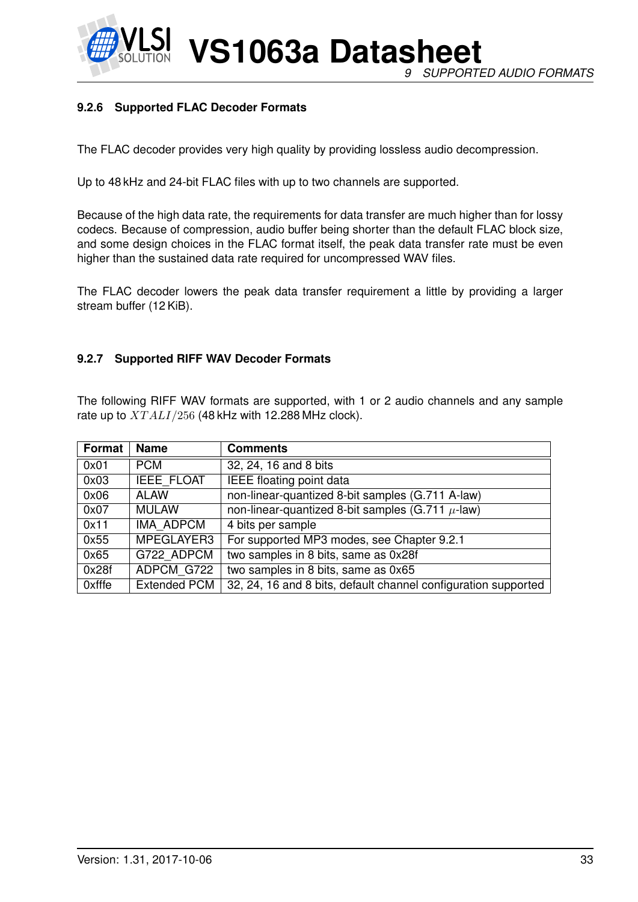

**VS1063a Datasheet** *9 SUPPORTED AUDIO FORMATS*

#### <span id="page-32-0"></span>**9.2.6 Supported FLAC Decoder Formats**

The FLAC decoder provides very high quality by providing lossless audio decompression.

Up to 48 kHz and 24-bit FLAC files with up to two channels are supported.

Because of the high data rate, the requirements for data transfer are much higher than for lossy codecs. Because of compression, audio buffer being shorter than the default FLAC block size, and some design choices in the FLAC format itself, the peak data transfer rate must be even higher than the sustained data rate required for uncompressed WAV files.

The FLAC decoder lowers the peak data transfer requirement a little by providing a larger stream buffer (12 KiB).

#### <span id="page-32-1"></span>**9.2.7 Supported RIFF WAV Decoder Formats**

The following RIFF WAV formats are supported, with 1 or 2 audio channels and any sample rate up to  $XTALI/256$  (48 kHz with 12.288 MHz clock).

| <b>Format</b> | <b>Name</b>         | <b>Comments</b>                                                |
|---------------|---------------------|----------------------------------------------------------------|
| 0x01          | <b>PCM</b>          | 32, 24, 16 and 8 bits                                          |
| 0x03          | <b>IEEE FLOAT</b>   | <b>IEEE</b> floating point data                                |
| 0x06          | <b>ALAW</b>         | non-linear-quantized 8-bit samples (G.711 A-law)               |
| 0x07          | <b>MULAW</b>        | non-linear-quantized 8-bit samples (G.711 $\mu$ -law)          |
| 0x11          | <b>IMA ADPCM</b>    | 4 bits per sample                                              |
| 0x55          | MPEGLAYER3          | For supported MP3 modes, see Chapter 9.2.1                     |
| 0x65          | G722 ADPCM          | two samples in 8 bits, same as 0x28f                           |
| 0x28f         | ADPCM G722          | two samples in 8 bits, same as 0x65                            |
| 0xfffe        | <b>Extended PCM</b> | 32, 24, 16 and 8 bits, default channel configuration supported |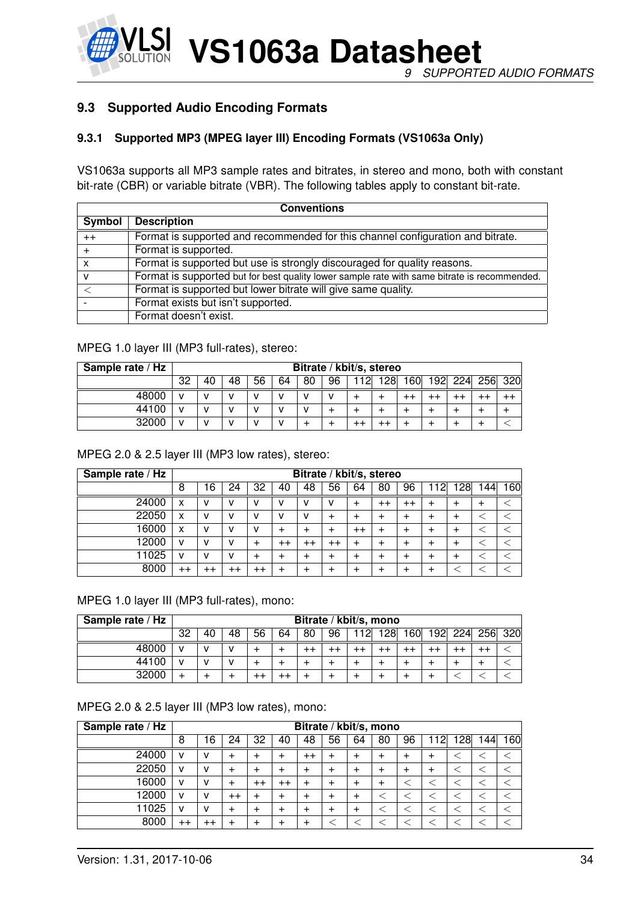

#### <span id="page-33-1"></span><span id="page-33-0"></span>**9.3 Supported Audio Encoding Formats**

#### **9.3.1 Supported MP3 (MPEG layer III) Encoding Formats (VS1063a Only)**

VS1063a supports all MP3 sample rates and bitrates, in stereo and mono, both with constant bit-rate (CBR) or variable bitrate (VBR). The following tables apply to constant bit-rate.

| <b>Conventions</b> |                                                                                              |  |  |  |  |  |  |  |
|--------------------|----------------------------------------------------------------------------------------------|--|--|--|--|--|--|--|
| Symbol             | <b>Description</b>                                                                           |  |  |  |  |  |  |  |
| $++$               | Format is supported and recommended for this channel configuration and bitrate.              |  |  |  |  |  |  |  |
|                    | Format is supported.                                                                         |  |  |  |  |  |  |  |
| X                  | Format is supported but use is strongly discouraged for quality reasons.                     |  |  |  |  |  |  |  |
| v                  | Format is supported but for best quality lower sample rate with same bitrate is recommended. |  |  |  |  |  |  |  |
|                    | Format is supported but lower bitrate will give same quality.                                |  |  |  |  |  |  |  |
|                    | Format exists but isn't supported.                                                           |  |  |  |  |  |  |  |
|                    | Format doesn't exist.                                                                        |  |  |  |  |  |  |  |

#### MPEG 1.0 layer III (MP3 full-rates), stereo:

| Sample rate / Hz |    | Bitrate / kbit/s, stereo |              |    |    |    |    |     |     |       |     |     |         |  |
|------------------|----|--------------------------|--------------|----|----|----|----|-----|-----|-------|-----|-----|---------|--|
|                  | 32 | 40                       | 48           | 56 | 64 | 80 | 96 | 112 | 128 | l 60l | 192 | 224 | 256 320 |  |
| 48000            |    |                          | $\mathbf{v}$ | v  | v  | v  | v  |     |     |       |     |     |         |  |
| 44100            |    |                          |              | v  | v  | v  |    |     |     |       |     |     |         |  |
| 32000            |    |                          |              | v  | v  |    |    |     |     |       |     |     |         |  |

MPEG 2.0 & 2.5 layer III (MP3 low rates), stereo:

| Sample rate / Hz |                 | Bitrate / kbit/s, stereo |                 |         |           |                 |                  |                 |                 |         |    |       |    |     |
|------------------|-----------------|--------------------------|-----------------|---------|-----------|-----------------|------------------|-----------------|-----------------|---------|----|-------|----|-----|
|                  | 8               | 16                       | 24              | 32      | 40        | 48              | 56               | 64              | 80              | 96      | 12 | 128   | 44 | 160 |
| 24000            | x               | v                        |                 | v       | v         | v               | v                | $\div$          | $^{\mathrm{+}}$ | $^{++}$ | ┿  | +     | ٠  |     |
| 22050            | x               | v                        |                 | v       | v         | v               | $\div$           |                 |                 | +       | ┿  | +     |    |     |
| 16000            | x               | v                        |                 | ν       | +         | +               | ÷                | $^{\mathrm{+}}$ |                 |         |    |       |    |     |
| 12000            | v               | v                        |                 | +       | $^{++}$   | $^{\mathrm{+}}$ | $^{\mathrm{++}}$ |                 |                 |         |    | $\pm$ |    |     |
| 11025            | v               | v                        |                 | ┿       | $\ddot{}$ | +               | ٠                |                 |                 |         | ┿  |       |    |     |
| 8000             | $^{\mathrm{+}}$ | $^{++}$                  | $^{\mathrm{+}}$ | $^{++}$ | +         | +               | $\pm$            |                 |                 |         |    |       |    |     |

MPEG 1.0 layer III (MP3 full-rates), mono:

| Sample rate / Hz |    | Bitrate / kbit/s, mono |    |    |    |    |    |    |     |     |     |     |         |  |
|------------------|----|------------------------|----|----|----|----|----|----|-----|-----|-----|-----|---------|--|
|                  | 32 | 40                     | 48 | 56 | 64 | 80 | 96 | 12 | 128 | 160 | 192 | 224 | 256 320 |  |
| 48000            |    |                        |    |    |    |    |    |    | - 1 |     |     |     |         |  |
| 44100            |    |                        |    |    |    |    |    |    |     |     |     |     |         |  |
| 32000            |    |                        |    |    |    |    |    |    |     |     |     |     |         |  |

#### MPEG 2.0 & 2.5 layer III (MP3 low rates), mono:

| Sample rate / Hz |         | Bitrate / kbit/s, mono |                  |                 |         |                 |       |        |    |    |     |     |     |     |
|------------------|---------|------------------------|------------------|-----------------|---------|-----------------|-------|--------|----|----|-----|-----|-----|-----|
|                  | 8       | 16                     | 24               | 32              | 40      | 48              | 56    | 64     | 80 | 96 | 112 | 128 | 144 | 160 |
| 24000            | v       | v                      | ÷                | $\mathbf +$     | $\pm$   | $^{\mathrm{+}}$ | ٠     | $\div$ |    | +  | +   |     |     |     |
| 22050            | v       | v                      |                  | ٠               | +       | $\ddot{}$       | $\pm$ |        |    |    | ┿   |     |     |     |
| 16000            | v       | v                      |                  | $^{\mathrm{+}}$ | $^{++}$ | $\pm$           | ٠     |        |    |    |     |     |     |     |
| 12000            | v       | v                      | $^{\mathrm{++}}$ | ٠               | +       | $\pm$           | ┿     | $\div$ |    |    |     |     |     |     |
| 11025            | v       | v                      | +                | ᆠ               | +       | $\pm$           | ٠     |        |    |    |     |     |     |     |
| 8000             | $^{++}$ | $^{\mathrm{+}}$        |                  | ᆠ               | +       | $\pm$           |       |        |    |    |     |     |     |     |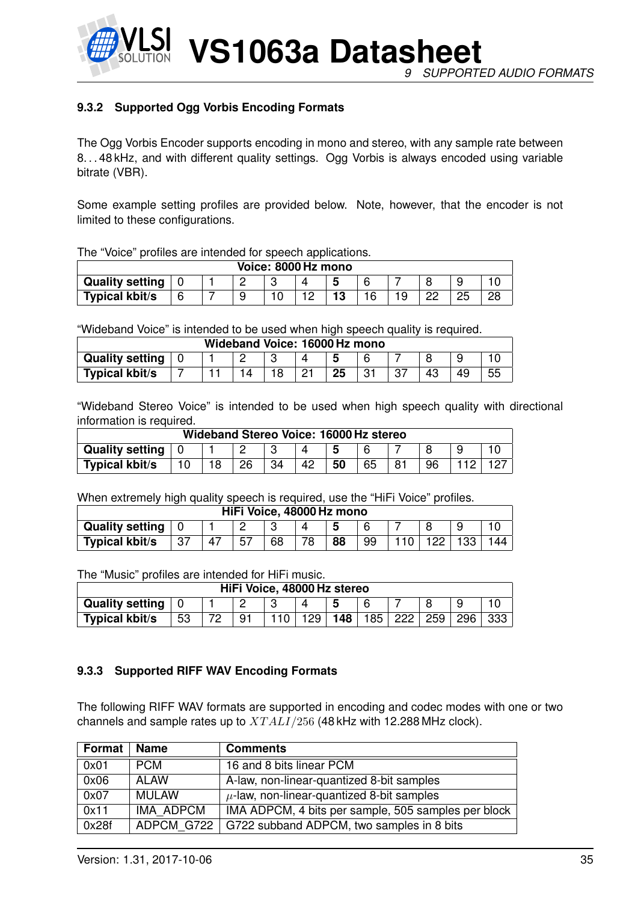

*9 SUPPORTED AUDIO FORMATS*

#### <span id="page-34-0"></span>**9.3.2 Supported Ogg Vorbis Encoding Formats**

The Ogg Vorbis Encoder supports encoding in mono and stereo, with any sample rate between 8. . . 48 kHz, and with different quality settings. Ogg Vorbis is always encoded using variable bitrate (VBR).

Some example setting profiles are provided below. Note, however, that the encoder is not limited to these configurations.

The "Voice" profiles are intended for speech applications.

| Voice: 8000 Hz mono    |  |  |  |  |  |  |  |  |    |    |  |
|------------------------|--|--|--|--|--|--|--|--|----|----|--|
| <b>Quality setting</b> |  |  |  |  |  |  |  |  |    |    |  |
| <b>Typical kbit/s</b>  |  |  |  |  |  |  |  |  | nr | 25 |  |

"Wideband Voice" is intended to be used when high speech quality is required.

| Wideband Voice: 16000 Hz mono |  |  |  |     |  |    |     |  |    |    |    |
|-------------------------------|--|--|--|-----|--|----|-----|--|----|----|----|
| <b>Quality setting</b>        |  |  |  |     |  |    |     |  |    |    |    |
| Typical kbit/s                |  |  |  | 1 O |  | 25 | ⊸ - |  | 43 | 49 | 55 |

"Wideband Stereo Voice" is intended to be used when high speech quality with directional information is required.

| Wideband Stereo Voice: 16000 Hz stereo |  |    |    |    |    |    |    |    |  |
|----------------------------------------|--|----|----|----|----|----|----|----|--|
| <b>Quality setting</b>                 |  |    |    |    |    |    |    |    |  |
| <b>Typical kbit/s</b>                  |  | 18 | 26 | 34 | 42 | 50 | 65 | 96 |  |

When extremely high quality speech is required, use the "HiFi Voice" profiles.

| HiFi Voice, 48000 Hz mono |     |  |    |    |  |    |    |  |  |  |
|---------------------------|-----|--|----|----|--|----|----|--|--|--|
| <b>Quality setting</b>    |     |  |    |    |  |    |    |  |  |  |
| <b>Typical kbit/s</b>     | -37 |  | 57 | 68 |  | 88 | 99 |  |  |  |

The "Music" profiles are intended for HiFi music.

| HiFi Voice, 48000 Hz stereo |    |  |     |  |     |     |                  |     |     |     |     |
|-----------------------------|----|--|-----|--|-----|-----|------------------|-----|-----|-----|-----|
| <b>Quality setting</b>      |    |  |     |  |     |     |                  |     |     |     |     |
| <b>Typical kbit/s</b>       | 53 |  | ് 9 |  | 129 | 148 | 185 <sub>1</sub> | 222 | 259 | 296 | 333 |

#### <span id="page-34-1"></span>**9.3.3 Supported RIFF WAV Encoding Formats**

The following RIFF WAV formats are supported in encoding and codec modes with one or two channels and sample rates up to  $XTALI/256$  (48 kHz with 12.288 MHz clock).

| Format | <b>Name</b>      | <b>Comments</b>                                     |
|--------|------------------|-----------------------------------------------------|
| 0x01   | <b>PCM</b>       | 16 and 8 bits linear PCM                            |
| 0x06   | ALAW             | A-law, non-linear-quantized 8-bit samples           |
| 0x07   | <b>MULAW</b>     | $\mu$ -law, non-linear-quantized 8-bit samples      |
| 0x11   | <b>IMA ADPCM</b> | IMA ADPCM, 4 bits per sample, 505 samples per block |
| 0x28f  | ADPCM G722       | G722 subband ADPCM, two samples in 8 bits           |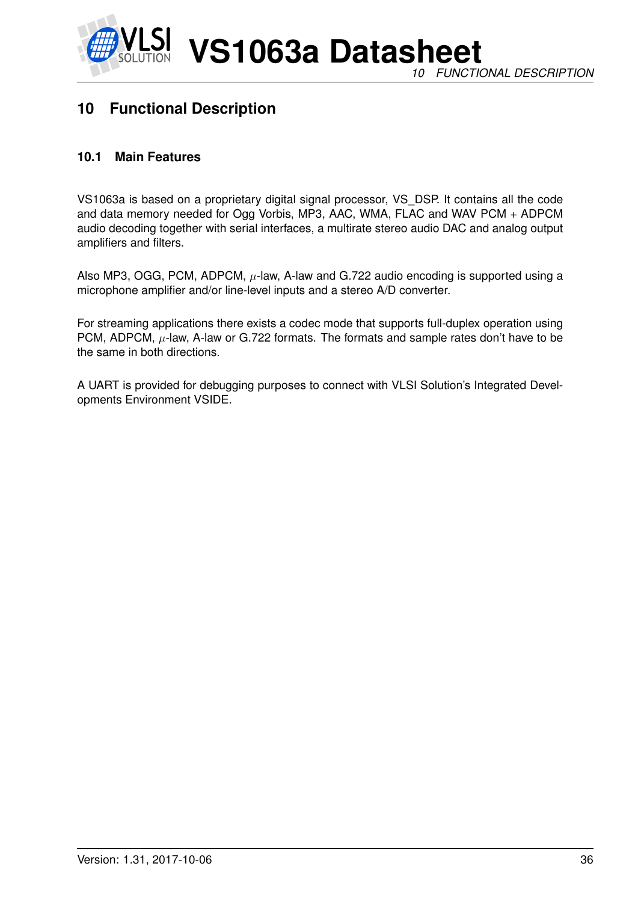

## <span id="page-35-0"></span>**10 Functional Description**

#### <span id="page-35-1"></span>**10.1 Main Features**

VS1063a is based on a proprietary digital signal processor, VS\_DSP. It contains all the code and data memory needed for Ogg Vorbis, MP3, AAC, WMA, FLAC and WAV PCM + ADPCM audio decoding together with serial interfaces, a multirate stereo audio DAC and analog output amplifiers and filters.

Also MP3, OGG, PCM, ADPCM,  $\mu$ -law, A-law and G.722 audio encoding is supported using a microphone amplifier and/or line-level inputs and a stereo A/D converter.

For streaming applications there exists a codec mode that supports full-duplex operation using PCM, ADPCM,  $\mu$ -law, A-law or G.722 formats. The formats and sample rates don't have to be the same in both directions.

A UART is provided for debugging purposes to connect with VLSI Solution's Integrated Developments Environment VSIDE.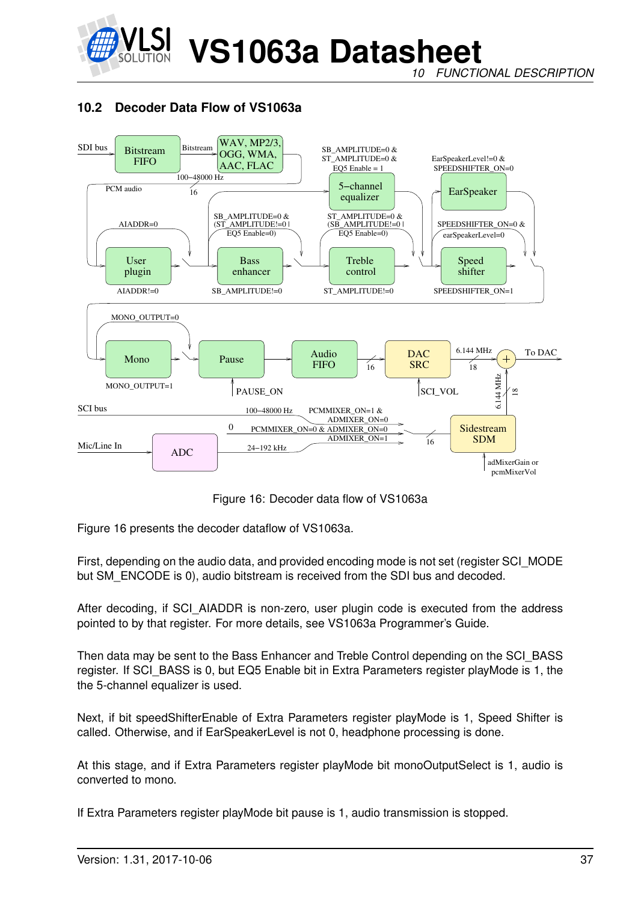

*FUNCTIONAL DESCRIPTION* 

# <span id="page-36-1"></span>**10.2 Decoder Data Flow of VS1063a**



<span id="page-36-0"></span>Figure 16: Decoder data flow of VS1063a

Figure [16](#page-36-0) presents the decoder dataflow of VS1063a.

First, depending on the audio data, and provided encoding mode is not set (register SCI\_MODE but SM\_ENCODE is 0), audio bitstream is received from the SDI bus and decoded.

After decoding, if SCI AIADDR is non-zero, user plugin code is executed from the address pointed to by that register. For more details, see VS1063a Programmer's Guide.

Then data may be sent to the Bass Enhancer and Treble Control depending on the SCI\_BASS register. If SCI BASS is 0, but EQ5 Enable bit in Extra Parameters register playMode is 1, the the 5-channel equalizer is used.

Next, if bit speedShifterEnable of Extra Parameters register playMode is 1, Speed Shifter is called. Otherwise, and if EarSpeakerLevel is not 0, headphone processing is done.

At this stage, and if Extra Parameters register playMode bit monoOutputSelect is 1, audio is converted to mono.

If Extra Parameters register playMode bit pause is 1, audio transmission is stopped.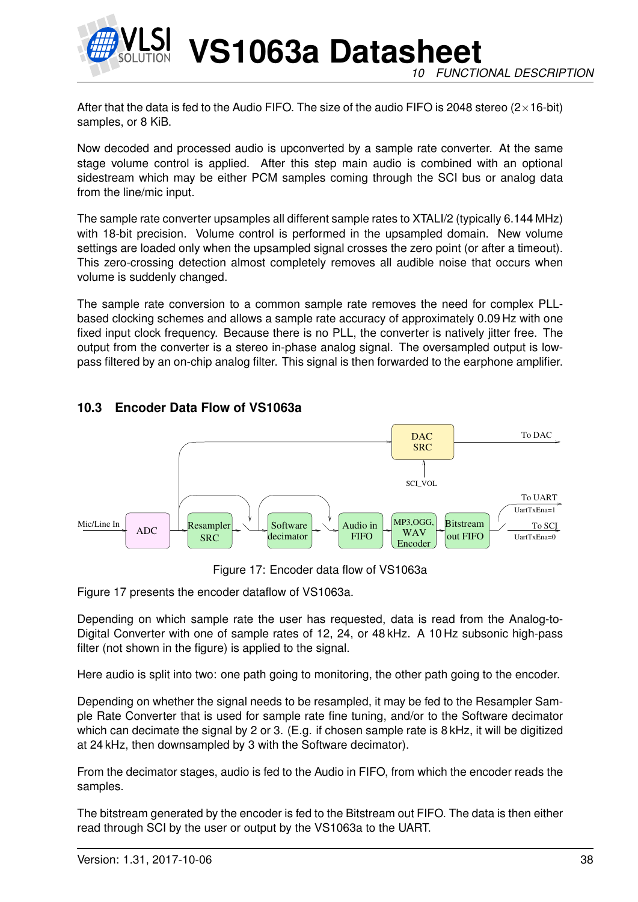

**VS1063a Datasheet FUNCTIONAL DESCRIPTION** 

After that the data is fed to the Audio FIFO. The size of the audio FIFO is 2048 stereo ( $2\times16$ -bit) samples, or 8 KiB.

Now decoded and processed audio is upconverted by a sample rate converter. At the same stage volume control is applied. After this step main audio is combined with an optional sidestream which may be either PCM samples coming through the SCI bus or analog data from the line/mic input.

The sample rate converter upsamples all different sample rates to XTALI/2 (typically 6.144 MHz) with 18-bit precision. Volume control is performed in the upsampled domain. New volume settings are loaded only when the upsampled signal crosses the zero point (or after a timeout). This zero-crossing detection almost completely removes all audible noise that occurs when volume is suddenly changed.

The sample rate conversion to a common sample rate removes the need for complex PLLbased clocking schemes and allows a sample rate accuracy of approximately 0.09 Hz with one fixed input clock frequency. Because there is no PLL, the converter is natively jitter free. The output from the converter is a stereo in-phase analog signal. The oversampled output is lowpass filtered by an on-chip analog filter. This signal is then forwarded to the earphone amplifier.

# <span id="page-37-1"></span>**10.3 Encoder Data Flow of VS1063a**



<span id="page-37-0"></span>Figure 17: Encoder data flow of VS1063a

Figure [17](#page-37-0) presents the encoder dataflow of VS1063a.

Depending on which sample rate the user has requested, data is read from the Analog-to-Digital Converter with one of sample rates of 12, 24, or 48 kHz. A 10 Hz subsonic high-pass filter (not shown in the figure) is applied to the signal.

Here audio is split into two: one path going to monitoring, the other path going to the encoder.

Depending on whether the signal needs to be resampled, it may be fed to the Resampler Sample Rate Converter that is used for sample rate fine tuning, and/or to the Software decimator which can decimate the signal by 2 or 3. (E.g. if chosen sample rate is 8 kHz, it will be digitized at 24 kHz, then downsampled by 3 with the Software decimator).

From the decimator stages, audio is fed to the Audio in FIFO, from which the encoder reads the samples.

The bitstream generated by the encoder is fed to the Bitstream out FIFO. The data is then either read through SCI by the user or output by the VS1063a to the UART.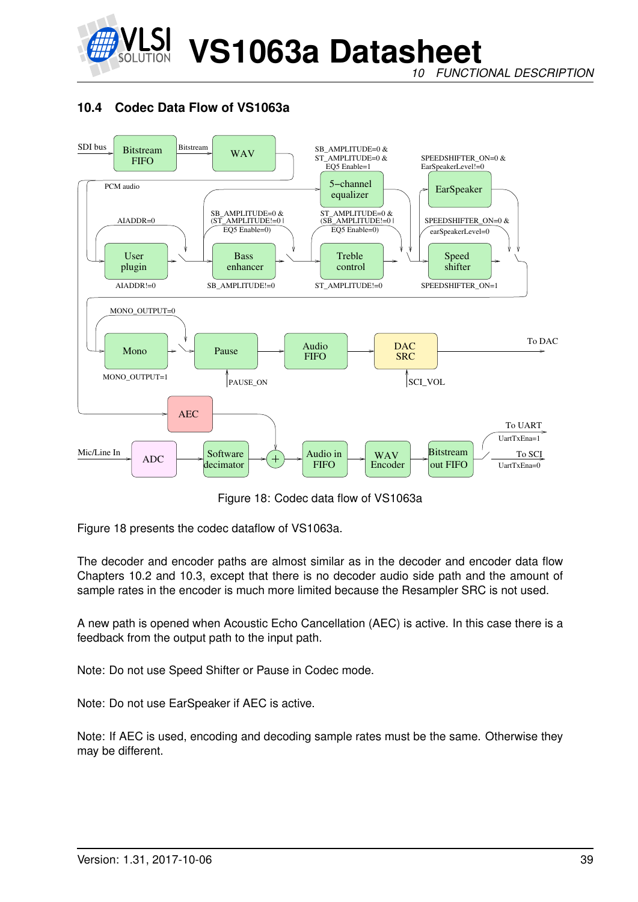

*FUNCTIONAL DESCRIPTION* 

# **10.4 Codec Data Flow of VS1063a**



<span id="page-38-0"></span>Figure 18: Codec data flow of VS1063a

Figure [18](#page-38-0) presents the codec dataflow of VS1063a.

The decoder and encoder paths are almost similar as in the decoder and encoder data flow Chapters [10.2](#page-36-1) and [10.3,](#page-37-1) except that there is no decoder audio side path and the amount of sample rates in the encoder is much more limited because the Resampler SRC is not used.

A new path is opened when Acoustic Echo Cancellation (AEC) is active. In this case there is a feedback from the output path to the input path.

Note: Do not use Speed Shifter or Pause in Codec mode.

Note: Do not use EarSpeaker if AEC is active.

Note: If AEC is used, encoding and decoding sample rates must be the same. Otherwise they may be different.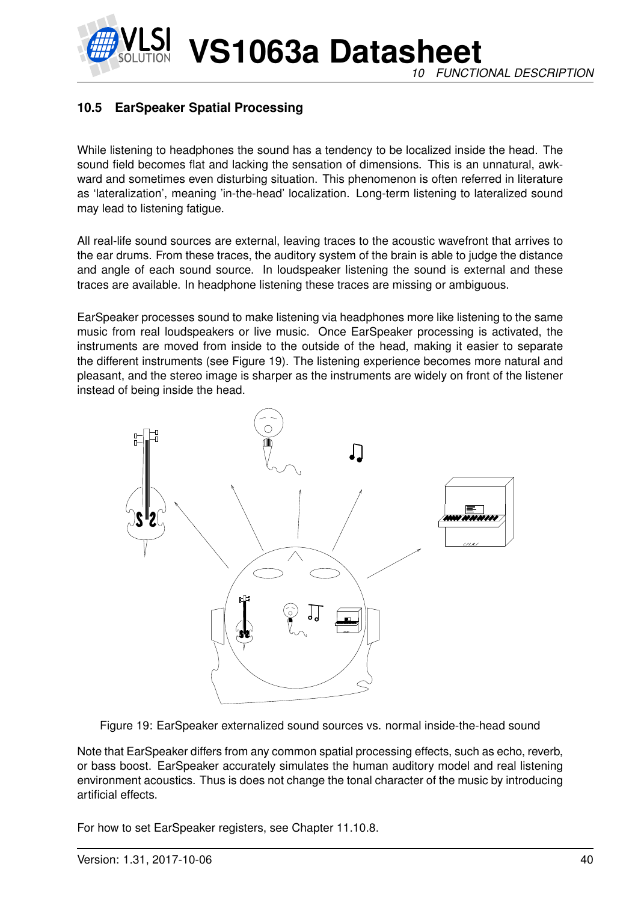#### *10 FUNCTIONAL DESCRIPTION*

# **10.5 EarSpeaker Spatial Processing**

While listening to headphones the sound has a tendency to be localized inside the head. The sound field becomes flat and lacking the sensation of dimensions. This is an unnatural, awkward and sometimes even disturbing situation. This phenomenon is often referred in literature as 'lateralization', meaning 'in-the-head' localization. Long-term listening to lateralized sound may lead to listening fatigue.

All real-life sound sources are external, leaving traces to the acoustic wavefront that arrives to the ear drums. From these traces, the auditory system of the brain is able to judge the distance and angle of each sound source. In loudspeaker listening the sound is external and these traces are available. In headphone listening these traces are missing or ambiguous.

EarSpeaker processes sound to make listening via headphones more like listening to the same music from real loudspeakers or live music. Once EarSpeaker processing is activated, the instruments are moved from inside to the outside of the head, making it easier to separate the different instruments (see Figure [19\)](#page-39-0). The listening experience becomes more natural and pleasant, and the stereo image is sharper as the instruments are widely on front of the listener instead of being inside the head.



<span id="page-39-0"></span>Figure 19: EarSpeaker externalized sound sources vs. normal inside-the-head sound

Note that EarSpeaker differs from any common spatial processing effects, such as echo, reverb, or bass boost. EarSpeaker accurately simulates the human auditory model and real listening environment acoustics. Thus is does not change the tonal character of the music by introducing artificial effects.

For how to set EarSpeaker registers, see Chapter [11.10.8.](#page-77-0)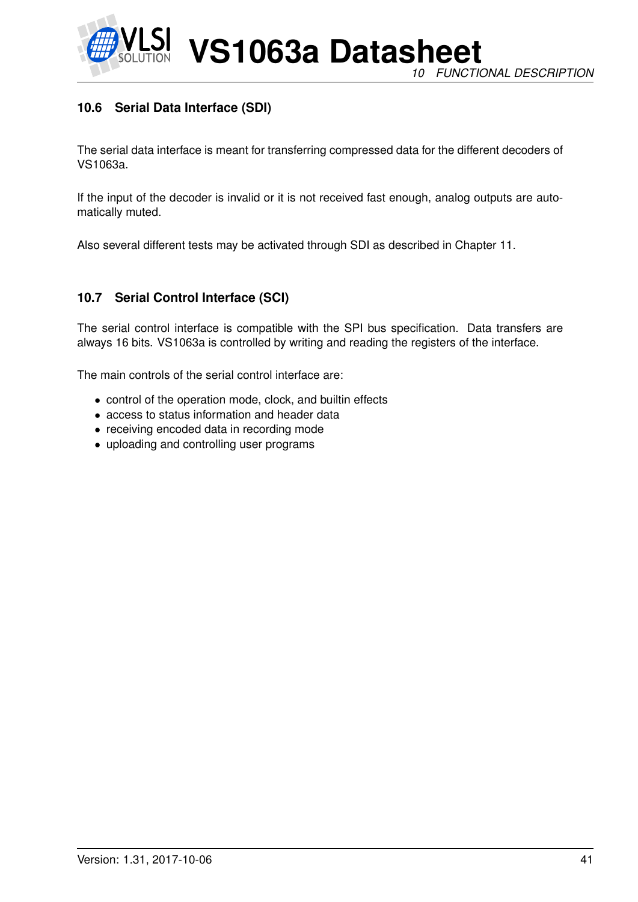

# **10.6 Serial Data Interface (SDI)**

The serial data interface is meant for transferring compressed data for the different decoders of VS1063a.

If the input of the decoder is invalid or it is not received fast enough, analog outputs are automatically muted.

Also several different tests may be activated through SDI as described in Chapter [11.](#page-53-0)

# **10.7 Serial Control Interface (SCI)**

The serial control interface is compatible with the SPI bus specification. Data transfers are always 16 bits. VS1063a is controlled by writing and reading the registers of the interface.

The main controls of the serial control interface are:

- control of the operation mode, clock, and builtin effects
- access to status information and header data
- receiving encoded data in recording mode
- uploading and controlling user programs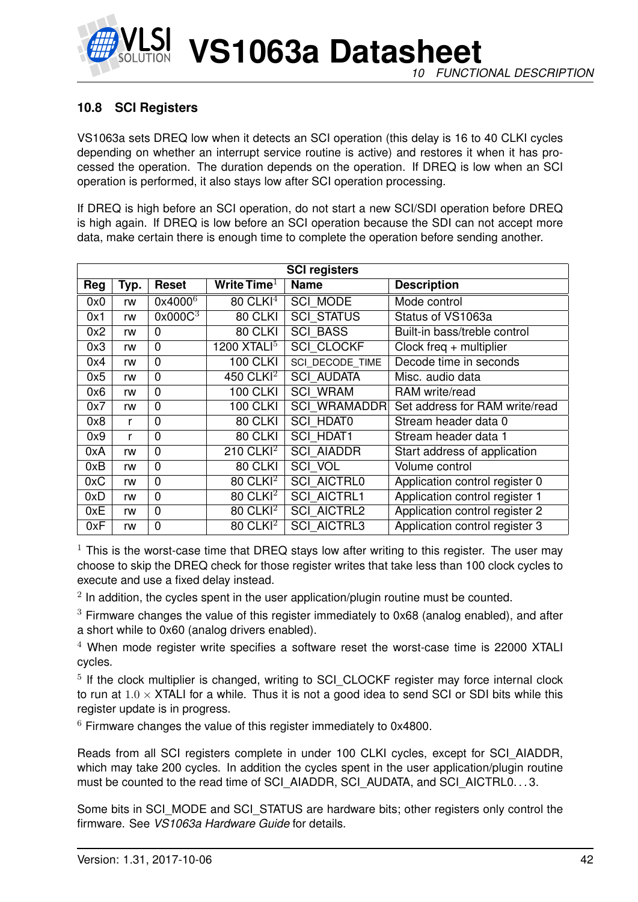

# <span id="page-41-0"></span>**10.8 SCI Registers**

VS1063a sets DREQ low when it detects an SCI operation (this delay is 16 to 40 CLKI cycles depending on whether an interrupt service routine is active) and restores it when it has processed the operation. The duration depends on the operation. If DREQ is low when an SCI operation is performed, it also stays low after SCI operation processing.

If DREQ is high before an SCI operation, do not start a new SCI/SDI operation before DREQ is high again. If DREQ is low before an SCI operation because the SDI can not accept more data, make certain there is enough time to complete the operation before sending another.

|     | <b>SCI registers</b> |                     |                        |                     |                                |  |
|-----|----------------------|---------------------|------------------------|---------------------|--------------------------------|--|
| Reg | Typ.                 | Reset               | Write Time $^1$        | <b>Name</b>         | <b>Description</b>             |  |
| 0x0 | rw                   | $0x4000^6$          | $80$ CLKI <sup>4</sup> | <b>SCI MODE</b>     | Mode control                   |  |
| 0x1 | rw                   | 0x000C <sup>3</sup> | 80 CLKI                | <b>SCI STATUS</b>   | Status of VS1063a              |  |
| 0x2 | rw                   | $\Omega$            | 80 CLKI                | <b>SCI BASS</b>     | Built-in bass/treble control   |  |
| 0x3 | rw                   | $\mathbf 0$         | 1200 $XTALI5$          | <b>SCI CLOCKF</b>   | Clock freq $+$ multiplier      |  |
| 0x4 | rw                   | $\mathbf 0$         | <b>100 CLKI</b>        | SCI DECODE TIME     | Decode time in seconds         |  |
| 0x5 | rw                   | $\mathbf 0$         | 450 CLK $1^2$          | <b>SCI AUDATA</b>   | Misc. audio data               |  |
| 0x6 | rw                   | $\mathbf 0$         | <b>100 CLKI</b>        | <b>SCI WRAM</b>     | RAM write/read                 |  |
| 0x7 | rw                   | $\mathbf 0$         | <b>100 CLKI</b>        | <b>SCI WRAMADDR</b> | Set address for RAM write/read |  |
| 0x8 | r                    | $\mathbf 0$         | 80 CLKI                | <b>SCI HDAT0</b>    | Stream header data 0           |  |
| 0x9 | r                    | $\mathbf 0$         | 80 CLKI                | <b>SCI HDAT1</b>    | Stream header data 1           |  |
| 0xA | rw                   | $\mathbf 0$         | 210 CLKI $^2$          | <b>SCI AIADDR</b>   | Start address of application   |  |
| 0xB | rw                   | $\mathbf 0$         | 80 CLKI                | SCI VOL             | Volume control                 |  |
| 0xC | rw                   | $\mathbf 0$         | $80$ CLKI <sup>2</sup> | <b>SCI AICTRL0</b>  | Application control register 0 |  |
| 0xD | rw                   | $\mathbf 0$         | $80$ CLKI <sup>2</sup> | <b>SCI AICTRL1</b>  | Application control register 1 |  |
| 0xE | rw                   | $\mathbf 0$         | $80$ CLKI <sup>2</sup> | <b>SCI AICTRL2</b>  | Application control register 2 |  |
| 0xF | rw                   | $\mathbf 0$         | 80 CLKI <sup>2</sup>   | <b>SCI AICTRL3</b>  | Application control register 3 |  |

 $1$  This is the worst-case time that DREQ stays low after writing to this register. The user may choose to skip the DREQ check for those register writes that take less than 100 clock cycles to execute and use a fixed delay instead.

 $2$  In addition, the cycles spent in the user application/plugin routine must be counted.

 $3$  Firmware changes the value of this register immediately to 0x68 (analog enabled), and after a short while to 0x60 (analog drivers enabled).

 $4$  When mode register write specifies a software reset the worst-case time is 22000 XTALI cycles.

<sup>5</sup> If the clock multiplier is changed, writing to SCI\_CLOCKF register may force internal clock to run at  $1.0 \times$  XTALI for a while. Thus it is not a good idea to send SCI or SDI bits while this register update is in progress.

 $6$  Firmware changes the value of this register immediately to 0x4800.

Reads from all SCI registers complete in under 100 CLKI cycles, except for SCI\_AIADDR, which may take 200 cycles. In addition the cycles spent in the user application/plugin routine must be counted to the read time of SCI\_AIADDR, SCI\_AUDATA, and SCI\_AICTRL0. . . 3.

Some bits in SCI\_MODE and SCI\_STATUS are hardware bits; other registers only control the firmware. See *VS1063a Hardware Guide* for details.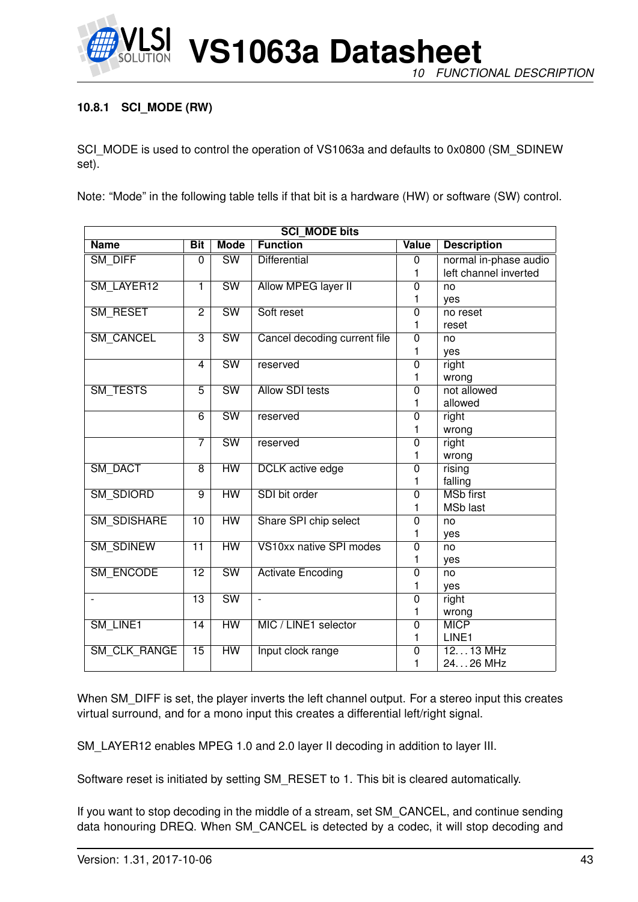

*10 FUNCTIONAL DESCRIPTION*

# <span id="page-42-0"></span>**10.8.1 SCI\_MODE (RW)**

SCI\_MODE is used to control the operation of VS1063a and defaults to 0x0800 (SM\_SDINEW set).

Note: "Mode" in the following table tells if that bit is a hardware (HW) or software (SW) control.

| <b>SCI MODE bits</b>     |                 |                        |                              |                |                       |
|--------------------------|-----------------|------------------------|------------------------------|----------------|-----------------------|
| <b>Name</b>              | <b>Bit</b>      | <b>Mode</b>            | <b>Function</b>              | <b>Value</b>   | <b>Description</b>    |
| SM DIFF                  | 0               | <b>SW</b>              | <b>Differential</b>          | $\overline{0}$ | normal in-phase audio |
|                          |                 |                        |                              | 1              | left channel inverted |
| SM LAYER12               | 1               | $\overline{\text{SW}}$ | <b>Allow MPEG layer II</b>   | $\overline{0}$ | no                    |
|                          |                 |                        |                              | 1              | ves                   |
| <b>SM RESET</b>          | $\overline{2}$  | $\overline{\text{SW}}$ | Soft reset                   | $\overline{0}$ | no reset              |
|                          |                 |                        |                              | 1              | reset                 |
| SM_CANCEL                | $\overline{3}$  | $\overline{\text{SW}}$ | Cancel decoding current file | $\overline{0}$ | no                    |
|                          |                 |                        |                              | 1              | yes                   |
|                          | 4               | $\overline{\text{SW}}$ | reserved                     | $\overline{0}$ | right                 |
|                          |                 |                        |                              | 1              | wrong                 |
| <b>SM TESTS</b>          | $\overline{5}$  | $\overline{\text{SW}}$ | <b>Allow SDI tests</b>       | $\overline{0}$ | not allowed           |
|                          |                 |                        |                              | 1              | allowed               |
|                          | 6               | <b>SW</b>              | reserved                     | $\overline{0}$ | right                 |
|                          |                 |                        |                              | 1              | wrong                 |
|                          | 7               | $\overline{\text{SW}}$ | reserved                     | $\overline{0}$ | right                 |
|                          |                 |                        |                              | 1              | wrong                 |
| <b>SM DACT</b>           | 8               | HW                     | <b>DCLK</b> active edge      | $\overline{0}$ | rising                |
|                          |                 |                        |                              | 1              | falling               |
| <b>SM SDIORD</b>         | $\overline{9}$  | $\overline{HW}$        | SDI bit order                | $\overline{0}$ | <b>MSb first</b>      |
|                          |                 |                        |                              | 1              | <b>MSb last</b>       |
| <b>SM SDISHARE</b>       | $\overline{10}$ | HW                     | Share SPI chip select        | $\Omega$       | no                    |
|                          |                 |                        |                              | 1              | yes                   |
| SM_SDINEW                | $\overline{11}$ | $\overline{HW}$        | VS10xx native SPI modes      | 0              | no                    |
|                          |                 |                        |                              | 1              | yes                   |
| <b>SM ENCODE</b>         | $\overline{12}$ | $\overline{\text{SW}}$ | <b>Activate Encoding</b>     | $\overline{0}$ | no                    |
|                          |                 |                        |                              | 1              | yes                   |
| $\overline{\phantom{0}}$ | $\overline{13}$ | <b>SW</b>              | $\blacksquare$               | $\overline{0}$ | right                 |
|                          |                 |                        |                              | 1              | wrong                 |
| SM LINE1                 | 14              | HW                     | MIC / LINE1 selector         | $\overline{0}$ | <b>MICP</b>           |
|                          |                 |                        |                              | 1              | LINE1                 |
| <b>SM CLK RANGE</b>      | $\overline{15}$ | HW                     | Input clock range            | $\overline{0}$ | $1213$ MHz            |
|                          |                 |                        |                              | 1              | 2426 MHz              |

When SM\_DIFF is set, the player inverts the left channel output. For a stereo input this creates virtual surround, and for a mono input this creates a differential left/right signal.

SM\_LAYER12 enables MPEG 1.0 and 2.0 layer II decoding in addition to layer III.

Software reset is initiated by setting SM\_RESET to 1. This bit is cleared automatically.

If you want to stop decoding in the middle of a stream, set SM\_CANCEL, and continue sending data honouring DREQ. When SM\_CANCEL is detected by a codec, it will stop decoding and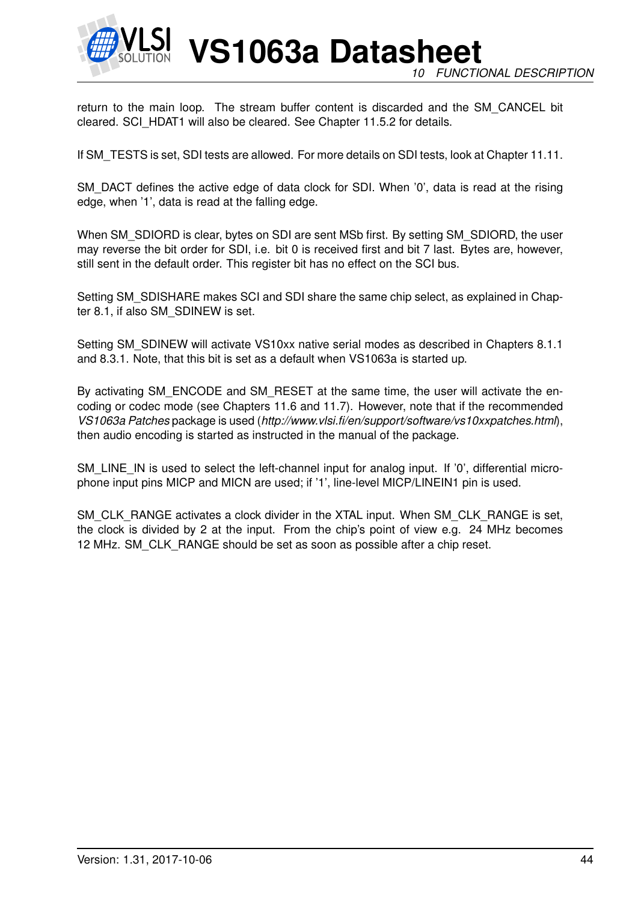

**VS1063a Datasheet** *10 FUNCTIONAL DESCRIPTION*

return to the main loop. The stream buffer content is discarded and the SM\_CANCEL bit cleared. SCI\_HDAT1 will also be cleared. See Chapter [11.5.2](#page-55-0) for details.

If SM\_TESTS is set, SDI tests are allowed. For more details on SDI tests, look at Chapter [11.11.](#page-82-0)

SM\_DACT defines the active edge of data clock for SDI. When '0', data is read at the rising edge, when '1', data is read at the falling edge.

When SM\_SDIORD is clear, bytes on SDI are sent MSb first. By setting SM\_SDIORD, the user may reverse the bit order for SDI, i.e. bit 0 is received first and bit 7 last. Bytes are, however, still sent in the default order. This register bit has no effect on the SCI bus.

Setting SM\_SDISHARE makes SCI and SDI share the same chip select, as explained in Chapter [8.1,](#page-17-0) if also SM\_SDINEW is set.

Setting SM\_SDINEW will activate VS10xx native serial modes as described in Chapters [8.1.1](#page-17-1) and [8.3.1.](#page-19-0) Note, that this bit is set as a default when VS1063a is started up.

By activating SM\_ENCODE and SM\_RESET at the same time, the user will activate the encoding or codec mode (see Chapters [11.6](#page-58-0) and [11.7\)](#page-66-0). However, note that if the recommended *VS1063a Patches* package is used (*http://www.vlsi.fi/en/support/software/vs10xxpatches.html*), then audio encoding is started as instructed in the manual of the package.

SM\_LINE\_IN is used to select the left-channel input for analog input. If '0', differential microphone input pins MICP and MICN are used; if '1', line-level MICP/LINEIN1 pin is used.

SM\_CLK\_RANGE activates a clock divider in the XTAL input. When SM\_CLK\_RANGE is set, the clock is divided by 2 at the input. From the chip's point of view e.g. 24 MHz becomes 12 MHz. SM\_CLK\_RANGE should be set as soon as possible after a chip reset.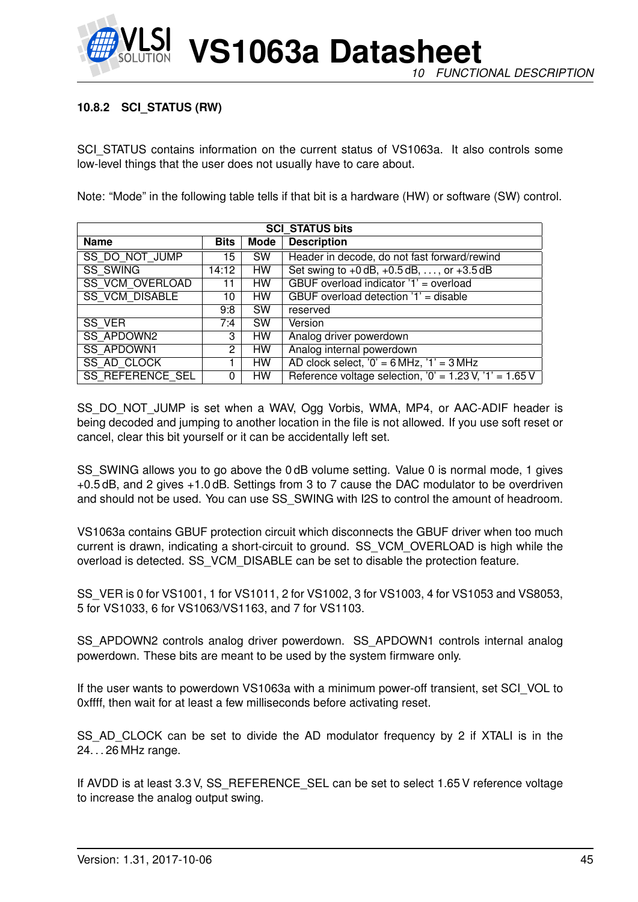

#### **10.8.2 SCI\_STATUS (RW)**

SCI\_STATUS contains information on the current status of VS1063a. It also controls some low-level things that the user does not usually have to care about.

Note: "Mode" in the following table tells if that bit is a hardware (HW) or software (SW) control.

| <b>SCI STATUS bits</b>  |             |             |                                                                            |
|-------------------------|-------------|-------------|----------------------------------------------------------------------------|
| <b>Name</b>             | <b>Bits</b> | <b>Mode</b> | <b>Description</b>                                                         |
| SS DO NOT JUMP          | 15          | <b>SW</b>   | Header in decode, do not fast forward/rewind                               |
| <b>SS SWING</b>         | 14:12       | HW.         | Set swing to $+0$ dB, $+0.5$ dB, , or $+3.5$ dB                            |
| <b>SS VCM OVERLOAD</b>  | 11          | HW          | GBUF overload indicator '1' = overload                                     |
| <b>SS VCM DISABLE</b>   | 10          | HW.         | GBUF overload detection '1' = disable                                      |
|                         | 9:8         | <b>SW</b>   | reserved                                                                   |
| <b>SS VER</b>           | 7:4         | <b>SW</b>   | Version                                                                    |
| <b>SS APDOWN2</b>       | 3           | HW.         | Analog driver powerdown                                                    |
| <b>SS APDOWN1</b>       | 2           | HW.         | Analog internal powerdown                                                  |
| SS_AD_CLOCK             |             | HW          | AD clock select, $0' = 6$ MHz, $1' = 3$ MHz                                |
| <b>SS REFERENCE SEL</b> | 0           | HW.         | Reference voltage selection, $0' = 1.23 \text{ V}$ , $1' = 1.65 \text{ V}$ |

SS\_DO\_NOT\_JUMP is set when a WAV, Ogg Vorbis, WMA, MP4, or AAC-ADIF header is being decoded and jumping to another location in the file is not allowed. If you use soft reset or cancel, clear this bit yourself or it can be accidentally left set.

SS SWING allows you to go above the 0 dB volume setting. Value 0 is normal mode, 1 gives +0.5 dB, and 2 gives +1.0 dB. Settings from 3 to 7 cause the DAC modulator to be overdriven and should not be used. You can use SS\_SWING with I2S to control the amount of headroom.

VS1063a contains GBUF protection circuit which disconnects the GBUF driver when too much current is drawn, indicating a short-circuit to ground. SS\_VCM\_OVERLOAD is high while the overload is detected. SS\_VCM\_DISABLE can be set to disable the protection feature.

SS\_VER is 0 for VS1001, 1 for VS1011, 2 for VS1002, 3 for VS1003, 4 for VS1053 and VS8053, 5 for VS1033, 6 for VS1063/VS1163, and 7 for VS1103.

SS\_APDOWN2 controls analog driver powerdown. SS\_APDOWN1 controls internal analog powerdown. These bits are meant to be used by the system firmware only.

If the user wants to powerdown VS1063a with a minimum power-off transient, set SCI\_VOL to 0xffff, then wait for at least a few milliseconds before activating reset.

SS\_AD\_CLOCK can be set to divide the AD modulator frequency by 2 if XTALI is in the 24. . . 26 MHz range.

If AVDD is at least 3.3 V, SS\_REFERENCE\_SEL can be set to select 1.65 V reference voltage to increase the analog output swing.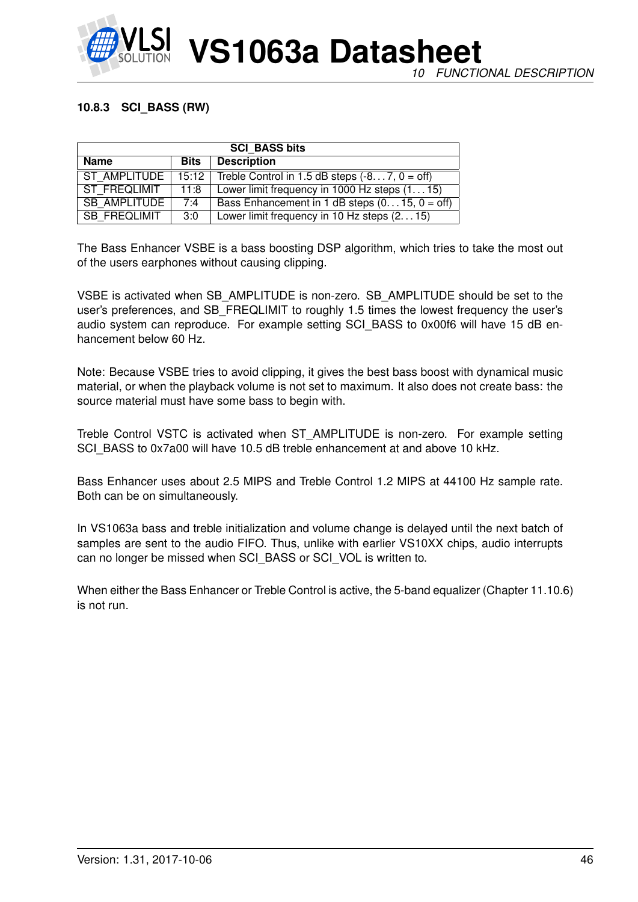

#### **10.8.3 SCI\_BASS (RW)**

| <b>SCI BASS bits</b> |             |                                                 |  |
|----------------------|-------------|-------------------------------------------------|--|
| <b>Name</b>          | <b>Bits</b> | <b>Description</b>                              |  |
| ST AMPLITUDE         | 15:12       | Treble Control in 1.5 dB steps $(-87, 0 = off)$ |  |
| ST FREQLIMIT         | 11:8        | Lower limit frequency in 1000 Hz steps $(115)$  |  |
| <b>SB AMPLITUDE</b>  | 7:4         | Bass Enhancement in 1 dB steps $(015, 0 = off)$ |  |
| SB FREQLIMIT         | 3:0         | Lower limit frequency in 10 Hz steps $(215)$    |  |

The Bass Enhancer VSBE is a bass boosting DSP algorithm, which tries to take the most out of the users earphones without causing clipping.

VSBE is activated when SB\_AMPLITUDE is non-zero. SB\_AMPLITUDE should be set to the user's preferences, and SB\_FREQLIMIT to roughly 1.5 times the lowest frequency the user's audio system can reproduce. For example setting SCI BASS to 0x00f6 will have 15 dB enhancement below 60 Hz.

Note: Because VSBE tries to avoid clipping, it gives the best bass boost with dynamical music material, or when the playback volume is not set to maximum. It also does not create bass: the source material must have some bass to begin with.

Treble Control VSTC is activated when ST\_AMPLITUDE is non-zero. For example setting SCI\_BASS to 0x7a00 will have 10.5 dB treble enhancement at and above 10 kHz.

Bass Enhancer uses about 2.5 MIPS and Treble Control 1.2 MIPS at 44100 Hz sample rate. Both can be on simultaneously.

In VS1063a bass and treble initialization and volume change is delayed until the next batch of samples are sent to the audio FIFO. Thus, unlike with earlier VS10XX chips, audio interrupts can no longer be missed when SCI\_BASS or SCI\_VOL is written to.

When either the Bass Enhancer or Treble Control is active, the 5-band equalizer (Chapter [11.10.6\)](#page-75-0) is not run.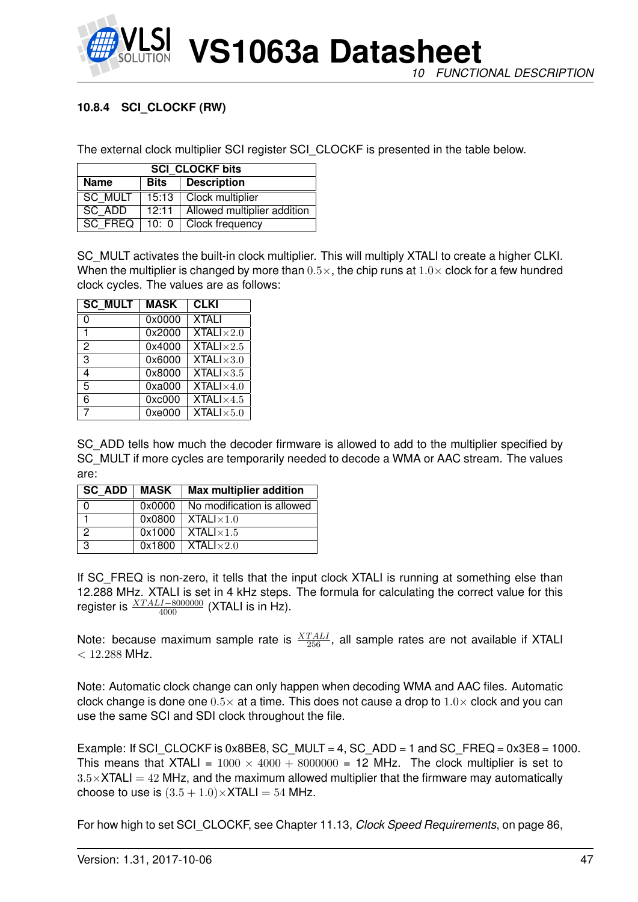

# <span id="page-46-0"></span>**10.8.4 SCI\_CLOCKF (RW)**

The external clock multiplier SCI register SCI\_CLOCKF is presented in the table below.

| <b>SCI CLOCKF bits</b> |               |                             |  |
|------------------------|---------------|-----------------------------|--|
| <b>Name</b>            | Bits          | <b>Description</b>          |  |
| SC MULT                | 15:13         | Clock multiplier            |  |
| SC ADD                 | 12:11         | Allowed multiplier addition |  |
| SC FREQ                | 10: 0 $\vert$ | Clock frequency             |  |

SC\_MULT activates the built-in clock multiplier. This will multiply XTALI to create a higher CLKI. When the multiplier is changed by more than  $0.5\times$ , the chip runs at  $1.0\times$  clock for a few hundred clock cycles. The values are as follows:

| <b>SC MULT</b> | <b>MASK</b> | <b>CLKI</b>               |
|----------------|-------------|---------------------------|
| 0              | 0x0000      | <b>XTALI</b>              |
| 1              | 0x2000      | <b>XTALI</b> $\times$ 2.0 |
| 2              | 0x4000      | <b>XTALI</b> $\times$ 2.5 |
| 3              | 0x6000      | $XTALI \times 3.0$        |
| 4              | 0x8000      | <b>XTALI</b> $\times$ 3.5 |
| 5              | 0xa000      | $XTALI \times 4.0$        |
| 6              | 0xc000      | <b>XTALI</b> $\times$ 4.5 |
| 7              | 0xe000      | $XTALI \times 5.0$        |

SC\_ADD tells how much the decoder firmware is allowed to add to the multiplier specified by SC MULT if more cycles are temporarily needed to decode a WMA or AAC stream. The values are:

| SC ADD | MASK   | <b>Max multiplier addition</b>   |
|--------|--------|----------------------------------|
|        | 0x0000 | No modification is allowed       |
|        | 0x0800 | $XTALI \times 1.0$               |
| ာ      | 0x1000 | $\overline{X}$ TALI $\times 1.5$ |
| 3      | 0x1800 | $\sqrt{X}$ TALI $\times$ 2.0     |

If SC\_FREQ is non-zero, it tells that the input clock XTALI is running at something else than 12.288 MHz. XTALI is set in 4 kHz steps. The formula for calculating the correct value for this register is  $\frac{XTALI-8000000}{4000}$  (XTALI is in Hz).

Note: because maximum sample rate is  $\frac{XTALL}{256}$ , all sample rates are not available if XTALI  $< 12.288$  MHz.

Note: Automatic clock change can only happen when decoding WMA and AAC files. Automatic clock change is done one  $0.5\times$  at a time. This does not cause a drop to  $1.0\times$  clock and you can use the same SCI and SDI clock throughout the file.

Example: If SCI CLOCKF is 0x8BE8, SC MULT = 4, SC ADD = 1 and SC FREQ =  $0x3E8 = 1000$ . This means that XTALI =  $1000 \times 4000 + 8000000 = 12$  MHz. The clock multiplier is set to  $3.5\times$ XTALI = 42 MHz, and the maximum allowed multiplier that the firmware may automatically choose to use is  $(3.5 + 1.0) \times$ XTALI = 54 MHz.

For how high to set SCI\_CLOCKF, see Chapter [11.13,](#page-85-0) *Clock Speed Requirements*, on page [86,](#page-85-0)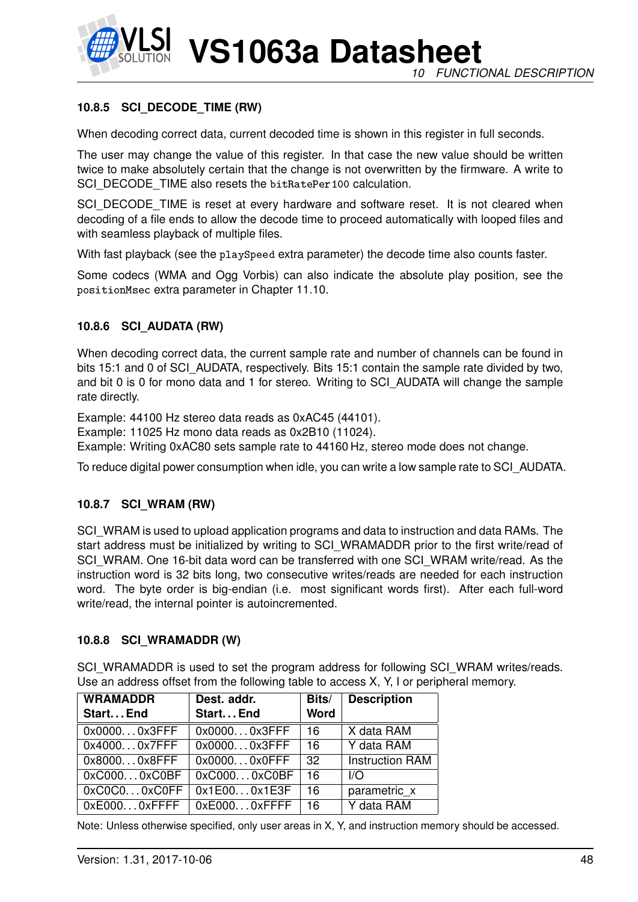

#### **10.8.5 SCI\_DECODE\_TIME (RW)**

When decoding correct data, current decoded time is shown in this register in full seconds.

The user may change the value of this register. In that case the new value should be written twice to make absolutely certain that the change is not overwritten by the firmware. A write to SCI\_DECODE\_TIME also resets the bitRatePer100 calculation.

SCI\_DECODE\_TIME is reset at every hardware and software reset. It is not cleared when decoding of a file ends to allow the decode time to proceed automatically with looped files and with seamless playback of multiple files.

With fast playback (see the playSpeed extra parameter) the decode time also counts faster.

Some codecs (WMA and Ogg Vorbis) can also indicate the absolute play position, see the positionMsec extra parameter in Chapter [11.10.](#page-68-0)

#### **10.8.6 SCI\_AUDATA (RW)**

When decoding correct data, the current sample rate and number of channels can be found in bits 15:1 and 0 of SCI\_AUDATA, respectively. Bits 15:1 contain the sample rate divided by two, and bit 0 is 0 for mono data and 1 for stereo. Writing to SCI\_AUDATA will change the sample rate directly.

Example: 44100 Hz stereo data reads as 0xAC45 (44101).

Example: 11025 Hz mono data reads as 0x2B10 (11024).

Example: Writing 0xAC80 sets sample rate to 44160 Hz, stereo mode does not change.

To reduce digital power consumption when idle, you can write a low sample rate to SCI\_AUDATA.

#### **10.8.7 SCI\_WRAM (RW)**

SCI\_WRAM is used to upload application programs and data to instruction and data RAMs. The start address must be initialized by writing to SCI\_WRAMADDR prior to the first write/read of SCI\_WRAM. One 16-bit data word can be transferred with one SCI\_WRAM write/read. As the instruction word is 32 bits long, two consecutive writes/reads are needed for each instruction word. The byte order is big-endian (i.e. most significant words first). After each full-word write/read, the internal pointer is autoincremented.

#### **10.8.8 SCI\_WRAMADDR (W)**

SCI\_WRAMADDR is used to set the program address for following SCI\_WRAM writes/reads. Use an address offset from the following table to access X, Y, I or peripheral memory.

| <b>WRAMADDR</b> | Dest. addr.     | Bits/       | <b>Description</b>     |
|-----------------|-----------------|-------------|------------------------|
| Start End       | Start End       | <b>Word</b> |                        |
| $0x00000x3$ FFF | $0x00000x3$ FFF | 16          | X data RAM             |
| 0x40000x7FFF    | $0x00000x3$ FFF | 16          | Y data RAM             |
| $0x80000x8$ FFF | $0x00000x0$ FFF | 32          | <b>Instruction RAM</b> |
| 0xC0000xC0BF    | 0xC0000xC0BF    | 16          | 1/O                    |
| 0xC0C00xC0FF    | 0x1E000x1E3F    | 16          | parametric x           |
| $0xE0000x$ FFFF | 0xE0000xFFFF    | 16          | Y data RAM             |

Note: Unless otherwise specified, only user areas in X, Y, and instruction memory should be accessed.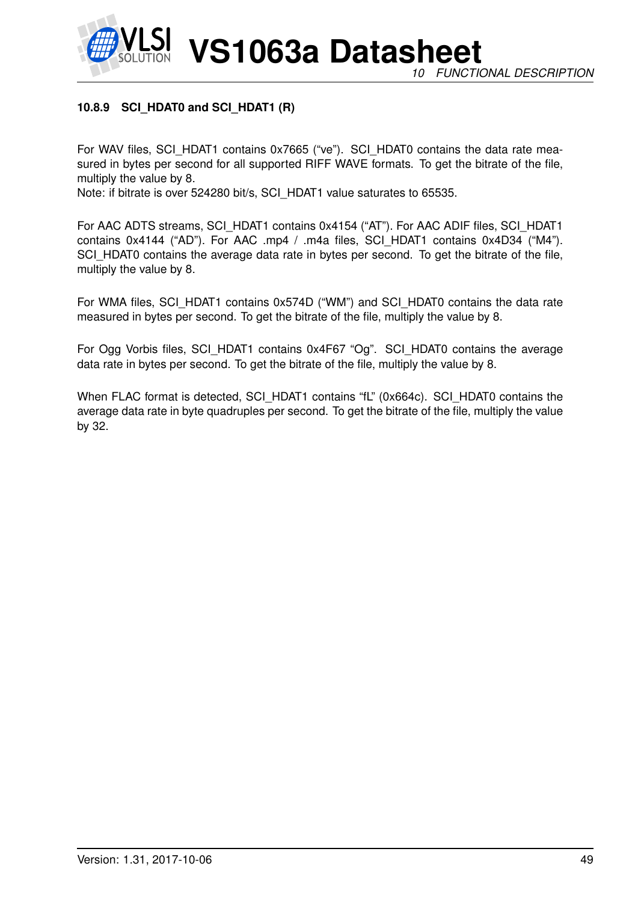# **10.8.9 SCI\_HDAT0 and SCI\_HDAT1 (R)**

For WAV files, SCI\_HDAT1 contains 0x7665 ("ve"). SCI\_HDAT0 contains the data rate measured in bytes per second for all supported RIFF WAVE formats. To get the bitrate of the file, multiply the value by 8.

Note: if bitrate is over 524280 bit/s, SCI\_HDAT1 value saturates to 65535.

For AAC ADTS streams, SCI\_HDAT1 contains 0x4154 ("AT"). For AAC ADIF files, SCI\_HDAT1 contains 0x4144 ("AD"). For AAC .mp4 / .m4a files, SCI\_HDAT1 contains 0x4D34 ("M4"). SCI\_HDAT0 contains the average data rate in bytes per second. To get the bitrate of the file, multiply the value by 8.

For WMA files, SCI\_HDAT1 contains 0x574D ("WM") and SCI\_HDAT0 contains the data rate measured in bytes per second. To get the bitrate of the file, multiply the value by 8.

For Ogg Vorbis files, SCI\_HDAT1 contains 0x4F67 "Og". SCI\_HDAT0 contains the average data rate in bytes per second. To get the bitrate of the file, multiply the value by 8.

When FLAC format is detected, SCI\_HDAT1 contains "fL" (0x664c). SCI\_HDAT0 contains the average data rate in byte quadruples per second. To get the bitrate of the file, multiply the value by 32.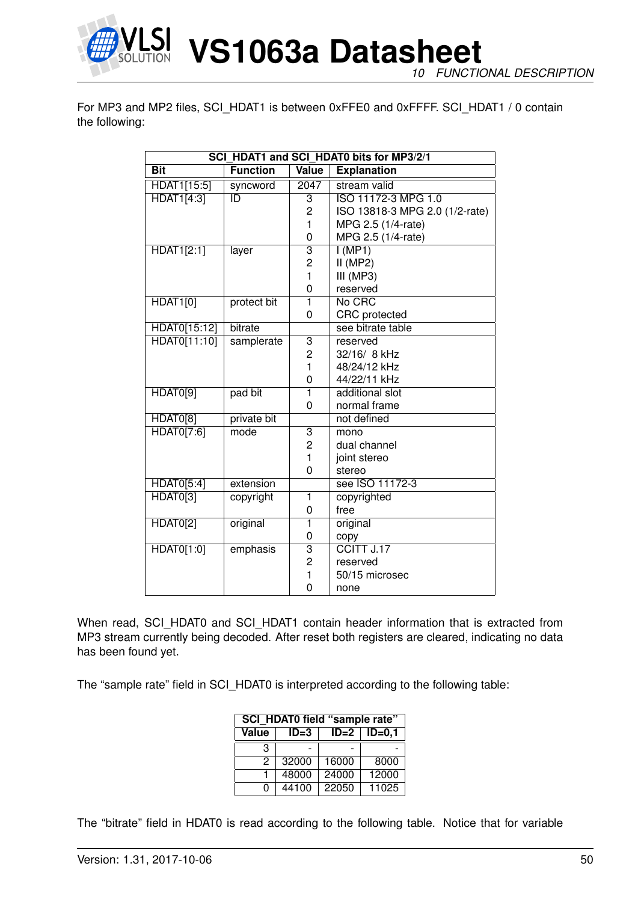

*10 FUNCTIONAL DESCRIPTION*

For MP3 and MP2 files, SCI\_HDAT1 is between 0xFFE0 and 0xFFFF. SCI\_HDAT1 / 0 contain the following:

| SCI HDAT1 and SCI HDAT0 bits for MP3/2/1 |                 |                         |                                |  |  |
|------------------------------------------|-----------------|-------------------------|--------------------------------|--|--|
| <b>Bit</b>                               | <b>Function</b> | Value                   | <b>Explanation</b>             |  |  |
| HDAT1[15:5]                              | syncword        | $\overline{2047}$       | stream valid                   |  |  |
| <b>HDAT1[4:3]</b>                        | $\overline{ID}$ | 3                       | ISO 11172-3 MPG 1.0            |  |  |
|                                          |                 | 2                       | ISO 13818-3 MPG 2.0 (1/2-rate) |  |  |
|                                          |                 | 1                       | MPG 2.5 (1/4-rate)             |  |  |
|                                          |                 | 0                       | MPG 2.5 (1/4-rate)             |  |  |
| <b>HDAT1[2:1]</b>                        | layer           | $\overline{3}$          | I(MP1)                         |  |  |
|                                          |                 | 2                       | $II$ (MP2)                     |  |  |
|                                          |                 | 1                       | III (MP3)                      |  |  |
|                                          |                 | 0                       | reserved                       |  |  |
| <b>HDAT1[0]</b>                          | protect bit     | $\overline{1}$          | No CRC                         |  |  |
|                                          |                 | 0                       | CRC protected                  |  |  |
| HDAT0[15:12]                             | bitrate         |                         | see bitrate table              |  |  |
| HDAT0[11:10]                             | samplerate      | $\overline{3}$          | reserved                       |  |  |
|                                          |                 | 2                       | 32/16/ 8 kHz                   |  |  |
|                                          |                 | 1                       | 48/24/12 kHz                   |  |  |
|                                          |                 | 0                       | 44/22/11 kHz                   |  |  |
| HDAT0[9]                                 | pad bit         | 1                       | additional slot                |  |  |
|                                          |                 | 0                       | normal frame                   |  |  |
| HDAT0[8]                                 | private bit     |                         | not defined                    |  |  |
| HDAT0[7:6]                               | mode            | 3                       | mono                           |  |  |
|                                          |                 | $\overline{c}$          | dual channel                   |  |  |
|                                          |                 | 1                       | joint stereo                   |  |  |
|                                          |                 | $\overline{0}$          | stereo                         |  |  |
| HDAT0[5:4]                               | extension       |                         | see ISO 11172-3                |  |  |
| HDAT0[3]                                 | copyright       | 1                       | copyrighted                    |  |  |
|                                          |                 | 0                       | free                           |  |  |
| <b>HDAT0[2]</b>                          | original        | 1                       | original                       |  |  |
|                                          |                 | 0                       | copy                           |  |  |
| HDAT0[1:0]                               | emphasis        | $\overline{\mathbf{3}}$ | CCITT J.17                     |  |  |
|                                          |                 | 2                       | reserved                       |  |  |
|                                          |                 | 1                       | 50/15 microsec                 |  |  |
|                                          |                 | 0                       | none                           |  |  |

When read, SCI\_HDAT0 and SCI\_HDAT1 contain header information that is extracted from MP3 stream currently being decoded. After reset both registers are cleared, indicating no data has been found yet.

The "sample rate" field in SCI\_HDAT0 is interpreted according to the following table:

| SCI HDAT0 field "sample rate" |        |        |            |  |
|-------------------------------|--------|--------|------------|--|
| <b>Value</b>                  | $ID=3$ | $ID=2$ | $ID = 0,1$ |  |
| З                             |        |        |            |  |
| 2                             | 32000  | 16000  | 8000       |  |
|                               | 48000  | 24000  | 12000      |  |
| ი                             | 44100  | 22050  | 11025      |  |

The "bitrate" field in HDAT0 is read according to the following table. Notice that for variable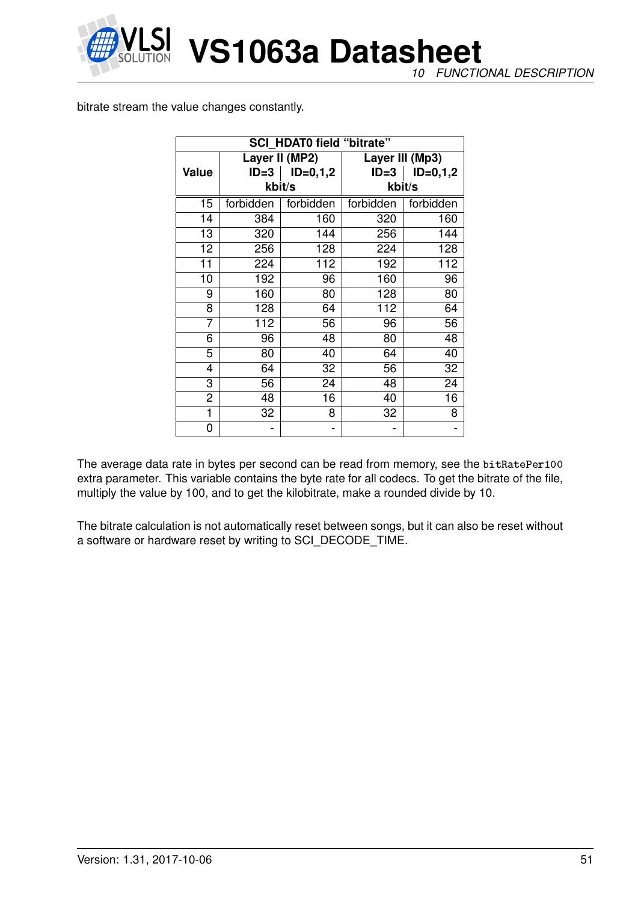

*10 FUNCTIONAL DESCRIPTION*

bitrate stream the value changes constantly.

| <b>SCI HDAT0 field "bitrate"</b> |           |                |           |                 |
|----------------------------------|-----------|----------------|-----------|-----------------|
|                                  |           | Layer II (MP2) |           | Layer III (Mp3) |
| <b>Value</b>                     | $ID=3$    | $ID=0,1,2$     | $ID = 3$  | $ID=0,1,2$      |
|                                  |           | kbit/s         |           | kbit/s          |
| 15                               | forbidden | forbidden      | forbidden | forbidden       |
| 14                               | 384       | 160            | 320       | 160             |
| 13                               | 320       | 144            | 256       | 144             |
| 12                               | 256       | 128            | 224       | 128             |
| 11                               | 224       | 112            | 192       | 112             |
| 10                               | 192       | 96             | 160       | 96              |
| 9                                | 160       | 80             | 128       | 80              |
| 8                                | 128       | 64             | 112       | 64              |
| 7                                | 112       | 56             | 96        | 56              |
| 6                                | 96        | 48             | 80        | 48              |
| 5                                | 80        | 40             | 64        | 40              |
| 4                                | 64        | 32             | 56        | 32              |
| 3                                | 56        | 24             | 48        | 24              |
| 2                                | 48        | 16             | 40        | 16              |
| 1                                | 32        | 8              | 32        | 8               |
| 0                                |           |                |           |                 |

The average data rate in bytes per second can be read from memory, see the bitRatePer100 extra parameter. This variable contains the byte rate for all codecs. To get the bitrate of the file, multiply the value by 100, and to get the kilobitrate, make a rounded divide by 10.

The bitrate calculation is not automatically reset between songs, but it can also be reset without a software or hardware reset by writing to SCI\_DECODE\_TIME.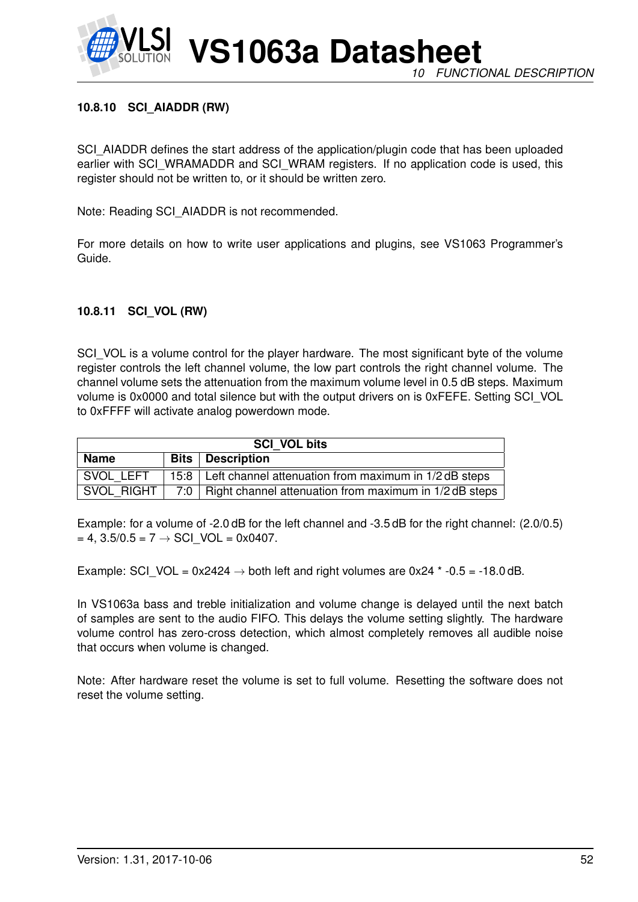

#### **10.8.10 SCI\_AIADDR (RW)**

SCI\_AIADDR defines the start address of the application/plugin code that has been uploaded earlier with SCI\_WRAMADDR and SCI\_WRAM registers. If no application code is used, this register should not be written to, or it should be written zero.

Note: Reading SCI\_AIADDR is not recommended.

For more details on how to write user applications and plugins, see VS1063 Programmer's Guide.

#### **10.8.11 SCI\_VOL (RW)**

SCI VOL is a volume control for the player hardware. The most significant byte of the volume register controls the left channel volume, the low part controls the right channel volume. The channel volume sets the attenuation from the maximum volume level in 0.5 dB steps. Maximum volume is 0x0000 and total silence but with the output drivers on is 0xFEFE. Setting SCI\_VOL to 0xFFFF will activate analog powerdown mode.

| <b>SCI VOL bits</b> |  |                                                              |  |  |
|---------------------|--|--------------------------------------------------------------|--|--|
| <b>Name</b>         |  | <b>Bits</b>   Description                                    |  |  |
| SVOL LEFT           |  | 15:8   Left channel attenuation from maximum in 1/2 dB steps |  |  |
| SVOL RIGHT          |  | 7:0   Right channel attenuation from maximum in 1/2 dB steps |  |  |

Example: for a volume of -2.0 dB for the left channel and -3.5 dB for the right channel: (2.0/0.5)  $= 4$ , 3.5/0.5 = 7  $\rightarrow$  SCI VOL = 0x0407.

Example: SCI\_VOL =  $0x2424 \rightarrow$  both left and right volumes are  $0x24$  \* -0.5 = -18.0 dB.

In VS1063a bass and treble initialization and volume change is delayed until the next batch of samples are sent to the audio FIFO. This delays the volume setting slightly. The hardware volume control has zero-cross detection, which almost completely removes all audible noise that occurs when volume is changed.

Note: After hardware reset the volume is set to full volume. Resetting the software does not reset the volume setting.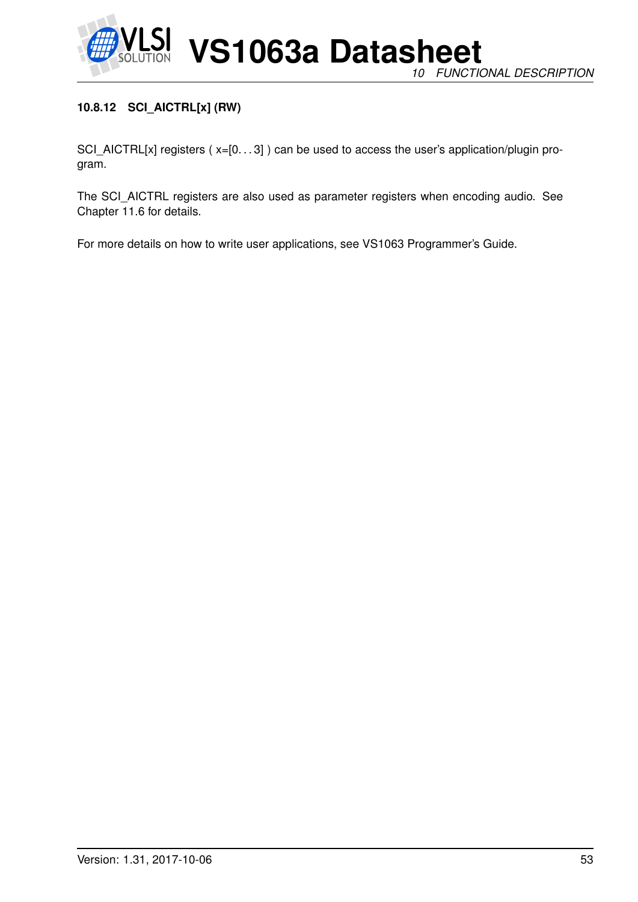

# **10.8.12 SCI\_AICTRL[x] (RW)**

SCI\_AICTRL[x] registers (x=[0...3]) can be used to access the user's application/plugin program.

The SCI\_AICTRL registers are also used as parameter registers when encoding audio. See Chapter [11.6](#page-58-0) for details.

For more details on how to write user applications, see VS1063 Programmer's Guide.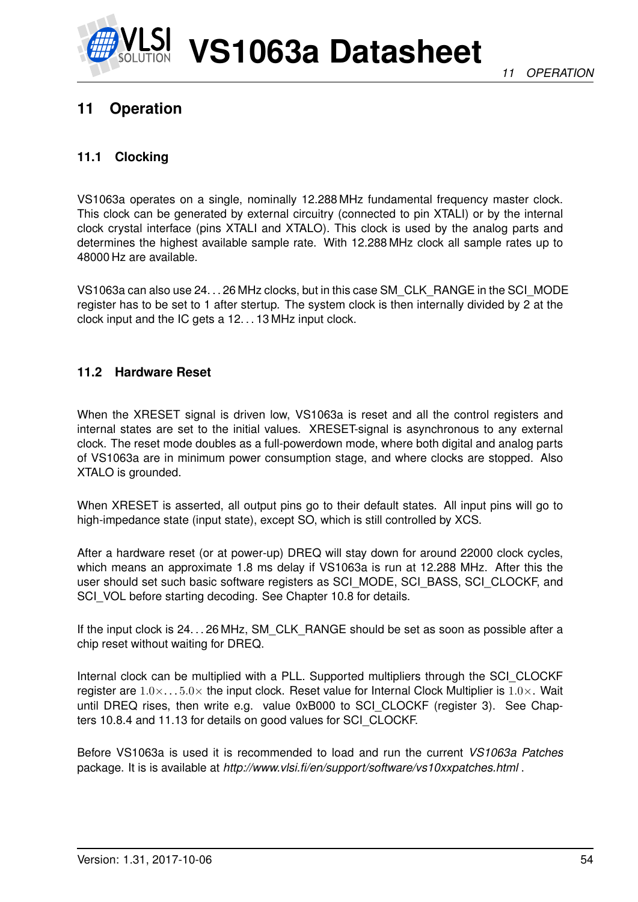

# <span id="page-53-0"></span>**11 Operation**

# **11.1 Clocking**

VS1063a operates on a single, nominally 12.288 MHz fundamental frequency master clock. This clock can be generated by external circuitry (connected to pin XTALI) or by the internal clock crystal interface (pins XTALI and XTALO). This clock is used by the analog parts and determines the highest available sample rate. With 12.288 MHz clock all sample rates up to 48000 Hz are available.

VS1063a can also use 24. . . 26 MHz clocks, but in this case SM\_CLK\_RANGE in the SCI\_MODE register has to be set to 1 after stertup. The system clock is then internally divided by 2 at the clock input and the IC gets a 12. . . 13 MHz input clock.

# **11.2 Hardware Reset**

When the XRESET signal is driven low, VS1063a is reset and all the control registers and internal states are set to the initial values. XRESET-signal is asynchronous to any external clock. The reset mode doubles as a full-powerdown mode, where both digital and analog parts of VS1063a are in minimum power consumption stage, and where clocks are stopped. Also XTALO is grounded.

When XRESET is asserted, all output pins go to their default states. All input pins will go to high-impedance state (input state), except SO, which is still controlled by XCS.

After a hardware reset (or at power-up) DREQ will stay down for around 22000 clock cycles, which means an approximate 1.8 ms delay if VS1063a is run at 12.288 MHz. After this the user should set such basic software registers as SCI\_MODE, SCI\_BASS, SCI\_CLOCKF, and SCI\_VOL before starting decoding. See Chapter [10.8](#page-41-0) for details.

If the input clock is 24. . . 26 MHz, SM\_CLK\_RANGE should be set as soon as possible after a chip reset without waiting for DREQ.

Internal clock can be multiplied with a PLL. Supported multipliers through the SCI\_CLOCKF register are  $1.0 \times ... 5.0 \times$  the input clock. Reset value for Internal Clock Multiplier is  $1.0 \times$ . Wait until DREQ rises, then write e.g. value 0xB000 to SCI\_CLOCKF (register 3). See Chapters [10.8.4](#page-46-0) and [11.13](#page-85-0) for details on good values for SCI\_CLOCKF.

Before VS1063a is used it is recommended to load and run the current *VS1063a Patches* package. It is is available at *http://www.vlsi.fi/en/support/software/vs10xxpatches.html* .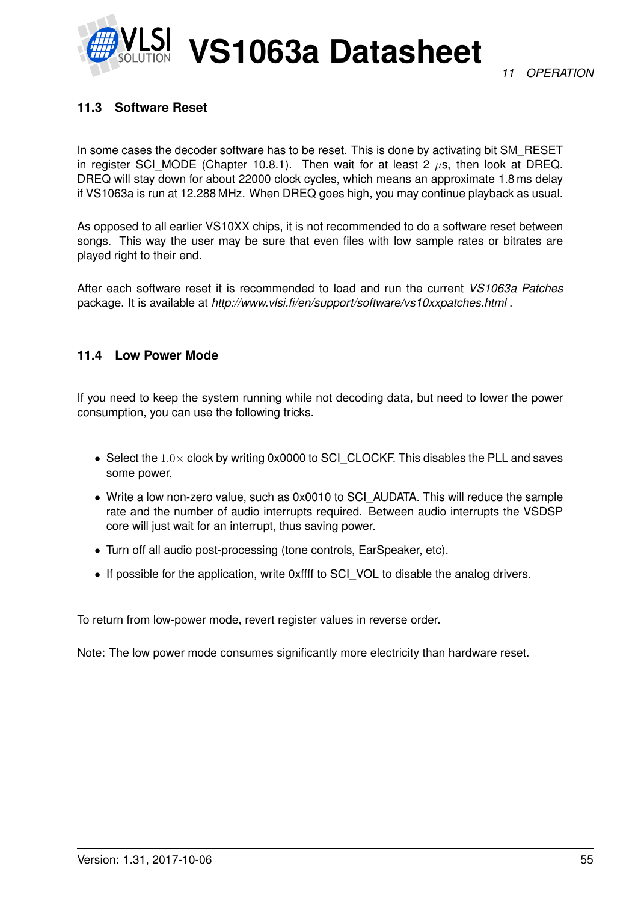# **11.3 Software Reset**

In some cases the decoder software has to be reset. This is done by activating bit SM\_RESET in register SCI MODE (Chapter [10.8.1\)](#page-42-0). Then wait for at least 2  $\mu$ s, then look at DREQ. DREQ will stay down for about 22000 clock cycles, which means an approximate 1.8 ms delay if VS1063a is run at 12.288 MHz. When DREQ goes high, you may continue playback as usual.

As opposed to all earlier VS10XX chips, it is not recommended to do a software reset between songs. This way the user may be sure that even files with low sample rates or bitrates are played right to their end.

After each software reset it is recommended to load and run the current *VS1063a Patches* package. It is available at *http://www.vlsi.fi/en/support/software/vs10xxpatches.html* .

# **11.4 Low Power Mode**

If you need to keep the system running while not decoding data, but need to lower the power consumption, you can use the following tricks.

- Select the 1.0× clock by writing 0x0000 to SCI\_CLOCKF. This disables the PLL and saves some power.
- Write a low non-zero value, such as 0x0010 to SCI\_AUDATA. This will reduce the sample rate and the number of audio interrupts required. Between audio interrupts the VSDSP core will just wait for an interrupt, thus saving power.
- Turn off all audio post-processing (tone controls, EarSpeaker, etc).
- If possible for the application, write 0xffff to SCI\_VOL to disable the analog drivers.

To return from low-power mode, revert register values in reverse order.

Note: The low power mode consumes significantly more electricity than hardware reset.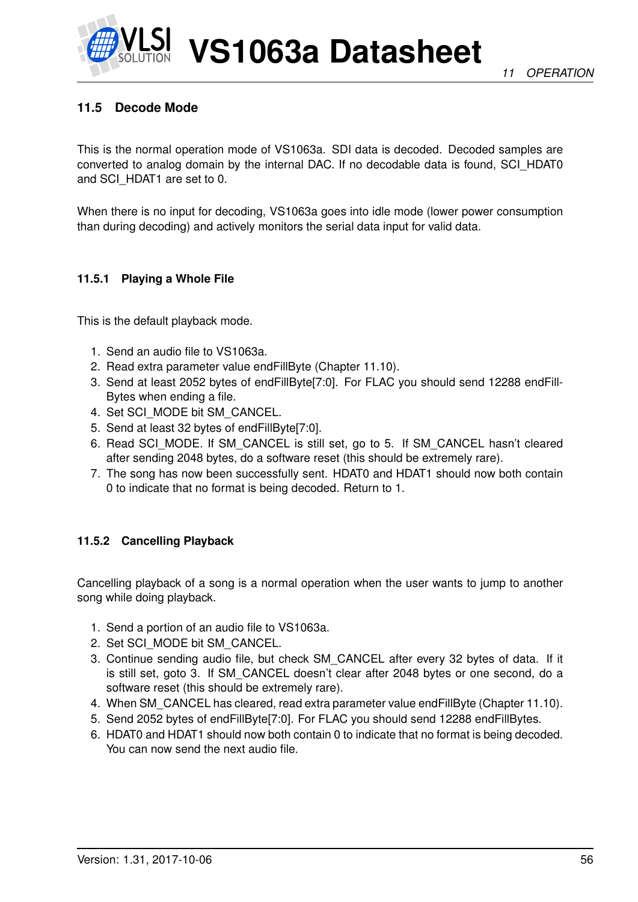

# **11.5 Decode Mode**

This is the normal operation mode of VS1063a. SDI data is decoded. Decoded samples are converted to analog domain by the internal DAC. If no decodable data is found, SCI\_HDAT0 and SCI\_HDAT1 are set to 0.

When there is no input for decoding, VS1063a goes into idle mode (lower power consumption than during decoding) and actively monitors the serial data input for valid data.

#### <span id="page-55-1"></span>**11.5.1 Playing a Whole File**

This is the default playback mode.

- 1. Send an audio file to VS1063a.
- 2. Read extra parameter value endFillByte (Chapter [11.10\)](#page-68-0).
- 3. Send at least 2052 bytes of endFillByte[7:0]. For FLAC you should send 12288 endFill-Bytes when ending a file.
- 4. Set SCI\_MODE bit SM\_CANCEL.
- 5. Send at least 32 bytes of endFillByte[7:0].
- 6. Read SCI\_MODE. If SM\_CANCEL is still set, go to 5. If SM\_CANCEL hasn't cleared after sending 2048 bytes, do a software reset (this should be extremely rare).
- 7. The song has now been successfully sent. HDAT0 and HDAT1 should now both contain 0 to indicate that no format is being decoded. Return to 1.

#### <span id="page-55-0"></span>**11.5.2 Cancelling Playback**

Cancelling playback of a song is a normal operation when the user wants to jump to another song while doing playback.

- 1. Send a portion of an audio file to VS1063a.
- 2. Set SCI\_MODE bit SM\_CANCEL.
- 3. Continue sending audio file, but check SM\_CANCEL after every 32 bytes of data. If it is still set, goto 3. If SM\_CANCEL doesn't clear after 2048 bytes or one second, do a software reset (this should be extremely rare).
- 4. When SM\_CANCEL has cleared, read extra parameter value endFillByte (Chapter [11.10\)](#page-68-0).
- 5. Send 2052 bytes of endFillByte[7:0]. For FLAC you should send 12288 endFillBytes.
- 6. HDAT0 and HDAT1 should now both contain 0 to indicate that no format is being decoded. You can now send the next audio file.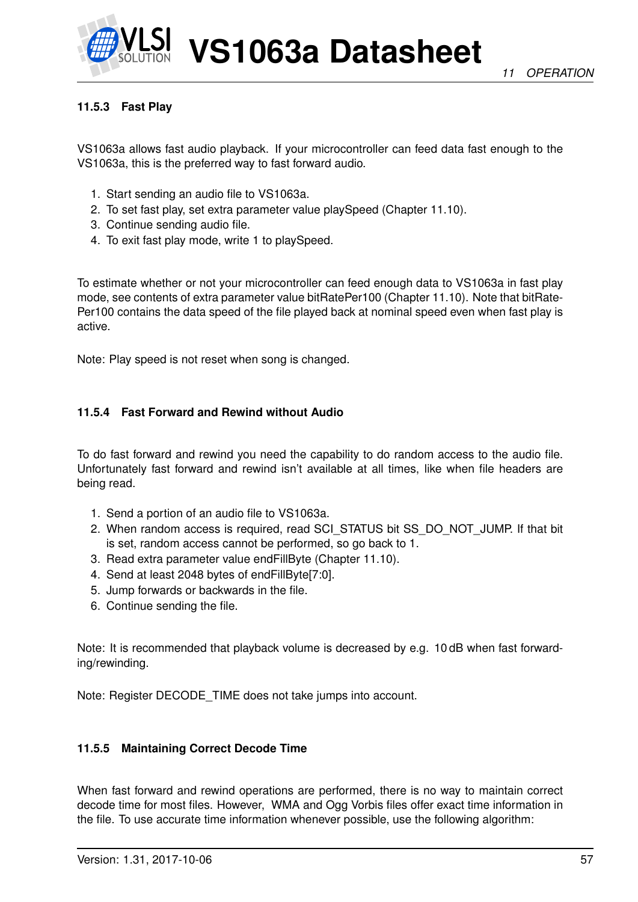

### **11.5.3 Fast Play**

VS1063a allows fast audio playback. If your microcontroller can feed data fast enough to the VS1063a, this is the preferred way to fast forward audio.

- 1. Start sending an audio file to VS1063a.
- 2. To set fast play, set extra parameter value playSpeed (Chapter [11.10\)](#page-68-0).
- 3. Continue sending audio file.
- 4. To exit fast play mode, write 1 to playSpeed.

To estimate whether or not your microcontroller can feed enough data to VS1063a in fast play mode, see contents of extra parameter value bitRatePer100 (Chapter [11.10\)](#page-68-0). Note that bitRate-Per100 contains the data speed of the file played back at nominal speed even when fast play is active.

Note: Play speed is not reset when song is changed.

#### **11.5.4 Fast Forward and Rewind without Audio**

To do fast forward and rewind you need the capability to do random access to the audio file. Unfortunately fast forward and rewind isn't available at all times, like when file headers are being read.

- 1. Send a portion of an audio file to VS1063a.
- 2. When random access is required, read SCI\_STATUS bit SS\_DO\_NOT\_JUMP. If that bit is set, random access cannot be performed, so go back to 1.
- 3. Read extra parameter value endFillByte (Chapter [11.10\)](#page-68-0).
- 4. Send at least 2048 bytes of endFillByte[7:0].
- 5. Jump forwards or backwards in the file.
- 6. Continue sending the file.

Note: It is recommended that playback volume is decreased by e.g. 10 dB when fast forwarding/rewinding.

Note: Register DECODE\_TIME does not take jumps into account.

#### **11.5.5 Maintaining Correct Decode Time**

When fast forward and rewind operations are performed, there is no way to maintain correct decode time for most files. However, WMA and Ogg Vorbis files offer exact time information in the file. To use accurate time information whenever possible, use the following algorithm: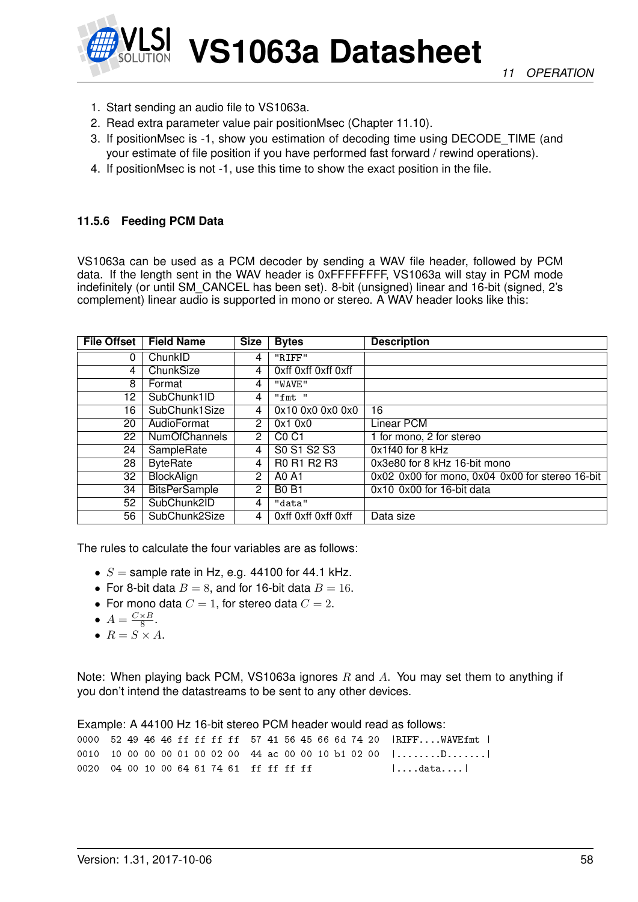

- 1. Start sending an audio file to VS1063a.
- 2. Read extra parameter value pair positionMsec (Chapter [11.10\)](#page-68-0).
- 3. If positionMsec is -1, show you estimation of decoding time using DECODE\_TIME (and your estimate of file position if you have performed fast forward / rewind operations).
- 4. If positionMsec is not -1, use this time to show the exact position in the file.

#### **11.5.6 Feeding PCM Data**

VS1063a can be used as a PCM decoder by sending a WAV file header, followed by PCM data. If the length sent in the WAV header is 0xFFFFFFFF, VS1063a will stay in PCM mode indefinitely (or until SM\_CANCEL has been set). 8-bit (unsigned) linear and 16-bit (signed, 2's complement) linear audio is supported in mono or stereo. A WAV header looks like this:

| <b>File Offset</b> | <b>Field Name</b>    | <b>Size</b>    | <b>Bytes</b>                  | <b>Description</b>                              |
|--------------------|----------------------|----------------|-------------------------------|-------------------------------------------------|
| 0                  | ChunkID              | 4              | "RIFF"                        |                                                 |
| 4                  | ChunkSize            | 4              | Oxff Oxff Oxff Oxff           |                                                 |
| 8                  | Format               | 4              | "WAVE"                        |                                                 |
| 12                 | SubChunk1ID          | 4              | "fmt "                        |                                                 |
| 16                 | SubChunk1Size        | 4              | 0x10 0x0 0x0 0x0              | 16                                              |
| 20                 | AudioFormat          | $\overline{2}$ | 0x10x0                        | Linear PCM                                      |
| 22                 | <b>NumOfChannels</b> | $\overline{2}$ | C <sub>0</sub> C <sub>1</sub> | 1 for mono, 2 for stereo                        |
| 24                 | SampleRate           | 4              | S0 S1 S2 S3                   | 0x1f40 for 8 kHz                                |
| 28                 | <b>ByteRate</b>      | 4              | R0 R1 R2 R3                   | 0x3e80 for 8 kHz 16-bit mono                    |
| 32                 | <b>BlockAlign</b>    | 2              | A0 A1                         | 0x02 0x00 for mono, 0x04 0x00 for stereo 16-bit |
| 34                 | <b>BitsPerSample</b> | 2              | <b>B0 B1</b>                  | 0x10 0x00 for 16-bit data                       |
| 52                 | SubChunk2ID          | 4              | "data"                        |                                                 |
| 56                 | SubChunk2Size        | 4              | Oxff Oxff Oxff Oxff           | Data size                                       |

The rules to calculate the four variables are as follows:

- $S =$  sample rate in Hz, e.g. 44100 for 44.1 kHz.
- For 8-bit data  $B = 8$ , and for 16-bit data  $B = 16$ .
- For mono data  $C = 1$ , for stereo data  $C = 2$ .
- $A = \frac{C \times B}{8}$  $\frac{\times B}{8}$ .
- $R = S \times A$ .

Note: When playing back PCM, VS1063a ignores  $R$  and  $A$ . You may set them to anything if you don't intend the datastreams to be sent to any other devices.

Example: A 44100 Hz 16-bit stereo PCM header would read as follows: 0000 52 49 46 46 ff ff ff ff 57 41 56 45 66 6d 74 20 |RIFF....WAVEfmt | 0010 10 00 00 00 01 00 02 00 44 ac 00 00 10 b1 02 00 |........D.......| 0020 04 00 10 00 64 61 74 61 ff ff ff ff ff |....data....|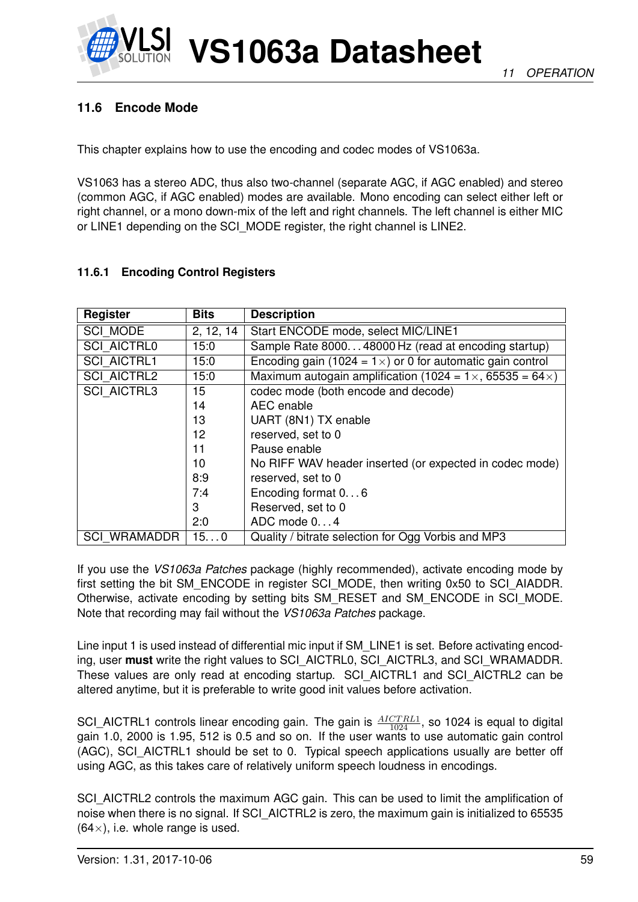

# <span id="page-58-0"></span>**11.6 Encode Mode**

This chapter explains how to use the encoding and codec modes of VS1063a.

VS1063 has a stereo ADC, thus also two-channel (separate AGC, if AGC enabled) and stereo (common AGC, if AGC enabled) modes are available. Mono encoding can select either left or right channel, or a mono down-mix of the left and right channels. The left channel is either MIC or LINE1 depending on the SCI\_MODE register, the right channel is LINE2.

#### <span id="page-58-1"></span>**11.6.1 Encoding Control Registers**

| Register            | <b>Bits</b> | <b>Description</b>                                                        |
|---------------------|-------------|---------------------------------------------------------------------------|
| SCI_MODE            | 2, 12, 14   | Start ENCODE mode, select MIC/LINE1                                       |
| <b>SCI AICTRL0</b>  | 15:0        | Sample Rate 800048000 Hz (read at encoding startup)                       |
| <b>SCI AICTRL1</b>  | 15:0        | Encoding gain (1024 = $1 \times$ ) or 0 for automatic gain control        |
| <b>SCI AICTRL2</b>  | 15:0        | Maximum autogain amplification (1024 = $1 \times$ , 65535 = 64 $\times$ ) |
| <b>SCI AICTRL3</b>  | 15          | codec mode (both encode and decode)                                       |
|                     | 14          | AEC enable                                                                |
|                     | 13          | UART (8N1) TX enable                                                      |
|                     | 12          | reserved, set to 0                                                        |
|                     | 11          | Pause enable                                                              |
|                     | 10          | No RIFF WAV header inserted (or expected in codec mode)                   |
|                     | 8:9         | reserved, set to 0                                                        |
|                     | 7:4         | Encoding format 06                                                        |
|                     | 3           | Reserved, set to 0                                                        |
|                     | 2:0         | ADC mode $0. 4$                                                           |
| <b>SCI WRAMADDR</b> | 150         | Quality / bitrate selection for Ogg Vorbis and MP3                        |

If you use the *VS1063a Patches* package (highly recommended), activate encoding mode by first setting the bit SM\_ENCODE in register SCI\_MODE, then writing 0x50 to SCI\_AIADDR. Otherwise, activate encoding by setting bits SM\_RESET and SM\_ENCODE in SCI\_MODE. Note that recording may fail without the *VS1063a Patches* package.

Line input 1 is used instead of differential mic input if SM LINE1 is set. Before activating encoding, user **must** write the right values to SCI\_AICTRL0, SCI\_AICTRL3, and SCI\_WRAMADDR. These values are only read at encoding startup. SCI\_AICTRL1 and SCI\_AICTRL2 can be altered anytime, but it is preferable to write good init values before activation.

SCI\_AICTRL1 controls linear encoding gain. The gain is  $\frac{AICTRL1}{1024}$ , so 1024 is equal to digital gain 1.0, 2000 is 1.95, 512 is 0.5 and so on. If the user wants to use automatic gain control (AGC), SCI\_AICTRL1 should be set to 0. Typical speech applications usually are better off using AGC, as this takes care of relatively uniform speech loudness in encodings.

SCI\_AICTRL2 controls the maximum AGC gain. This can be used to limit the amplification of noise when there is no signal. If SCI\_AICTRL2 is zero, the maximum gain is initialized to 65535  $(64\times)$ , i.e. whole range is used.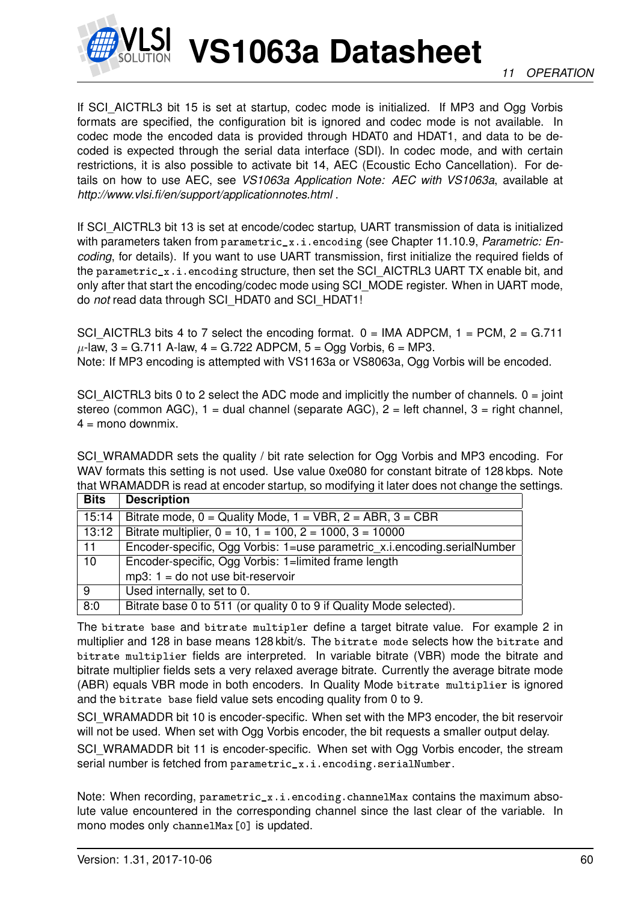

If SCI AICTRL3 bit 15 is set at startup, codec mode is initialized. If MP3 and Ogg Vorbis formats are specified, the configuration bit is ignored and codec mode is not available. In codec mode the encoded data is provided through HDAT0 and HDAT1, and data to be decoded is expected through the serial data interface (SDI). In codec mode, and with certain restrictions, it is also possible to activate bit 14, AEC (Ecoustic Echo Cancellation). For details on how to use AEC, see *VS1063a Application Note: AEC with VS1063a*, available at *http://www.vlsi.fi/en/support/applicationnotes.html* .

If SCI\_AICTRL3 bit 13 is set at encode/codec startup, UART transmission of data is initialized with parameters taken from parametric\_x.i.encoding (see Chapter [11.10.9,](#page-78-0) *Parametric: Encoding*, for details). If you want to use UART transmission, first initialize the required fields of the parametric\_x.i.encoding structure, then set the SCI\_AICTRL3 UART TX enable bit, and only after that start the encoding/codec mode using SCI\_MODE register. When in UART mode, do *not* read data through SCI\_HDAT0 and SCI\_HDAT1!

SCI AICTRL3 bits 4 to 7 select the encoding format.  $0 = IMA ADPCM$ ,  $1 = PCM$ ,  $2 = G.711$  $\mu$ -law, 3 = G.711 A-law, 4 = G.722 ADPCM, 5 = Ogg Vorbis, 6 = MP3. Note: If MP3 encoding is attempted with VS1163a or VS8063a, Ogg Vorbis will be encoded.

SCI AICTRL3 bits 0 to 2 select the ADC mode and implicitly the number of channels.  $0 = joint$ stereo (common AGC),  $1 =$  dual channel (separate AGC),  $2 =$  left channel,  $3 =$  right channel,  $4 =$  mono downmix.

SCI\_WRAMADDR sets the quality / bit rate selection for Ogg Vorbis and MP3 encoding. For WAV formats this setting is not used. Use value 0xe080 for constant bitrate of 128 kbps. Note that WRAMADDR is read at encoder startup, so modifying it later does not change the settings.

| <b>Bits</b> | <b>Description</b>                                                       |
|-------------|--------------------------------------------------------------------------|
| 15:14       | Bitrate mode, $0 =$ Quality Mode, $1 =$ VBR, $2 =$ ABR, $3 =$ CBR        |
| 13:12       | Bitrate multiplier, $0 = 10$ , $1 = 100$ , $2 = 1000$ , $3 = 10000$      |
| 11          | Encoder-specific, Ogg Vorbis: 1=use parametric_x.i.encoding.serialNumber |
| 10          | Encoder-specific, Ogg Vorbis: 1=limited frame length                     |
|             | $mp3$ : 1 = do not use bit-reservoir                                     |
| 9           | Used internally, set to 0.                                               |
| 8:0         | Bitrate base 0 to 511 (or quality 0 to 9 if Quality Mode selected).      |

The bitrate base and bitrate multipler define a target bitrate value. For example 2 in multiplier and 128 in base means 128 kbit/s. The bitrate mode selects how the bitrate and bitrate multiplier fields are interpreted. In variable bitrate (VBR) mode the bitrate and bitrate multiplier fields sets a very relaxed average bitrate. Currently the average bitrate mode (ABR) equals VBR mode in both encoders. In Quality Mode bitrate multiplier is ignored and the bitrate base field value sets encoding quality from 0 to 9.

SCI\_WRAMADDR bit 10 is encoder-specific. When set with the MP3 encoder, the bit reservoir will not be used. When set with Ogg Vorbis encoder, the bit requests a smaller output delay.

SCI\_WRAMADDR bit 11 is encoder-specific. When set with Ogg Vorbis encoder, the stream serial number is fetched from parametric\_x.i.encoding.serialNumber.

Note: When recording,  $parametric_x.i.encoding.chamelMax contains the maximum abso$ lute value encountered in the corresponding channel since the last clear of the variable. In mono modes only channelMax<sup>[0]</sup> is updated.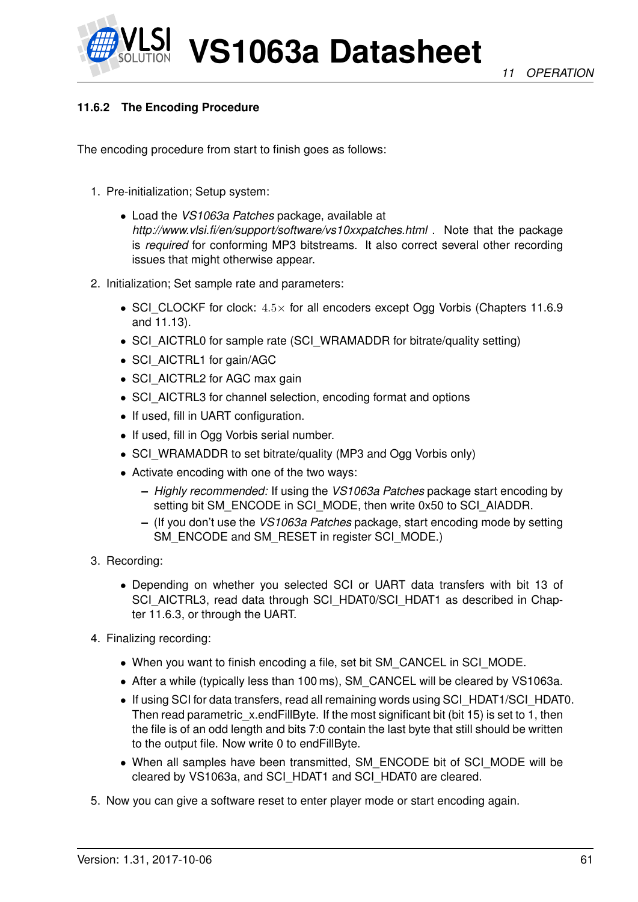

# **11.6.2 The Encoding Procedure**

The encoding procedure from start to finish goes as follows:

- 1. Pre-initialization; Setup system:
	- Load the *VS1063a Patches* package, available at *http://www.vlsi.fi/en/support/software/vs10xxpatches.html* . Note that the package is *required* for conforming MP3 bitstreams. It also correct several other recording issues that might otherwise appear.
- 2. Initialization; Set sample rate and parameters:
	- SCI\_CLOCKF for clock:  $4.5\times$  for all encoders except Ogg Vorbis (Chapters [11.6.9](#page-64-0) and [11.13\)](#page-85-0).
	- SCI\_AICTRL0 for sample rate (SCI\_WRAMADDR for bitrate/quality setting)
	- SCI\_AICTRL1 for gain/AGC
	- SCI\_AICTRL2 for AGC max gain
	- SCI\_AICTRL3 for channel selection, encoding format and options
	- If used, fill in UART configuration.
	- If used, fill in Ogg Vorbis serial number.
	- SCI\_WRAMADDR to set bitrate/quality (MP3 and Ogg Vorbis only)
	- Activate encoding with one of the two ways:
		- **–** *Highly recommended:* If using the *VS1063a Patches* package start encoding by setting bit SM\_ENCODE in SCI\_MODE, then write 0x50 to SCI\_AIADDR.
		- **–** (If you don't use the *VS1063a Patches* package, start encoding mode by setting SM\_ENCODE and SM\_RESET in register SCI\_MODE.)
- 3. Recording:
	- Depending on whether you selected SCI or UART data transfers with bit 13 of SCI\_AICTRL3, read data through SCI\_HDAT0/SCI\_HDAT1 as described in Chapter [11.6.3,](#page-61-0) or through the UART.
- 4. Finalizing recording:
	- When you want to finish encoding a file, set bit SM\_CANCEL in SCI\_MODE.
	- After a while (typically less than 100 ms), SM CANCEL will be cleared by VS1063a.
	- If using SCI for data transfers, read all remaining words using SCI\_HDAT1/SCI\_HDAT0. Then read parametric  $x$ .endFillByte. If the most significant bit (bit 15) is set to 1, then the file is of an odd length and bits 7:0 contain the last byte that still should be written to the output file. Now write 0 to endFillByte.
	- When all samples have been transmitted, SM\_ENCODE bit of SCI\_MODE will be cleared by VS1063a, and SCI\_HDAT1 and SCI\_HDAT0 are cleared.
- 5. Now you can give a software reset to enter player mode or start encoding again.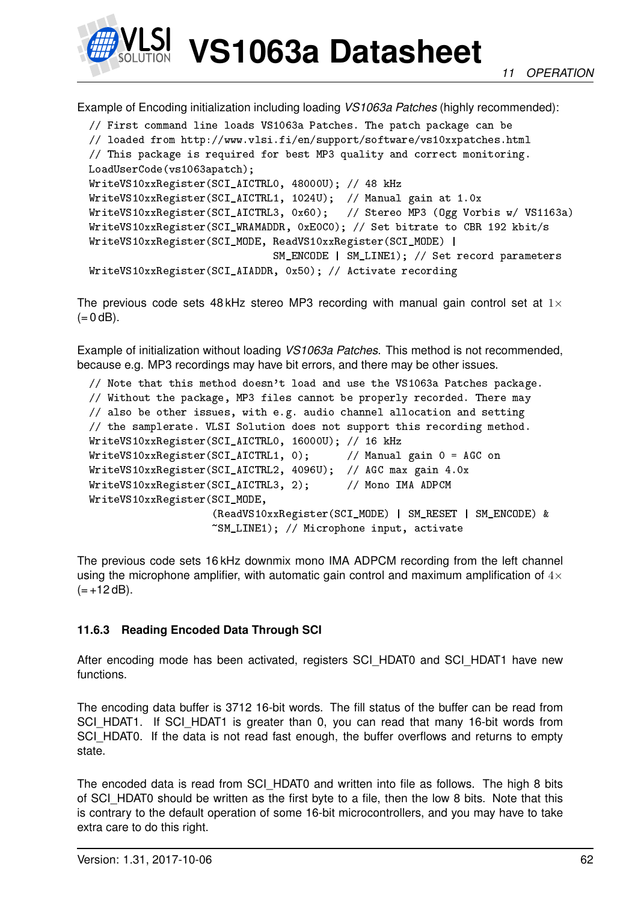

Example of Encoding initialization including loading *VS1063a Patches* (highly recommended):

```
// First command line loads VS1063a Patches. The patch package can be
// loaded from http://www.vlsi.fi/en/support/software/vs10xxpatches.html
// This package is required for best MP3 quality and correct monitoring.
LoadUserCode(vs1063apatch);
WriteVS10xxRegister(SCI_AICTRL0, 48000U); // 48 kHz
WriteVS10xxRegister(SCI_AICTRL1, 1024U); // Manual gain at 1.0x
WriteVS10xxRegister(SCI_AICTRL3, 0x60); // Stereo MP3 (Ogg Vorbis w/ VS1163a)
WriteVS10xxRegister(SCI_WRAMADDR, 0xE0C0); // Set bitrate to CBR 192 kbit/s
WriteVS10xxRegister(SCI_MODE, ReadVS10xxRegister(SCI_MODE) |
                              SM_ENCODE | SM_LINE1); // Set record parameters
WriteVS10xxRegister(SCI_AIADDR, 0x50); // Activate recording
```
The previous code sets 48 kHz stereo MP3 recording with manual gain control set at  $1\times$  $(= 0$  dB).

Example of initialization without loading *VS1063a Patches*. This method is not recommended, because e.g. MP3 recordings may have bit errors, and there may be other issues.

```
// Note that this method doesn't load and use the VS1063a Patches package.
// Without the package, MP3 files cannot be properly recorded. There may
// also be other issues, with e.g. audio channel allocation and setting
// the samplerate. VLSI Solution does not support this recording method.
WriteVS10xxRegister(SCI_AICTRL0, 16000U); // 16 kHz
WriteVS10xxRegister(SCI_AICTRL1, 0); // Manual gain 0 = AGC on
WriteVS10xxRegister(SCI_AICTRL2, 4096U); // AGC max gain 4.0x
WriteVS10xxRegister(SCI_AICTRL3, 2); // Mono IMA ADPCM
WriteVS10xxRegister(SCI_MODE,
                    (ReadVS10xxRegister(SCI_MODE) | SM_RESET | SM_ENCODE) &
                    ~SM_LINE1); // Microphone input, activate
```
The previous code sets 16 kHz downmix mono IMA ADPCM recording from the left channel using the microphone amplifier, with automatic gain control and maximum amplification of  $4\times$  $(= +12$  dB).

#### <span id="page-61-0"></span>**11.6.3 Reading Encoded Data Through SCI**

After encoding mode has been activated, registers SCI\_HDAT0 and SCI\_HDAT1 have new functions.

The encoding data buffer is 3712 16-bit words. The fill status of the buffer can be read from SCI\_HDAT1. If SCI\_HDAT1 is greater than 0, you can read that many 16-bit words from SCI\_HDAT0. If the data is not read fast enough, the buffer overflows and returns to empty state.

The encoded data is read from SCI\_HDAT0 and written into file as follows. The high 8 bits of SCI\_HDAT0 should be written as the first byte to a file, then the low 8 bits. Note that this is contrary to the default operation of some 16-bit microcontrollers, and you may have to take extra care to do this right.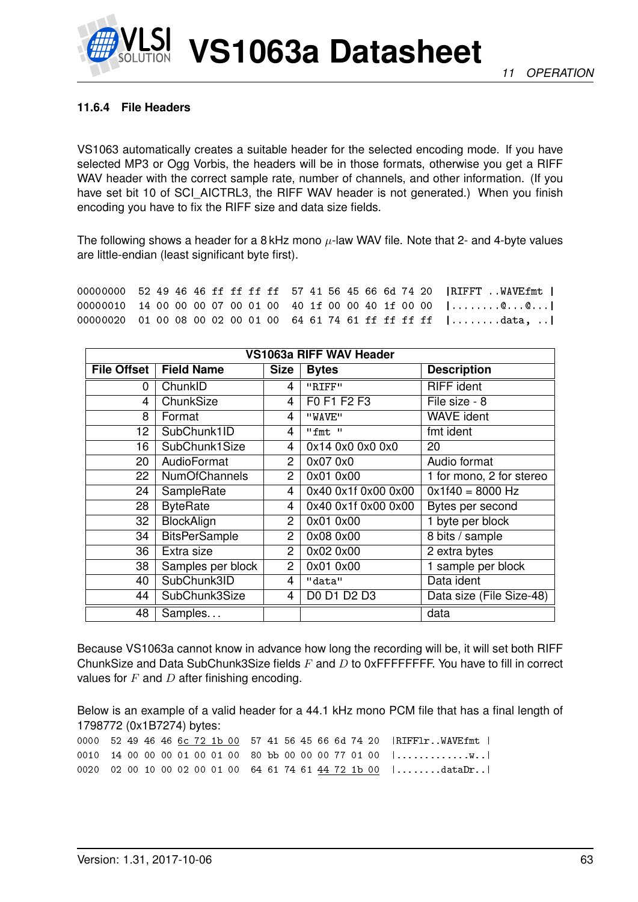#### **11.6.4 File Headers**

VS1063 automatically creates a suitable header for the selected encoding mode. If you have selected MP3 or Ogg Vorbis, the headers will be in those formats, otherwise you get a RIFF WAV header with the correct sample rate, number of channels, and other information. (If you have set bit 10 of SCI\_AICTRL3, the RIFF WAV header is not generated.) When you finish encoding you have to fix the RIFF size and data size fields.

The following shows a header for a 8 kHz mono  $\mu$ -law WAV file. Note that 2- and 4-byte values are little-endian (least significant byte first).

00000000 52 49 46 46 ff ff ff ff 57 41 56 45 66 6d 74 20 |RIFFT ..WAVEfmt | 00000010 14 00 00 00 07 00 01 00 40 1f 00 00 40 1f 00 00 |........@...@...| 00000020 01 00 08 00 02 00 01 00 64 61 74 61 ff ff ff ff |........data, ..|

| VS1063a RIFF WAV Header |                      |                |                     |                          |  |
|-------------------------|----------------------|----------------|---------------------|--------------------------|--|
| <b>File Offset</b>      | <b>Field Name</b>    | <b>Size</b>    | <b>Bytes</b>        | <b>Description</b>       |  |
| 0                       | ChunkID              | 4              | "RIFF"              | <b>RIFF</b> ident        |  |
| 4                       | ChunkSize            | 4              | F0 F1 F2 F3         | File size - 8            |  |
| 8                       | Format               | 4              | "WAVE"              | <b>WAVE</b> ident        |  |
| 12 <sup>2</sup>         | SubChunk1ID          | 4              | "fmt"               | fmt ident                |  |
| 16                      | SubChunk1Size        | 4              | 0x14 0x0 0x0 0x0    | 20                       |  |
| 20                      | AudioFormat          | $\overline{2}$ | 0x07 0x0            | Audio format             |  |
| 22                      | <b>NumOfChannels</b> | $\overline{2}$ | 0x01 0x00           | 1 for mono, 2 for stereo |  |
| 24                      | SampleRate           | 4              | 0x40 0x1f 0x00 0x00 | $0x1f40 = 8000 Hz$       |  |
| 28                      | <b>ByteRate</b>      | 4              | 0x40 0x1f 0x00 0x00 | Bytes per second         |  |
| 32                      | <b>BlockAlign</b>    | $\overline{2}$ | 0x01 0x00           | 1 byte per block         |  |
| 34                      | <b>BitsPerSample</b> | $\overline{2}$ | 0x08 0x00           | 8 bits / sample          |  |
| 36                      | Extra size           | $\overline{2}$ | 0x02 0x00           | 2 extra bytes            |  |
| 38                      | Samples per block    | $\mathbf{2}$   | 0x01 0x00           | 1 sample per block       |  |
| 40                      | SubChunk3ID          | 4              | "data"              | Data ident               |  |
| 44                      | SubChunk3Size        | 4              | D0 D1 D2 D3         | Data size (File Size-48) |  |
| 48                      | Samples              |                |                     | data                     |  |

Because VS1063a cannot know in advance how long the recording will be, it will set both RIFF ChunkSize and Data SubChunk3Size fields  $F$  and  $D$  to 0xFFFFFFFF. You have to fill in correct values for  $F$  and  $D$  after finishing encoding.

Below is an example of a valid header for a 44.1 kHz mono PCM file that has a final length of 1798772 (0x1B7274) bytes:

|  |  |  |  |  |  |  |  | 0000 52 49 46 46 6c 72 1b 00 57 41 56 45 66 6d 74 20   RIFF1rWAVEfmt                     |
|--|--|--|--|--|--|--|--|------------------------------------------------------------------------------------------|
|  |  |  |  |  |  |  |  | 0010 14 00 00 00 01 00 01 00 80 bb 00 00 00 77 01 00 $  \dots \dots \dots \dots \dots  $ |
|  |  |  |  |  |  |  |  | 0020 02 00 10 00 02 00 01 00 64 61 74 61 44 72 1b 00  dataDr                             |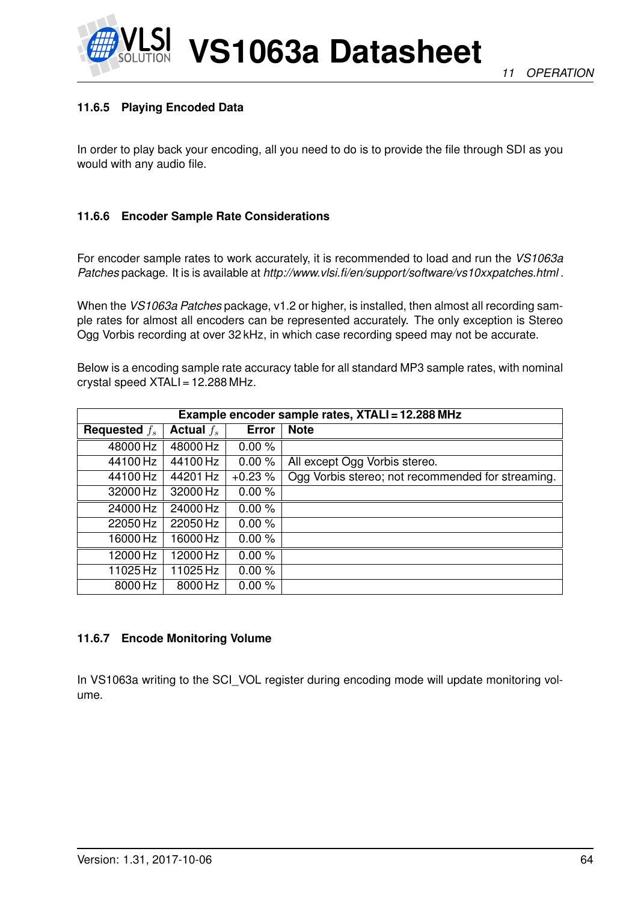

# **11.6.5 Playing Encoded Data**

In order to play back your encoding, all you need to do is to provide the file through SDI as you would with any audio file.

#### **11.6.6 Encoder Sample Rate Considerations**

For encoder sample rates to work accurately, it is recommended to load and run the *VS1063a Patches* package. It is is available at *http://www.vlsi.fi/en/support/software/vs10xxpatches.html* .

When the *VS1063a Patches* package, v1.2 or higher, is installed, then almost all recording sample rates for almost all encoders can be represented accurately. The only exception is Stereo Ogg Vorbis recording at over 32 kHz, in which case recording speed may not be accurate.

Below is a encoding sample rate accuracy table for all standard MP3 sample rates, with nominal crystal speed XTALI = 12.288 MHz.

|                 | Example encoder sample rates, XTALI = 12.288 MHz |              |                                                   |  |  |  |  |
|-----------------|--------------------------------------------------|--------------|---------------------------------------------------|--|--|--|--|
| Requested $f_s$ | Actual $f_s$                                     | <b>Error</b> | <b>Note</b>                                       |  |  |  |  |
| 48000 Hz        | 48000 Hz                                         | 0.00%        |                                                   |  |  |  |  |
| 44100 Hz        | 44100 Hz                                         | 0.00%        | All except Ogg Vorbis stereo.                     |  |  |  |  |
| 44100 Hz        | 44201 Hz                                         | $+0.23%$     | Ogg Vorbis stereo; not recommended for streaming. |  |  |  |  |
| 32000 Hz        | 32000 Hz                                         | 0.00%        |                                                   |  |  |  |  |
| 24000 Hz        | 24000 Hz                                         | 0.00%        |                                                   |  |  |  |  |
| 22050 Hz        | 22050 Hz                                         | 0.00%        |                                                   |  |  |  |  |
| 16000 Hz        | 16000 Hz                                         | 0.00%        |                                                   |  |  |  |  |
| 12000 Hz        | 12000 Hz                                         | 0.00%        |                                                   |  |  |  |  |
| 11025 Hz        | 11025 Hz                                         | 0.00%        |                                                   |  |  |  |  |
| 8000 Hz         | 8000 Hz                                          | 0.00%        |                                                   |  |  |  |  |

#### **11.6.7 Encode Monitoring Volume**

In VS1063a writing to the SCI\_VOL register during encoding mode will update monitoring volume.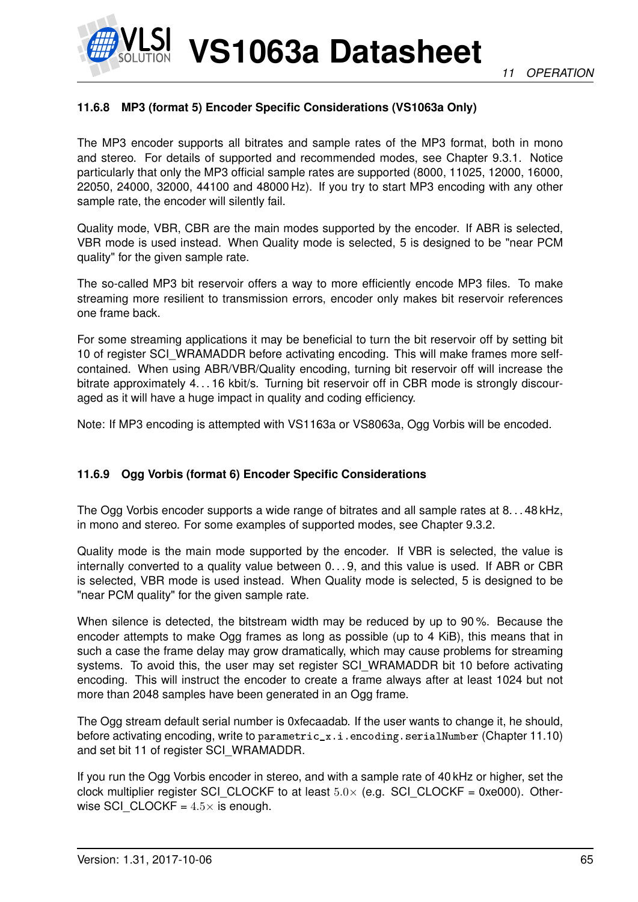

# **11.6.8 MP3 (format 5) Encoder Specific Considerations (VS1063a Only)**

The MP3 encoder supports all bitrates and sample rates of the MP3 format, both in mono and stereo. For details of supported and recommended modes, see Chapter [9.3.1.](#page-33-0) Notice particularly that only the MP3 official sample rates are supported (8000, 11025, 12000, 16000, 22050, 24000, 32000, 44100 and 48000 Hz). If you try to start MP3 encoding with any other sample rate, the encoder will silently fail.

Quality mode, VBR, CBR are the main modes supported by the encoder. If ABR is selected, VBR mode is used instead. When Quality mode is selected, 5 is designed to be "near PCM quality" for the given sample rate.

The so-called MP3 bit reservoir offers a way to more efficiently encode MP3 files. To make streaming more resilient to transmission errors, encoder only makes bit reservoir references one frame back.

For some streaming applications it may be beneficial to turn the bit reservoir off by setting bit 10 of register SCI\_WRAMADDR before activating encoding. This will make frames more selfcontained. When using ABR/VBR/Quality encoding, turning bit reservoir off will increase the bitrate approximately 4...16 kbit/s. Turning bit reservoir off in CBR mode is strongly discouraged as it will have a huge impact in quality and coding efficiency.

Note: If MP3 encoding is attempted with VS1163a or VS8063a, Ogg Vorbis will be encoded.

#### <span id="page-64-0"></span>**11.6.9 Ogg Vorbis (format 6) Encoder Specific Considerations**

The Ogg Vorbis encoder supports a wide range of bitrates and all sample rates at 8...48 kHz. in mono and stereo. For some examples of supported modes, see Chapter [9.3.2.](#page-34-0)

Quality mode is the main mode supported by the encoder. If VBR is selected, the value is internally converted to a quality value between 0. . . 9, and this value is used. If ABR or CBR is selected, VBR mode is used instead. When Quality mode is selected, 5 is designed to be "near PCM quality" for the given sample rate.

When silence is detected, the bitstream width may be reduced by up to 90 %. Because the encoder attempts to make Ogg frames as long as possible (up to 4 KiB), this means that in such a case the frame delay may grow dramatically, which may cause problems for streaming systems. To avoid this, the user may set register SCI\_WRAMADDR bit 10 before activating encoding. This will instruct the encoder to create a frame always after at least 1024 but not more than 2048 samples have been generated in an Ogg frame.

The Ogg stream default serial number is 0xfecaadab. If the user wants to change it, he should, before activating encoding, write to parametric\_x.i.encoding.serialNumber (Chapter [11.10\)](#page-68-0) and set bit 11 of register SCI\_WRAMADDR.

If you run the Ogg Vorbis encoder in stereo, and with a sample rate of 40 kHz or higher, set the clock multiplier register SCI CLOCKF to at least  $5.0\times$  (e.g. SCI CLOCKF = 0xe000). Otherwise SCI\_CLOCKF =  $4.5\times$  is enough.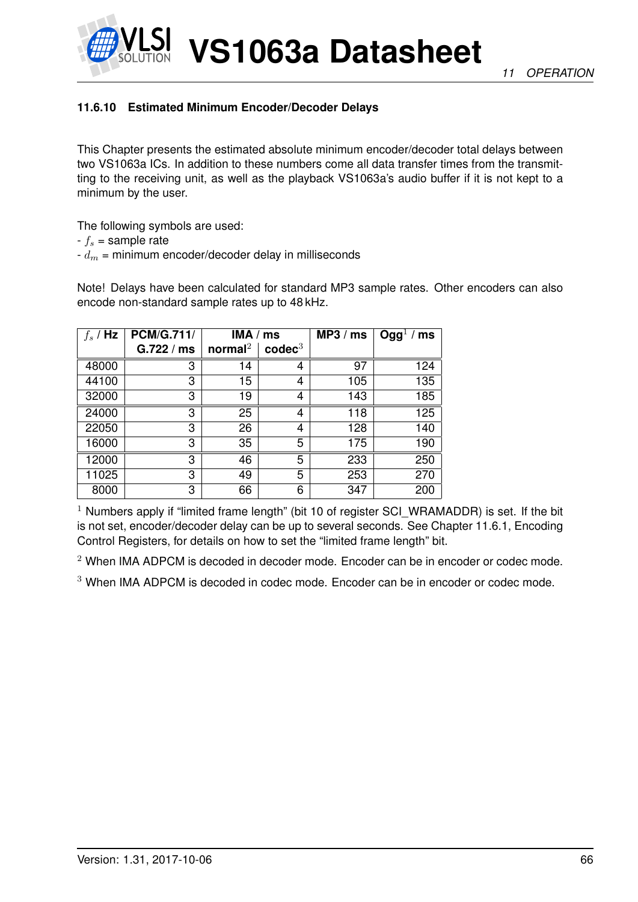

# **11.6.10 Estimated Minimum Encoder/Decoder Delays**

This Chapter presents the estimated absolute minimum encoder/decoder total delays between two VS1063a ICs. In addition to these numbers come all data transfer times from the transmitting to the receiving unit, as well as the playback VS1063a's audio buffer if it is not kept to a minimum by the user.

The following symbols are used:

 $-f_s$  = sample rate

 $-d_m$  = minimum encoder/decoder delay in milliseconds

Note! Delays have been calculated for standard MP3 sample rates. Other encoders can also encode non-standard sample rates up to 48 kHz.

| $f_s$ / Hz | <b>PCM/G.711/</b> | IMA / ms            |                    | MP3 / ms | Ogg <sup>1</sup> / ms |
|------------|-------------------|---------------------|--------------------|----------|-----------------------|
|            | G.722/ms          | normal <sup>2</sup> | $\mathbf{codec}^3$ |          |                       |
| 48000      | 3                 | 14                  | 4                  | 97       | 124                   |
| 44100      | 3                 | 15                  | 4                  | 105      | 135                   |
| 32000      | 3                 | 19                  | 4                  | 143      | 185                   |
| 24000      | 3                 | 25                  | 4                  | 118      | 125                   |
| 22050      | 3                 | 26                  | 4                  | 128      | 140                   |
| 16000      | 3                 | 35                  | 5                  | 175      | 190                   |
| 12000      | 3                 | 46                  | 5                  | 233      | 250                   |
| 11025      | 3                 | 49                  | 5                  | 253      | 270                   |
| 8000       | 3                 | 66                  | 6                  | 347      | 200                   |

<sup>1</sup> Numbers apply if "limited frame length" (bit 10 of register SCI WRAMADDR) is set. If the bit is not set, encoder/decoder delay can be up to several seconds. See Chapter [11.6.1,](#page-58-1) Encoding Control Registers, for details on how to set the "limited frame length" bit.

<sup>2</sup> When IMA ADPCM is decoded in decoder mode. Encoder can be in encoder or codec mode.

<sup>3</sup> When IMA ADPCM is decoded in codec mode. Encoder can be in encoder or codec mode.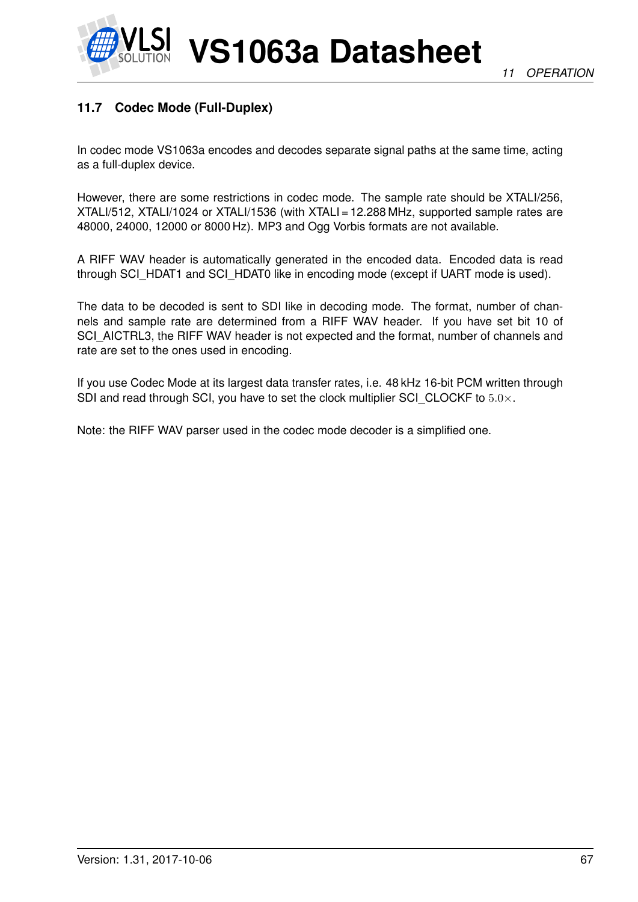



# <span id="page-66-0"></span>**11.7 Codec Mode (Full-Duplex)**

In codec mode VS1063a encodes and decodes separate signal paths at the same time, acting as a full-duplex device.

However, there are some restrictions in codec mode. The sample rate should be XTALI/256, XTALI/512, XTALI/1024 or XTALI/1536 (with XTALI = 12.288 MHz, supported sample rates are 48000, 24000, 12000 or 8000 Hz). MP3 and Ogg Vorbis formats are not available.

A RIFF WAV header is automatically generated in the encoded data. Encoded data is read through SCI\_HDAT1 and SCI\_HDAT0 like in encoding mode (except if UART mode is used).

The data to be decoded is sent to SDI like in decoding mode. The format, number of channels and sample rate are determined from a RIFF WAV header. If you have set bit 10 of SCI\_AICTRL3, the RIFF WAV header is not expected and the format, number of channels and rate are set to the ones used in encoding.

If you use Codec Mode at its largest data transfer rates, i.e. 48 kHz 16-bit PCM written through SDI and read through SCI, you have to set the clock multiplier SCI CLOCKF to  $5.0\times$ .

Note: the RIFF WAV parser used in the codec mode decoder is a simplified one.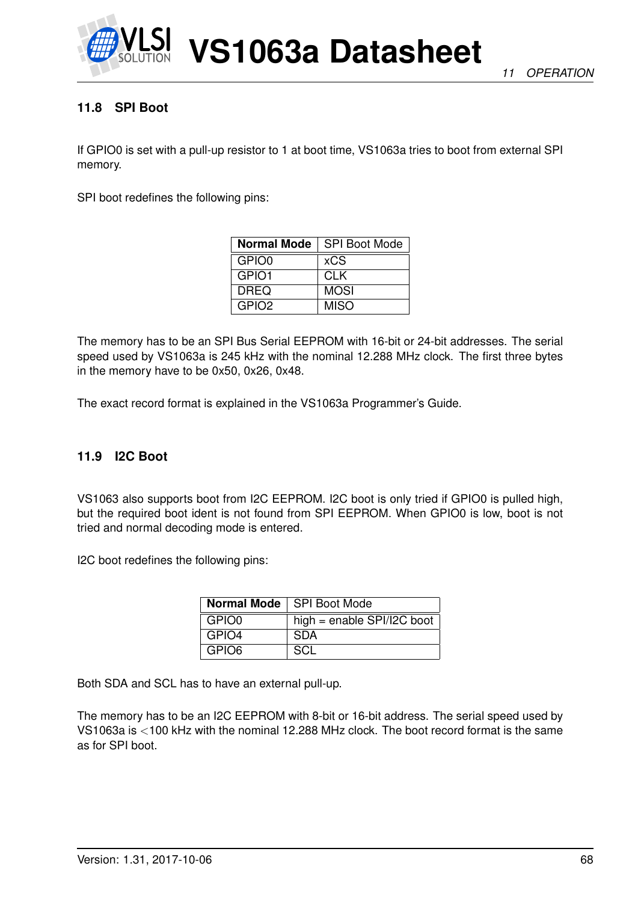

# **11.8 SPI Boot**

If GPIO0 is set with a pull-up resistor to 1 at boot time, VS1063a tries to boot from external SPI memory.

SPI boot redefines the following pins:

| <b>Normal Mode</b> | <b>SPI Boot Mode</b> |
|--------------------|----------------------|
| GPIO0              | <b>xCS</b>           |
| GPIO1              | <b>CLK</b>           |
| <b>DREQ</b>        | <b>MOSI</b>          |
| GPIO <sub>2</sub>  | <b>MISO</b>          |

The memory has to be an SPI Bus Serial EEPROM with 16-bit or 24-bit addresses. The serial speed used by VS1063a is 245 kHz with the nominal 12.288 MHz clock. The first three bytes in the memory have to be 0x50, 0x26, 0x48.

The exact record format is explained in the VS1063a Programmer's Guide.

#### **11.9 I2C Boot**

VS1063 also supports boot from I2C EEPROM. I2C boot is only tried if GPIO0 is pulled high, but the required boot ident is not found from SPI EEPROM. When GPIO0 is low, boot is not tried and normal decoding mode is entered.

I2C boot redefines the following pins:

|       | Normal Mode   SPI Boot Mode  |
|-------|------------------------------|
| GPIO0 | high = enable $SPI/IZC$ boot |
| GPIO4 | <b>SDA</b>                   |
| GPIO6 | SCL                          |

Both SDA and SCL has to have an external pull-up.

The memory has to be an I2C EEPROM with 8-bit or 16-bit address. The serial speed used by VS1063a is <100 kHz with the nominal 12.288 MHz clock. The boot record format is the same as for SPI boot.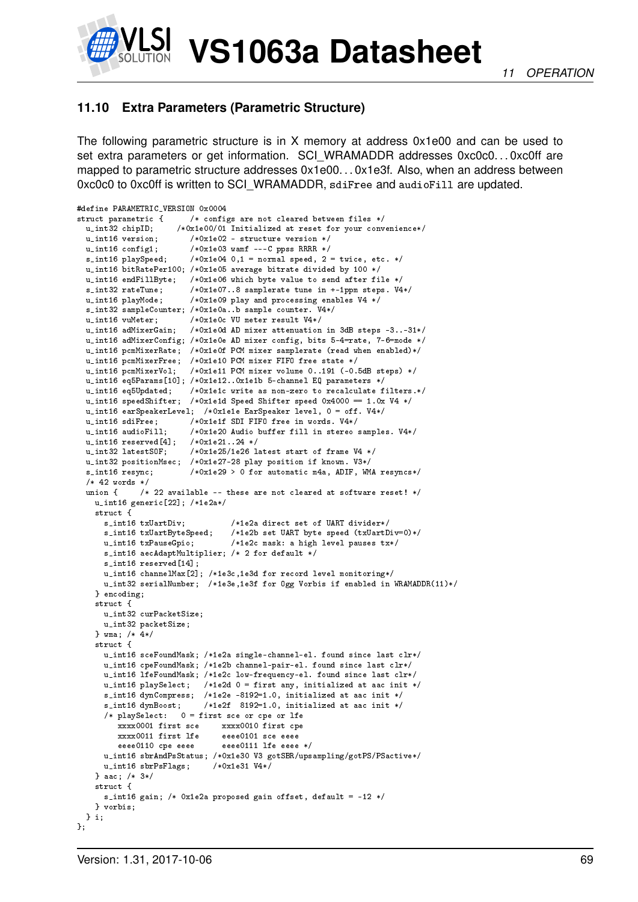

# <span id="page-68-0"></span>**11.10 Extra Parameters (Parametric Structure)**

The following parametric structure is in X memory at address 0x1e00 and can be used to set extra parameters or get information. SCI\_WRAMADDR addresses 0xc0c0...0xc0ff are mapped to parametric structure addresses 0x1e00. . . 0x1e3f. Also, when an address between 0xc0c0 to 0xc0ff is written to SCI\_WRAMADDR, sdiFree and audioFill are updated.

```
#define PARAMETRIC_VERSION 0x0004
struct parametric { /* configs are not cleared between files */<br>u_int32 chipID; /*0x1e00/01 Initialized at reset for your conv
                      /*0x1e00/01 Initialized at reset for your convenience*/
 u_int16 version; /*0x1e02 - structure version */
  u_int16 config1; /*0x1e03 wamf ---C ppss RRRR */
  s\_int16 playSpeed; /*0x1e04 0,1 = normal speed, 2 = twice, etc. */
  u_int16 bitRatePer100; /*0x1e05 average bitrate divided by 100 */
  u_int16 endFillByte; /*0x1e06 which byte value to send after file */
 s_int32 rateTune; /*0x1e07..8 samplerate tune in +-1ppm steps. V4*/<br>u_int16 playMode; /*0x1e09 play and processing enables V4 */
                         /*0x1e09 play and processing enables V4 */
  s_int32 sampleCounter; /*0x1e0a..b sample counter. V4*/
  u_int16 vuMeter; /*0x1e0c VU meter result V4*/
  u_int16 adMixerGain; /*0x1e0d AD mixer attenuation in 3dB steps -3..-31*/
 u_int16 adMixerConfig; /*0x1e0e AD mixer config, bits 5-4=rate, 7-6=mode */
  u_int16 pcmMixerRate; /*0x1e0f PCM mixer samplerate (read when enabled)*/
  u_int16 pcmMixerFree; /*0x1e10 PCM mixer FIFO free state */
  u_int16 pcmMixerVol; /*0x1e11 PCM mixer volume 0..191 (-0.5dB steps) */
  u_int16 eq5Params[10]; /*0x1e12..0x1e1b 5-channel EQ parameters */
  u_int16 eq5Updated; /*0x1e1c write as non-zero to recalculate filters.*/
  u_int16 speedShifter; /*0x1e1d Speed Shifter speed 0x4000 == 1.0x V4 */
  u_int16 earSpeakerLevel; /*0x1e1e EarSpeaker level, 0 = off. V4*/
 u_int16 sdiFree; /*0x1e1f SDI FIFO free in words. V4*/
  u_int16 audioFill; /*0x1e20 Audio buffer fill in stereo samples. V4*/
  u_int16 reserved[4]; /*0x1e21..24 */
  u_int32 latestSOF; /*0x1e25/1e26 latest start of frame V4 */
  u_int32 positionMsec; /*0x1e27-28 play position if known. V3*/
  s_int16 resync; /*0x1e29 > 0 for automatic m4a, ADIF, WMA resyncs*/
  /* 42 words */union \{ /* 22 available -- these are not cleared at software reset! */
   u_int16 generic[22]; /*1e2a*/
    struct {<br>s_int16 txUartDiv;
                                  /*1e2a direct set of UART divider*/
      s_int16 txUartByteSpeed; /*1e2b set UART byte speed (txUartDiv=0)*/
      u_int16 txPauseGpio; /*1e2c mask: a high level pauses tx*/
      s_int16 aecAdaptMultiplier; /* 2 for default */
      s_int16 reserved[14];
      u_int16 channelMax[2]; /*1e3c,1e3d for record level monitoring*/
     u_int32 serialNumber; /*1e3e,1e3f for Ogg Vorbis if enabled in WRAMADDR(11)*/
   } encoding;
    struct {
     u_int32 curPacketSize;
      u_int32 packetSize;
   } wma; /* 4*/
    struct {
      u_int16 sceFoundMask; /*1e2a single-channel-el. found since last clr*/
      u_int16 cpeFoundMask; /*1e2b channel-pair-el. found since last clr*/
      u_int16 lfeFoundMask; /*1e2c low-frequency-el. found since last clr*/
      u_int16 playSelect; /*1e2d 0 = first any, initialized at aac init */
     s_int16 dynCompress; /*1e2e -8192=1.0, initialized at aac init */
      s_int16 dynBoost; /*1e2f 8192=1.0, initialized at aac init */
      /* playSelect: 0 = first sce or cpe or lfe
         xxxx0001 first sce xxxx0010 first cpe
         xxxx0011 first lfe eeee0101 sce eeee
                               eeee0111 lfe eeee */u_int16 sbrAndPsStatus; /*0x1e30 V3 gotSBR/upsampling/gotPS/PSactive*/
     u_int16 sbrPsFlags; /*0x1e31 V4*/
   } aac; /* 3*/
    struct {
     s_int16 gain; /* 0x1e2a proposed gain offset, default = -12 */
   } vorbis;
 } i;
};
```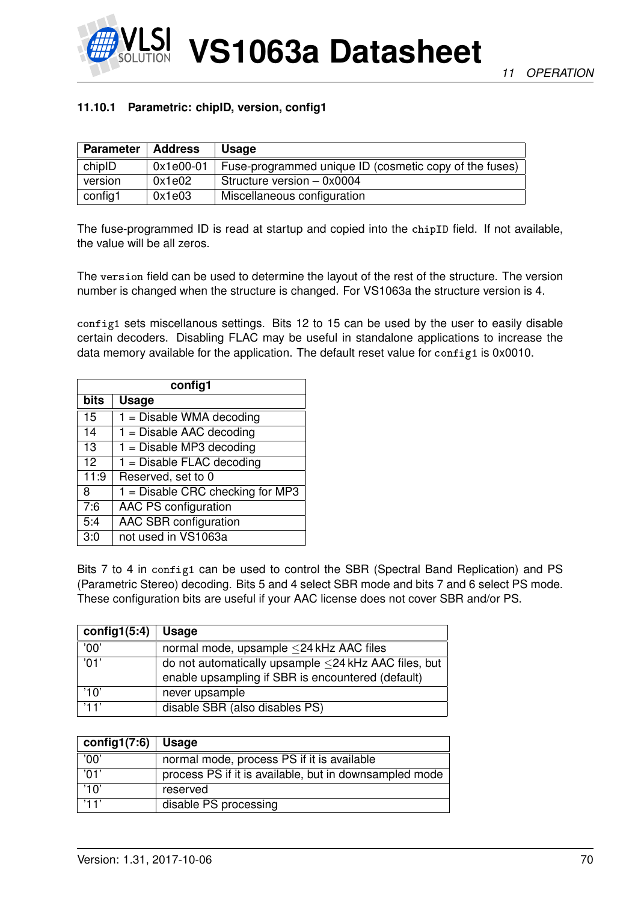

#### **11.10.1 Parametric: chipID, version, config1**

| <b>Parameter</b> | Address   | Usage                                                  |
|------------------|-----------|--------------------------------------------------------|
| chipID           | 0x1e00-01 | Fuse-programmed unique ID (cosmetic copy of the fuses) |
| version          | 0x1e02    | Structure version - 0x0004                             |
| config1          | 0x1e03    | Miscellaneous configuration                            |

The fuse-programmed ID is read at startup and copied into the chipID field. If not available, the value will be all zeros.

The version field can be used to determine the layout of the rest of the structure. The version number is changed when the structure is changed. For VS1063a the structure version is 4.

config1 sets miscellanous settings. Bits 12 to 15 can be used by the user to easily disable certain decoders. Disabling FLAC may be useful in standalone applications to increase the data memory available for the application. The default reset value for config1 is 0x0010.

| config1 |                                    |  |  |
|---------|------------------------------------|--|--|
| bits    | <b>Usage</b>                       |  |  |
| 15      | $1 =$ Disable WMA decoding         |  |  |
| 14      | $1 =$ Disable AAC decoding         |  |  |
| 13      | $1 =$ Disable MP3 decoding         |  |  |
| 12      | $1 =$ Disable FLAC decoding        |  |  |
| 11:9    | Reserved, set to 0                 |  |  |
| 8       | $1 =$ Disable CRC checking for MP3 |  |  |
| 7:6     | <b>AAC PS configuration</b>        |  |  |
| 5:4     | <b>AAC SBR configuration</b>       |  |  |
| 3:0     | not used in VS1063a                |  |  |

Bits 7 to 4 in config1 can be used to control the SBR (Spectral Band Replication) and PS (Parametric Stereo) decoding. Bits 5 and 4 select SBR mode and bits 7 and 6 select PS mode. These configuration bits are useful if your AAC license does not cover SBR and/or PS.

| config1(5:4)     | <b>Usage</b>                                         |
|------------------|------------------------------------------------------|
| '00'             | normal mode, upsample ≤24 kHz AAC files              |
| $\overline{01'}$ | do not automatically upsample <24 kHz AAC files, but |
|                  | enable upsampling if SBR is encountered (default)    |
| '10'             | never upsample                                       |
| '11'             | disable SBR (also disables PS)                       |

| config1 $(7:6)$ | <b>Usage</b>                                           |
|-----------------|--------------------------------------------------------|
| '00'            | normal mode, process PS if it is available             |
| '01'            | process PS if it is available, but in downsampled mode |
| '10'            | reserved                                               |
| '11'            | disable PS processing                                  |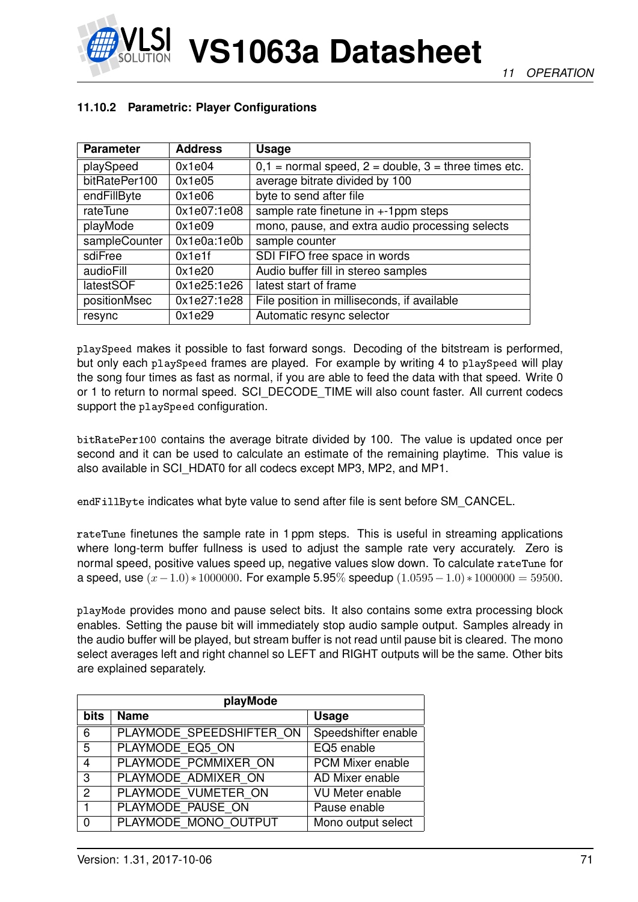

# **11.10.2 Parametric: Player Configurations**

| <b>Parameter</b> | <b>Address</b> | <b>Usage</b>                                               |  |
|------------------|----------------|------------------------------------------------------------|--|
| playSpeed        | 0x1e04         | $0,1$ = normal speed, $2$ = double, $3$ = three times etc. |  |
| bitRatePer100    | 0x1e05         | average bitrate divided by 100                             |  |
| endFillByte      | 0x1e06         | byte to send after file                                    |  |
| rateTune         | 0x1e07:1e08    | sample rate finetune in $+1$ ppm steps                     |  |
| playMode         | 0x1e09         | mono, pause, and extra audio processing selects            |  |
| sampleCounter    | 0x1e0a:1e0b    | sample counter                                             |  |
| sdiFree          | 0x1e1f         | SDI FIFO free space in words                               |  |
| audioFill        | 0x1e20         | Audio buffer fill in stereo samples                        |  |
| latestSOF        | 0x1e25:1e26    | latest start of frame                                      |  |
| positionMsec     | 0x1e27:1e28    | File position in milliseconds, if available                |  |
| resync           | 0x1e29         | Automatic resync selector                                  |  |

playSpeed makes it possible to fast forward songs. Decoding of the bitstream is performed, but only each playSpeed frames are played. For example by writing 4 to playSpeed will play the song four times as fast as normal, if you are able to feed the data with that speed. Write 0 or 1 to return to normal speed. SCI\_DECODE\_TIME will also count faster. All current codecs support the playSpeed configuration.

bitRatePer100 contains the average bitrate divided by 100. The value is updated once per second and it can be used to calculate an estimate of the remaining playtime. This value is also available in SCI\_HDAT0 for all codecs except MP3, MP2, and MP1.

endFillByte indicates what byte value to send after file is sent before SM\_CANCEL.

rateTune finetunes the sample rate in 1 ppm steps. This is useful in streaming applications where long-term buffer fullness is used to adjust the sample rate very accurately. Zero is normal speed, positive values speed up, negative values slow down. To calculate rateTune for a speed, use  $(x-1.0) * 1000000$ . For example 5.95% speedup  $(1.0595-1.0) * 1000000 = 59500$ .

playMode provides mono and pause select bits. It also contains some extra processing block enables. Setting the pause bit will immediately stop audio sample output. Samples already in the audio buffer will be played, but stream buffer is not read until pause bit is cleared. The mono select averages left and right channel so LEFT and RIGHT outputs will be the same. Other bits are explained separately.

| playMode    |                          |                        |  |  |
|-------------|--------------------------|------------------------|--|--|
| <b>bits</b> | <b>Name</b>              | <b>Usage</b>           |  |  |
| 6           | PLAYMODE SPEEDSHIFTER ON | Speedshifter enable    |  |  |
| 5           | PLAYMODE EQ5 ON          | EQ5 enable             |  |  |
| 4           | PLAYMODE PCMMIXER ON     | PCM Mixer enable       |  |  |
| 3           | PLAYMODE ADMIXER ON      | AD Mixer enable        |  |  |
| 2           | PLAYMODE VUMETER ON      | <b>VU Meter enable</b> |  |  |
| 1           | PLAYMODE PAUSE ON        | Pause enable           |  |  |
| 0           | PLAYMODE MONO OUTPUT     | Mono output select     |  |  |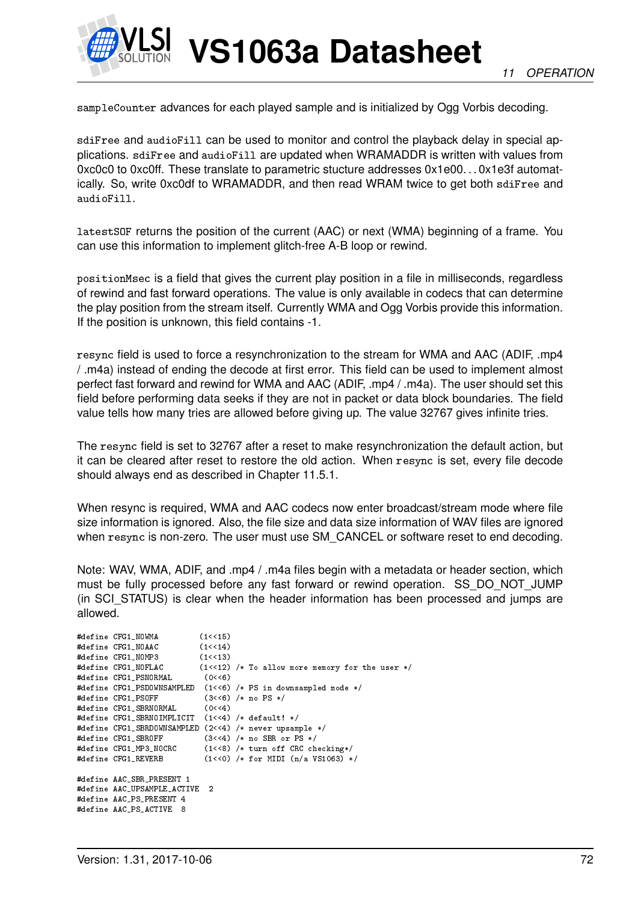

sampleCounter advances for each played sample and is initialized by Ogg Vorbis decoding.

sdiFree and audioFill can be used to monitor and control the playback delay in special applications. sdiFree and audioFill are updated when WRAMADDR is written with values from 0xc0c0 to 0xc0ff. These translate to parametric stucture addresses 0x1e00. . . 0x1e3f automatically. So, write 0xc0df to WRAMADDR, and then read WRAM twice to get both sdiFree and audioFill.

latestSOF returns the position of the current (AAC) or next (WMA) beginning of a frame. You can use this information to implement glitch-free A-B loop or rewind.

positionMsec is a field that gives the current play position in a file in milliseconds, regardless of rewind and fast forward operations. The value is only available in codecs that can determine the play position from the stream itself. Currently WMA and Ogg Vorbis provide this information. If the position is unknown, this field contains -1.

resync field is used to force a resynchronization to the stream for WMA and AAC (ADIF, .mp4 / .m4a) instead of ending the decode at first error. This field can be used to implement almost perfect fast forward and rewind for WMA and AAC (ADIF, .mp4 / .m4a). The user should set this field before performing data seeks if they are not in packet or data block boundaries. The field value tells how many tries are allowed before giving up. The value 32767 gives infinite tries.

The resync field is set to 32767 after a reset to make resynchronization the default action, but it can be cleared after reset to restore the old action. When resync is set, every file decode should always end as described in Chapter [11.5.1.](#page-55-1)

When resync is required, WMA and AAC codecs now enter broadcast/stream mode where file size information is ignored. Also, the file size and data size information of WAV files are ignored when  $resync$  is non-zero. The user must use SM\_CANCEL or software reset to end decoding.

Note: WAV, WMA, ADIF, and .mp4 / .m4a files begin with a metadata or header section, which must be fully processed before any fast forward or rewind operation. SS\_DO\_NOT\_JUMP (in SCI\_STATUS) is clear when the header information has been processed and jumps are allowed.

```
#define CFG1_NOWMA (1<<15)
#define CFG1_NOAAC (1<<14)
#define CFG1_NOMP3 (1<<13)
#define CFG1_NOFLAC (1<<12) /* To allow more memory for the user */
#define CFG1_PSNORMAL (0<<6)
#define CFG1_PSDOWNSAMPLED (1<<6) /* PS in downsampled mode */
                          (3<<6) /* no PS */
#define CFG1_SBRNORMAL (0<<4)
#define CFG1_SBRNOIMPLICIT (1<<4) /* default! */
#define CFG1_SBRDOWNSAMPLED (2<<4) /* never upsample */
#define CFG1_SBROFF (3<<4) /* no SBR or PS */
#define CFG1_MP3_NOCRC (1<<8) /* turn off CRC checking*/
                          (1<0) /* for MIDI (n/a VS1063) */
#define AAC_SBR_PRESENT 1
#define AAC_UPSAMPLE_ACTIVE 2
#define AAC_PS_PRESENT 4
#define AAC_PS_ACTIVE 8
```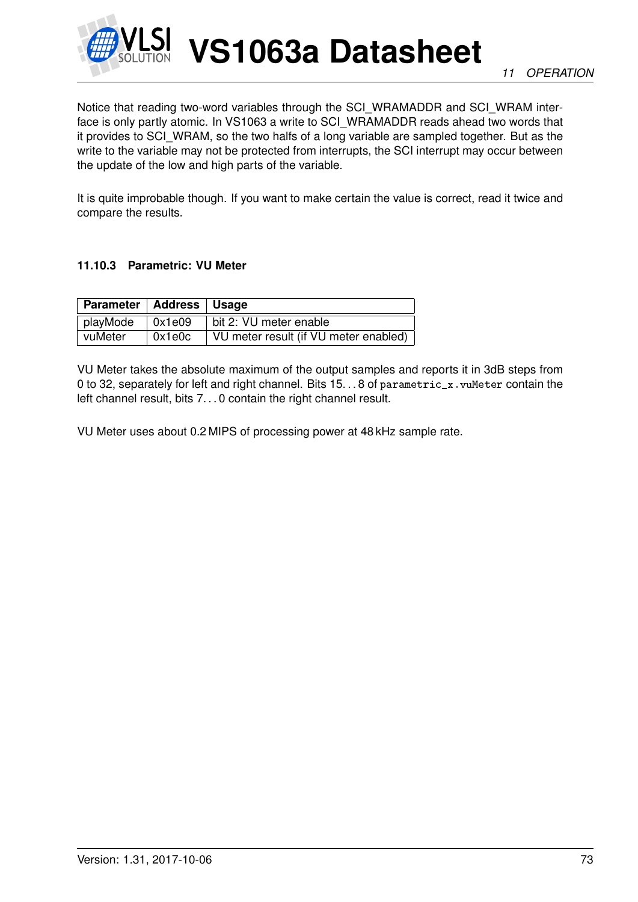

Notice that reading two-word variables through the SCI\_WRAMADDR and SCI\_WRAM interface is only partly atomic. In VS1063 a write to SCI\_WRAMADDR reads ahead two words that it provides to SCI\_WRAM, so the two halfs of a long variable are sampled together. But as the write to the variable may not be protected from interrupts, the SCI interrupt may occur between the update of the low and high parts of the variable.

It is quite improbable though. If you want to make certain the value is correct, read it twice and compare the results.

## **11.10.3 Parametric: VU Meter**

| Parameter   Address   Usage |        |                                       |
|-----------------------------|--------|---------------------------------------|
| playMode                    | 0x1e09 | bit 2: VU meter enable                |
| vuMeter                     | 0x1e0c | VU meter result (if VU meter enabled) |

VU Meter takes the absolute maximum of the output samples and reports it in 3dB steps from 0 to 32, separately for left and right channel. Bits 15. . . 8 of parametric x. vuMeter contain the left channel result, bits 7...0 contain the right channel result.

VU Meter uses about 0.2 MIPS of processing power at 48 kHz sample rate.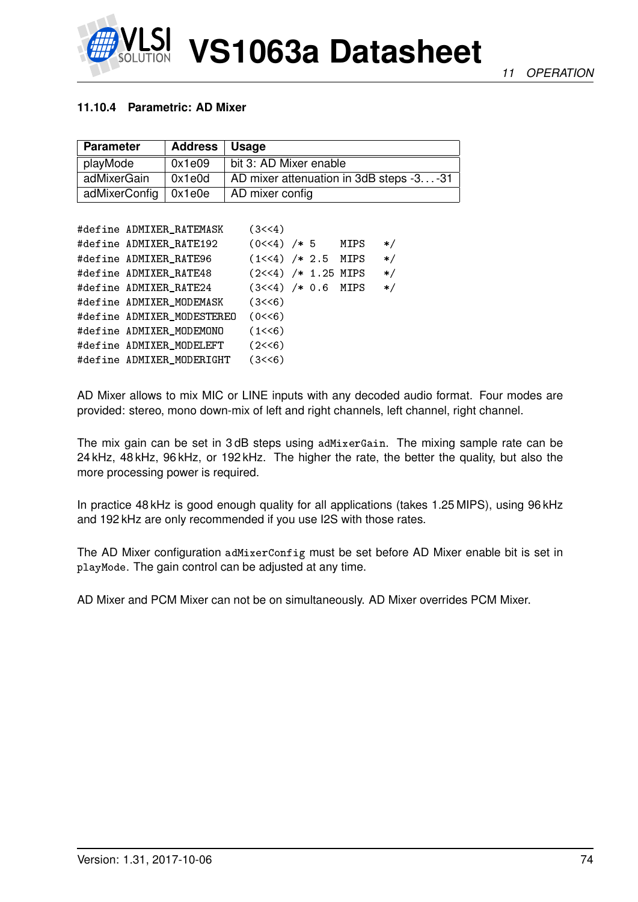

### **11.10.4 Parametric: AD Mixer**

| <b>Parameter</b>       | Address   Usage |                                         |
|------------------------|-----------------|-----------------------------------------|
| playMode               | 0x1e09          | bit 3: AD Mixer enable                  |
| adMixerGain            | 0x1e0d          | AD mixer attenuation in 3dB steps -3-31 |
| adMixerConfig   0x1e0e |                 | AD mixer config                         |

| #define ADMIXER_RATEMASK   | (3<<4)                |  |         |
|----------------------------|-----------------------|--|---------|
| #define ADMIXER_RATE192    | $(0<<4)$ /* 5 MIPS    |  | $\ast/$ |
| #define ADMIXER RATE96     | $(1<<4)$ /* 2.5 MIPS  |  | $\ast/$ |
| #define ADMIXER_RATE48     | $(2<<4)$ /* 1.25 MIPS |  | $\ast/$ |
| #define ADMIXER_RATE24     | $(3<<4)$ /* 0.6 MIPS  |  | $\ast/$ |
| #define ADMIXER_MODEMASK   | (3 < 6)               |  |         |
| #define ADMIXER MODESTEREO | (0<6)                 |  |         |
| #define ADMIXER MODEMONO   | (1<6)                 |  |         |
| #define ADMIXER MODELEFT   | (2<<6)                |  |         |
| #define ADMIXER MODERIGHT  | (3<<6)                |  |         |

AD Mixer allows to mix MIC or LINE inputs with any decoded audio format. Four modes are provided: stereo, mono down-mix of left and right channels, left channel, right channel.

The mix gain can be set in 3 dB steps using adMixerGain. The mixing sample rate can be 24 kHz, 48 kHz, 96 kHz, or 192 kHz. The higher the rate, the better the quality, but also the more processing power is required.

In practice 48 kHz is good enough quality for all applications (takes 1.25 MIPS), using 96 kHz and 192 kHz are only recommended if you use I2S with those rates.

The AD Mixer configuration adMixerConfig must be set before AD Mixer enable bit is set in playMode. The gain control can be adjusted at any time.

AD Mixer and PCM Mixer can not be on simultaneously. AD Mixer overrides PCM Mixer.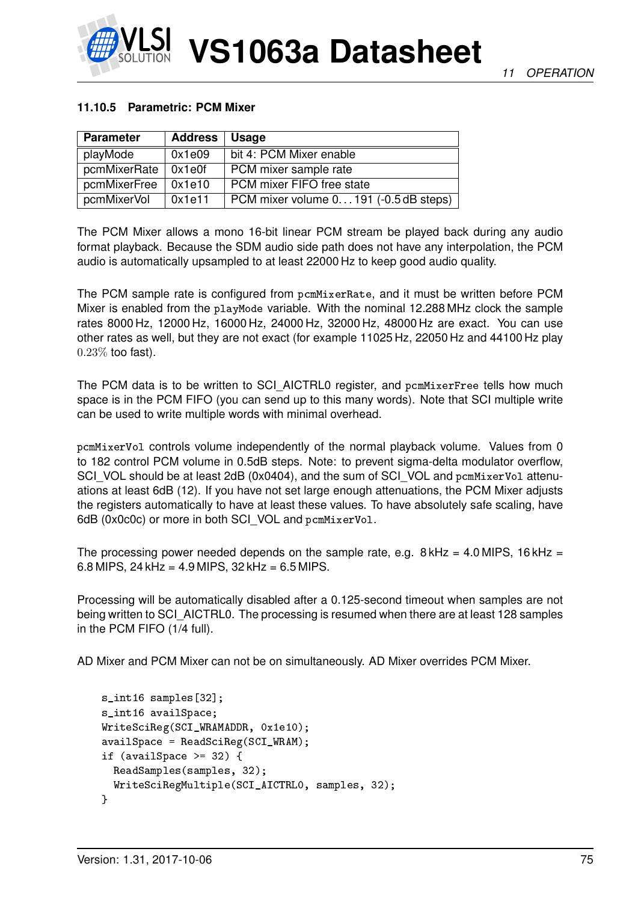

# **11.10.5 Parametric: PCM Mixer**

| <b>Parameter</b>      | <b>Address</b> | Usage                                 |
|-----------------------|----------------|---------------------------------------|
| playMode              | 0x1e09         | bit 4: PCM Mixer enable               |
| pcmMixerRate   0x1e0f |                | PCM mixer sample rate                 |
| pcmMixerFree          | 0x1e10         | PCM mixer FIFO free state             |
| pcmMixerVol           | 0x1e11         | PCM mixer volume 0191 (-0.5 dB steps) |

The PCM Mixer allows a mono 16-bit linear PCM stream be played back during any audio format playback. Because the SDM audio side path does not have any interpolation, the PCM audio is automatically upsampled to at least 22000 Hz to keep good audio quality.

The PCM sample rate is configured from pcmMixerRate, and it must be written before PCM Mixer is enabled from the playMode variable. With the nominal 12.288 MHz clock the sample rates 8000 Hz, 12000 Hz, 16000 Hz, 24000 Hz, 32000 Hz, 48000 Hz are exact. You can use other rates as well, but they are not exact (for example 11025 Hz, 22050 Hz and 44100 Hz play 0.23% too fast).

The PCM data is to be written to SCI\_AICTRL0 register, and pcmMixerFree tells how much space is in the PCM FIFO (you can send up to this many words). Note that SCI multiple write can be used to write multiple words with minimal overhead.

pcmMixerVol controls volume independently of the normal playback volume. Values from 0 to 182 control PCM volume in 0.5dB steps. Note: to prevent sigma-delta modulator overflow, SCI\_VOL should be at least 2dB (0x0404), and the sum of SCI\_VOL and pcmMixerVol attenuations at least 6dB (12). If you have not set large enough attenuations, the PCM Mixer adjusts the registers automatically to have at least these values. To have absolutely safe scaling, have 6dB (0x0c0c) or more in both SCI VOL and pcmMixerVol.

The processing power needed depends on the sample rate, e.g.  $8$  kHz = 4.0 MIPS, 16 kHz = 6.8 MIPS, 24 kHz =  $4.9$  MIPS, 32 kHz =  $6.5$  MIPS.

Processing will be automatically disabled after a 0.125-second timeout when samples are not being written to SCI\_AICTRL0. The processing is resumed when there are at least 128 samples in the PCM FIFO (1/4 full).

AD Mixer and PCM Mixer can not be on simultaneously. AD Mixer overrides PCM Mixer.

```
s_int16 samples[32];
s_int16 availSpace;
WriteSciReg(SCI_WRAMADDR, 0x1e10);
available = ReadSciReg(SCI_WRAM);if (availSpace >= 32) {
 ReadSamples(samples, 32);
 WriteSciRegMultiple(SCI_AICTRL0, samples, 32);
}
```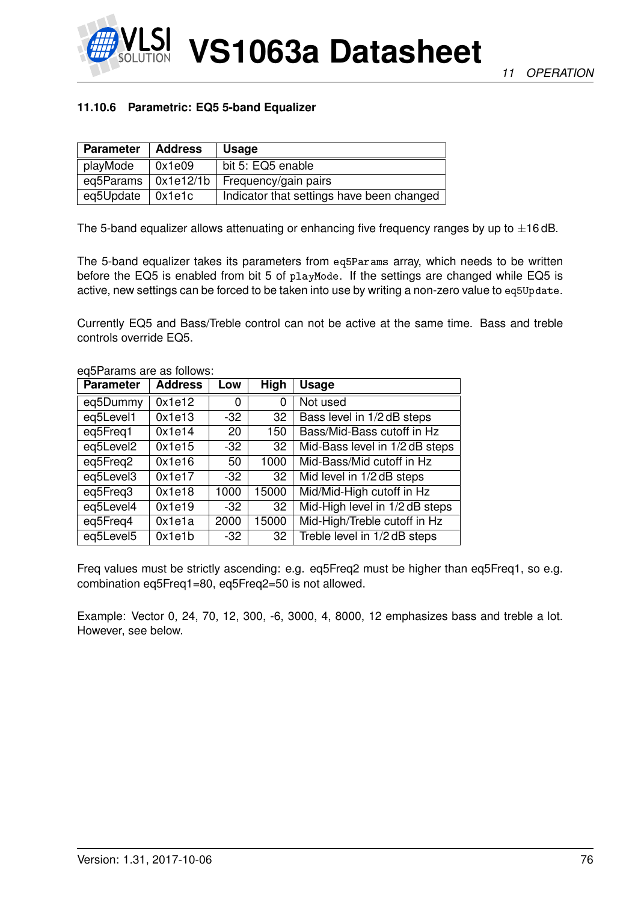

# **11.10.6 Parametric: EQ5 5-band Equalizer**

| <b>Parameter</b>            | <b>Address</b> | <b>Usage</b>                              |
|-----------------------------|----------------|-------------------------------------------|
| playMode                    | 0x1e09         | bit 5: EQ5 enable                         |
| eq5Params $\vert$ 0x1e12/1b |                | Frequency/gain pairs                      |
| eq5Update $\vert$ 0x1e1c    |                | Indicator that settings have been changed |

The 5-band equalizer allows attenuating or enhancing five frequency ranges by up to  $\pm$ 16 dB.

The 5-band equalizer takes its parameters from eq5Params array, which needs to be written before the EQ5 is enabled from bit 5 of playMode. If the settings are changed while EQ5 is active, new settings can be forced to be taken into use by writing a non-zero value to eq5Update.

Currently EQ5 and Bass/Treble control can not be active at the same time. Bass and treble controls override EQ5.

| <b>Parameter</b> | <b>Address</b> | Low   | High  | <b>Usage</b>                   |
|------------------|----------------|-------|-------|--------------------------------|
| eq5Dummy         | 0x1e12         | 0     | 0     | Not used                       |
| eq5Level1        | 0x1e13         | -32   | 32    | Bass level in 1/2 dB steps     |
| eq5Freq1         | 0x1e14         | 20    | 150   | Bass/Mid-Bass cutoff in Hz     |
| eq5Level2        | 0x1e15         | $-32$ | 32    | Mid-Bass level in 1/2 dB steps |
| eq5Freq2         | 0x1e16         | 50    | 1000  | Mid-Bass/Mid cutoff in Hz      |
| eq5Level3        | 0x1e17         | $-32$ | 32    | Mid level in 1/2 dB steps      |
| eq5Freq3         | 0x1e18         | 1000  | 15000 | Mid/Mid-High cutoff in Hz      |
| eq5Level4        | 0x1e19         | $-32$ | 32    | Mid-High level in 1/2 dB steps |
| eq5Freq4         | 0x1e1a         | 2000  | 15000 | Mid-High/Treble cutoff in Hz   |
| eq5Level5        | 0x1e1b         | $-32$ | 32    | Treble level in 1/2 dB steps   |

eq5Params are as follows:

Freq values must be strictly ascending: e.g. eq5Freq2 must be higher than eq5Freq1, so e.g. combination eq5Freq1=80, eq5Freq2=50 is not allowed.

Example: Vector 0, 24, 70, 12, 300, -6, 3000, 4, 8000, 12 emphasizes bass and treble a lot. However, see below.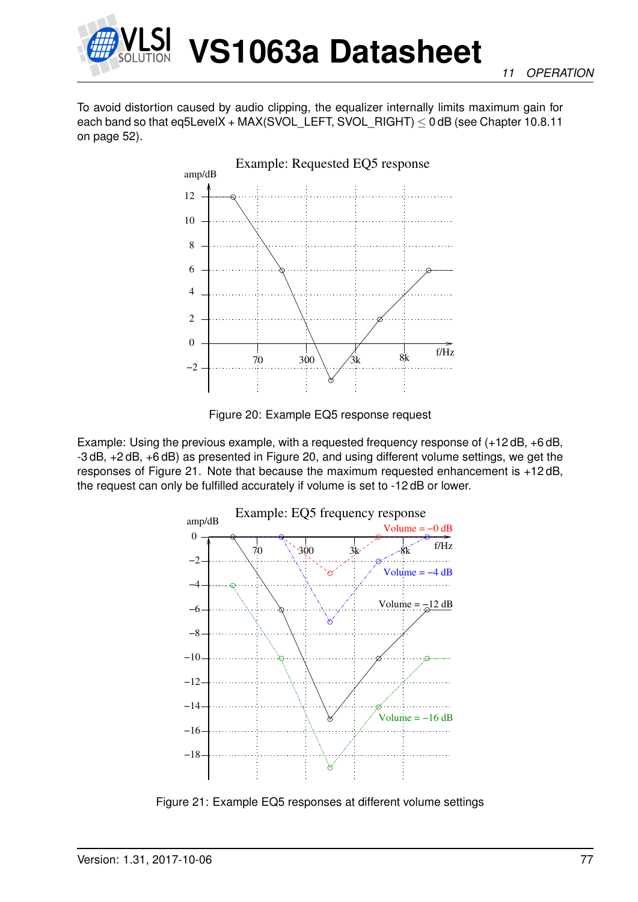

To avoid distortion caused by audio clipping, the equalizer internally limits maximum gain for each band so that eq5LevelX + MAX(SVOL\_LEFT, SVOL\_RIGHT)  $\leq$  0 dB (see Chapter [10.8.11](#page-51-0) on page [52\)](#page-51-0).



<span id="page-76-0"></span>Figure 20: Example EQ5 response request

Example: Using the previous example, with a requested frequency response of (+12 dB, +6 dB, -3 dB, +2 dB, +6 dB) as presented in Figure [20,](#page-76-0) and using different volume settings, we get the responses of Figure [21.](#page-76-1) Note that because the maximum requested enhancement is +12 dB, the request can only be fulfilled accurately if volume is set to -12 dB or lower.



<span id="page-76-1"></span>Figure 21: Example EQ5 responses at different volume settings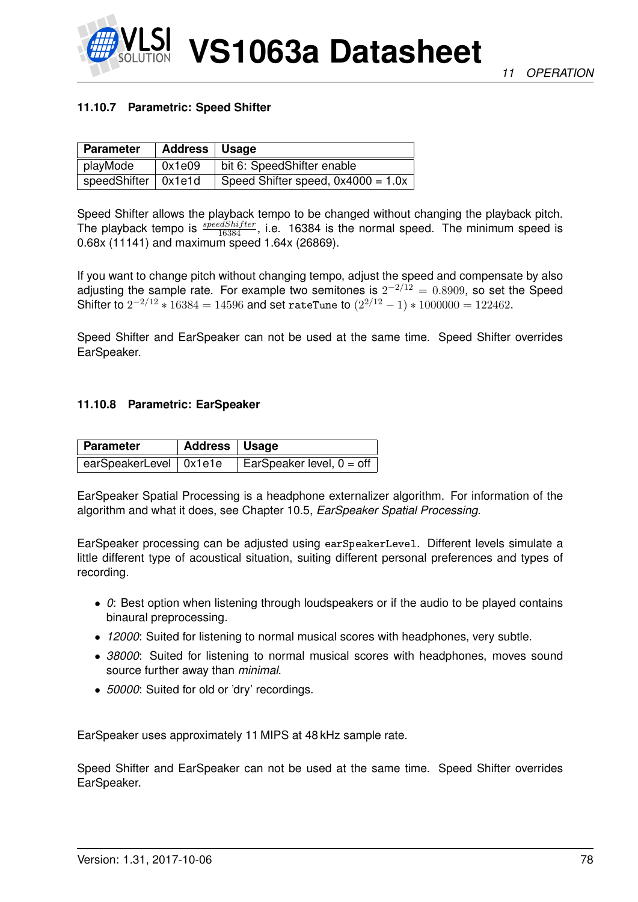

## **11.10.7 Parametric: Speed Shifter**

| <b>Parameter</b>            | Address   Usage |                                      |
|-----------------------------|-----------------|--------------------------------------|
| playMode                    | 0x1e09          | bit 6: SpeedShifter enable           |
| speedShifter $\vert$ 0x1e1d |                 | Speed Shifter speed, $0x4000 = 1.0x$ |

Speed Shifter allows the playback tempo to be changed without changing the playback pitch. The playback tempo is  $\frac{speedShifter}{16384}$ , i.e. 16384 is the normal speed. The minimum speed is 0.68x (11141) and maximum speed 1.64x (26869).

If you want to change pitch without changing tempo, adjust the speed and compensate by also adjusting the sample rate. For example two semitones is  $2^{-2/12} = 0.8909$ , so set the Speed Shifter to  $2^{-2/12}$   $*$  16384 = 14596 and set rateTune to  $(2^{2/12} - 1)$   $*$  1000000 = 122462.

Speed Shifter and EarSpeaker can not be used at the same time. Speed Shifter overrides EarSpeaker.

#### **11.10.8 Parametric: EarSpeaker**

| <b>Parameter</b>         | Address   Usage |                                    |
|--------------------------|-----------------|------------------------------------|
| earSpeakerLevel   0x1e1e |                 | EarSpeaker level, $0 = \text{off}$ |

EarSpeaker Spatial Processing is a headphone externalizer algorithm. For information of the algorithm and what it does, see Chapter [10.5,](#page-39-0) *EarSpeaker Spatial Processing*.

EarSpeaker processing can be adjusted using earSpeakerLevel. Different levels simulate a little different type of acoustical situation, suiting different personal preferences and types of recording.

- *0*: Best option when listening through loudspeakers or if the audio to be played contains binaural preprocessing.
- *12000*: Suited for listening to normal musical scores with headphones, very subtle.
- *38000*: Suited for listening to normal musical scores with headphones, moves sound source further away than *minimal*.
- *50000*: Suited for old or 'dry' recordings.

EarSpeaker uses approximately 11 MIPS at 48 kHz sample rate.

Speed Shifter and EarSpeaker can not be used at the same time. Speed Shifter overrides EarSpeaker.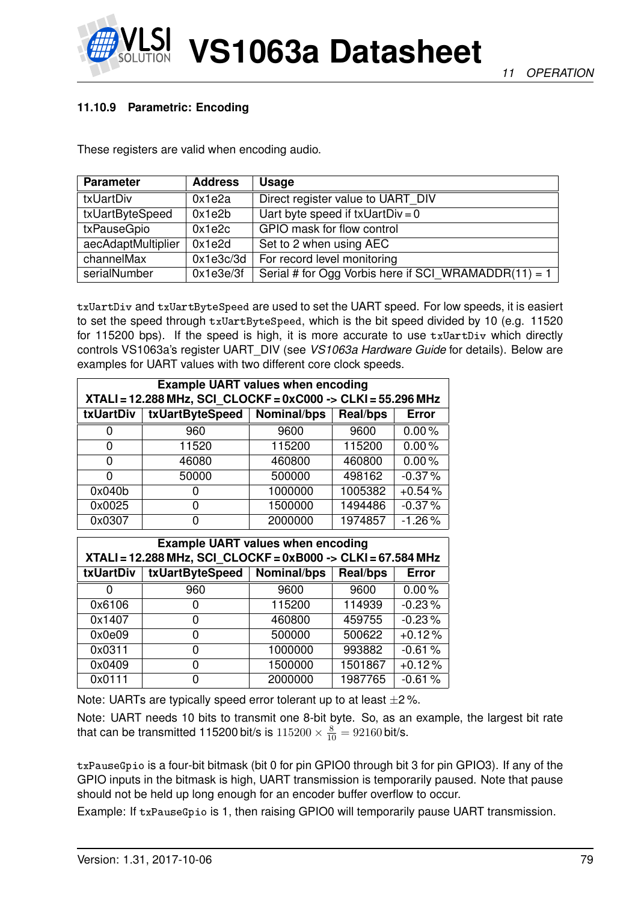



# <span id="page-78-0"></span>**11.10.9 Parametric: Encoding**

These registers are valid when encoding audio.

| <b>Parameter</b>   | <b>Address</b> | <b>Usage</b>                                         |
|--------------------|----------------|------------------------------------------------------|
| txUartDiv          | 0x1e2a         | Direct register value to UART DIV                    |
| txUartByteSpeed    | 0x1e2b         | Uart byte speed if $txUartDiv = 0$                   |
| txPauseGpio        | 0x1e2c         | GPIO mask for flow control                           |
| aecAdaptMultiplier | 0x1e2d         | Set to 2 when using AEC                              |
| channelMax         | 0x1e3c/3d      | For record level monitoring                          |
| serialNumber       | 0x1e3e/3f      | Serial # for Ogg Vorbis here if SCI_WRAMADDR(11) = 1 |

txUartDiv and txUartByteSpeed are used to set the UART speed. For low speeds, it is easiert to set the speed through txUartByteSpeed, which is the bit speed divided by 10 (e.g. 11520 for 115200 bps). If the speed is high, it is more accurate to use  $txUartDiv$  which directly controls VS1063a's register UART\_DIV (see *VS1063a Hardware Guide* for details). Below are examples for UART values with two different core clock speeds.

|           | <b>Example UART values when encoding</b><br>XTALI = 12.288 MHz, SCI CLOCKF = 0xC000 -> CLKI = 55.296 MHz |             |                 |              |  |
|-----------|----------------------------------------------------------------------------------------------------------|-------------|-----------------|--------------|--|
| txUartDiv | txUartByteSpeed                                                                                          | Nominal/bps | <b>Real/bps</b> | <b>Error</b> |  |
| 0         | 960                                                                                                      | 9600        | 9600            | 0.00%        |  |
| 0         | 11520                                                                                                    | 115200      | 115200          | 0.00%        |  |
| 0         | 46080                                                                                                    | 460800      | 460800          | $0.00\%$     |  |
| 0         | 50000                                                                                                    | 500000      | 498162          | $-0.37%$     |  |
| 0x040b    |                                                                                                          | 1000000     | 1005382         | $+0.54%$     |  |
| 0x0025    | O                                                                                                        | 1500000     | 1494486         | $-0.37%$     |  |
| 0x0307    |                                                                                                          | 2000000     | 1974857         | $-1.26%$     |  |

|           | <b>Example UART values when encoding</b>                     |             |                 |              |  |  |  |
|-----------|--------------------------------------------------------------|-------------|-----------------|--------------|--|--|--|
|           | XTALI = 12.288 MHz, SCI_CLOCKF = 0xB000 -> CLKI = 67.584 MHz |             |                 |              |  |  |  |
| txUartDiv | txUartByteSpeed                                              | Nominal/bps | <b>Real/bps</b> | <b>Error</b> |  |  |  |
|           | 960                                                          | 9600        | 9600            | 0.00%        |  |  |  |
| 0x6106    |                                                              | 115200      | 114939          | $-0.23%$     |  |  |  |
| 0x1407    | 0                                                            | 460800      | 459755          | $-0.23%$     |  |  |  |
| 0x0e09    | O                                                            | 500000      | 500622          | $+0.12%$     |  |  |  |
| 0x0311    | 0                                                            | 1000000     | 993882          | $-0.61\%$    |  |  |  |
| 0x0409    | 0                                                            | 1500000     | 1501867         | $+0.12%$     |  |  |  |
| 0x0111    |                                                              | 2000000     | 1987765         | $-0.61%$     |  |  |  |

Note: UARTs are typically speed error tolerant up to at least  $\pm 2\%$ .

Note: UART needs 10 bits to transmit one 8-bit byte. So, as an example, the largest bit rate that can be transmitted 115200 bit/s is  $115200 \times \frac{8}{10} = 92160$  bit/s.

txPauseGpio is a four-bit bitmask (bit 0 for pin GPIO0 through bit 3 for pin GPIO3). If any of the GPIO inputs in the bitmask is high, UART transmission is temporarily paused. Note that pause should not be held up long enough for an encoder buffer overflow to occur.

Example: If txPauseGpio is 1, then raising GPIO0 will temporarily pause UART transmission.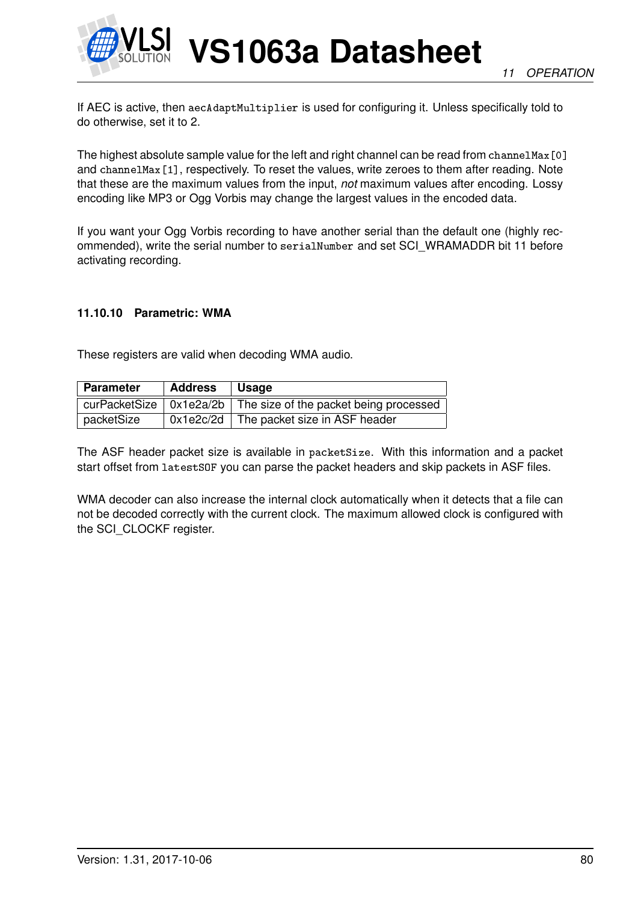

If AEC is active, then aecAdaptMultiplier is used for configuring it. Unless specifically told to do otherwise, set it to 2.

The highest absolute sample value for the left and right channel can be read from channelMax [0] and channelMax[1], respectively. To reset the values, write zeroes to them after reading. Note that these are the maximum values from the input, *not* maximum values after encoding. Lossy encoding like MP3 or Ogg Vorbis may change the largest values in the encoded data.

If you want your Ogg Vorbis recording to have another serial than the default one (highly recommended), write the serial number to serialNumber and set SCI\_WRAMADDR bit 11 before activating recording.

## **11.10.10 Parametric: WMA**

These registers are valid when decoding WMA audio.

| <b>Parameter</b> | Address | ∣Usage                                                                         |
|------------------|---------|--------------------------------------------------------------------------------|
|                  |         | curPacketSize $\vert$ 0x1e2a/2b $\vert$ The size of the packet being processed |
| packetSize       |         | $0x1e2c/2d$ The packet size in ASF header                                      |

The ASF header packet size is available in packetSize. With this information and a packet start offset from latestSOF you can parse the packet headers and skip packets in ASF files.

WMA decoder can also increase the internal clock automatically when it detects that a file can not be decoded correctly with the current clock. The maximum allowed clock is configured with the SCI\_CLOCKF register.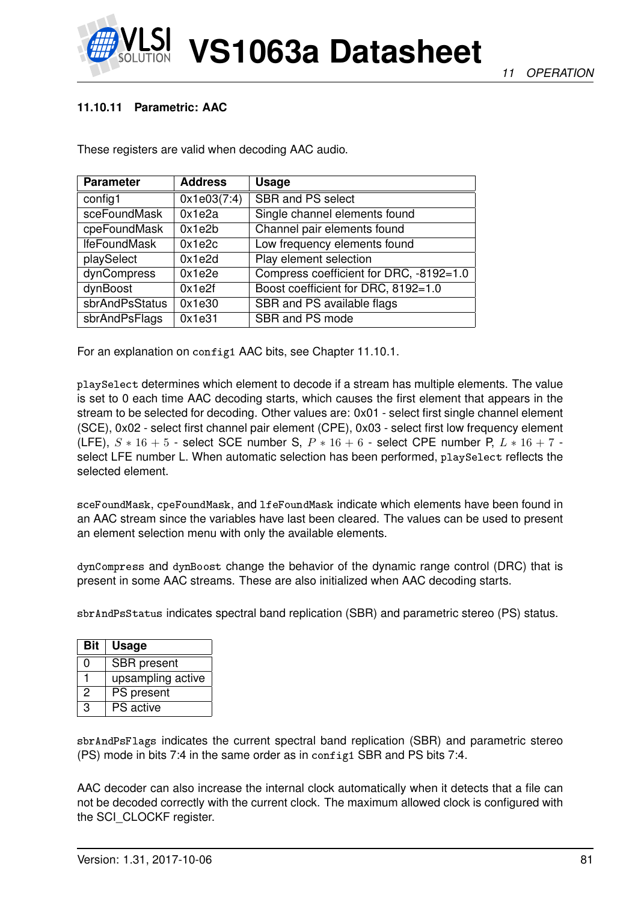

*11 OPERATION*

## **11.10.11 Parametric: AAC**

These registers are valid when decoding AAC audio.

| <b>Parameter</b>    | <b>Address</b> | <b>Usage</b>                            |
|---------------------|----------------|-----------------------------------------|
| config1             | 0x1e03(7:4)    | SBR and PS select                       |
| sceFoundMask        | 0x1e2a         | Single channel elements found           |
| cpeFoundMask        | 0x1e2b         | Channel pair elements found             |
| <b>IfeFoundMask</b> | 0x1e2c         | Low frequency elements found            |
| playSelect          | 0x1e2d         | Play element selection                  |
| dynCompress         | 0x1e2e         | Compress coefficient for DRC, -8192=1.0 |
| dynBoost            | 0x1e2f         | Boost coefficient for DRC, 8192=1.0     |
| sbrAndPsStatus      | 0x1e30         | SBR and PS available flags              |
| sbrAndPsFlags       | 0x1e31         | SBR and PS mode                         |

For an explanation on config1 AAC bits, see Chapter [11.10.1.](#page-69-0)

playSelect determines which element to decode if a stream has multiple elements. The value is set to 0 each time AAC decoding starts, which causes the first element that appears in the stream to be selected for decoding. Other values are: 0x01 - select first single channel element (SCE), 0x02 - select first channel pair element (CPE), 0x03 - select first low frequency element (LFE),  $S * 16 + 5$  - select SCE number S,  $P * 16 + 6$  - select CPE number P,  $L * 16 + 7$  select LFE number L. When automatic selection has been performed, playSelect reflects the selected element.

sceFoundMask, cpeFoundMask, and lfeFoundMask indicate which elements have been found in an AAC stream since the variables have last been cleared. The values can be used to present an element selection menu with only the available elements.

dynCompress and dynBoost change the behavior of the dynamic range control (DRC) that is present in some AAC streams. These are also initialized when AAC decoding starts.

sbrAndPsStatus indicates spectral band replication (SBR) and parametric stereo (PS) status.

| Bit | <b>Usage</b>       |
|-----|--------------------|
| O   | <b>SBR</b> present |
|     | upsampling active  |
| 2   | PS present         |
| З   | <b>PS</b> active   |

sbrAndPsFlags indicates the current spectral band replication (SBR) and parametric stereo (PS) mode in bits 7:4 in the same order as in config1 SBR and PS bits 7:4.

AAC decoder can also increase the internal clock automatically when it detects that a file can not be decoded correctly with the current clock. The maximum allowed clock is configured with the SCI\_CLOCKF register.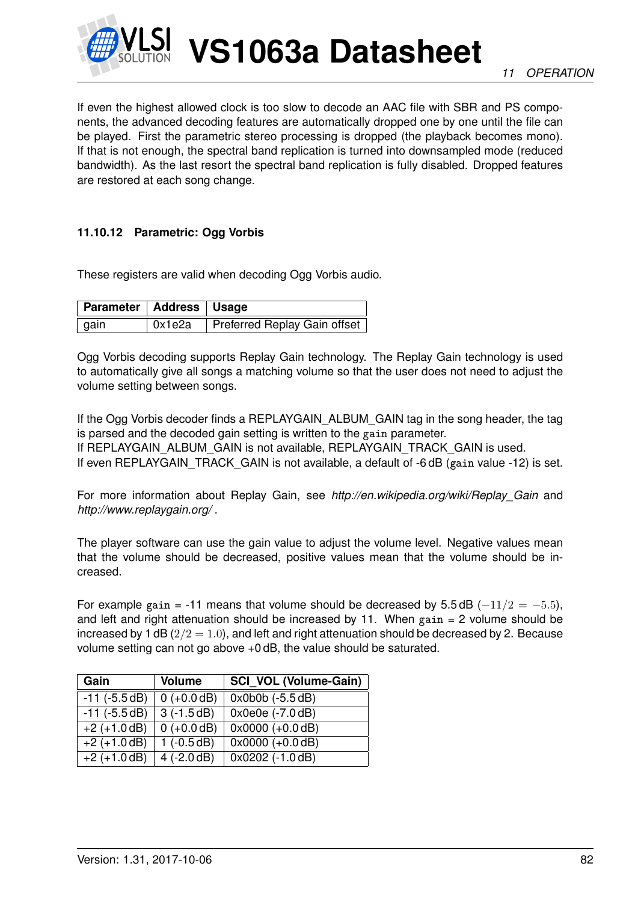

If even the highest allowed clock is too slow to decode an AAC file with SBR and PS components, the advanced decoding features are automatically dropped one by one until the file can be played. First the parametric stereo processing is dropped (the playback becomes mono). If that is not enough, the spectral band replication is turned into downsampled mode (reduced bandwidth). As the last resort the spectral band replication is fully disabled. Dropped features are restored at each song change.

## **11.10.12 Parametric: Ogg Vorbis**

These registers are valid when decoding Ogg Vorbis audio.

| Parameter   Address   Usage |        |                              |
|-----------------------------|--------|------------------------------|
| gain                        | 0x1e2a | Preferred Replay Gain offset |

Ogg Vorbis decoding supports Replay Gain technology. The Replay Gain technology is used to automatically give all songs a matching volume so that the user does not need to adjust the volume setting between songs.

If the Ogg Vorbis decoder finds a REPLAYGAIN\_ALBUM\_GAIN tag in the song header, the tag is parsed and the decoded gain setting is written to the gain parameter. If REPLAYGAIN\_ALBUM\_GAIN is not available, REPLAYGAIN\_TRACK\_GAIN is used. If even REPLAYGAIN TRACK GAIN is not available, a default of -6 dB (gain value -12) is set.

For more information about Replay Gain, see *http://en.wikipedia.org/wiki/Replay\_Gain* and *http://www.replaygain.org/* .

The player software can use the gain value to adjust the volume level. Negative values mean that the volume should be decreased, positive values mean that the volume should be increased.

For example gain = -11 means that volume should be decreased by  $5.5 \text{ dB } (-11/2 = -5.5)$ , and left and right attenuation should be increased by 11. When  $gain = 2$  volume should be increased by 1 dB  $(2/2 = 1.0)$ , and left and right attenuation should be decreased by 2. Because volume setting can not go above +0 dB, the value should be saturated.

| Gain               | <b>Volume</b> | <b>SCI VOL (Volume-Gain)</b> |
|--------------------|---------------|------------------------------|
| $-11$ ( $-5.5$ dB) | $0 (+0.0 dB)$ | $0x0b0b$ ( $-5.5dB$ )        |
| $-11$ ( $-5.5dB$ ) | $3(-1.5dB)$   | 0x0e0e (-7.0 dB)             |
| $+2 (+1.0 dB)$     | $0 (+0.0 dB)$ | $0x0000 (+0.0 dB)$           |
| $+2 (+1.0 dB)$     | $1(-0.5dB)$   | $0x0000 (+0.0 dB)$           |
| $+2 (+1.0 dB)$     | $4 (-2.0 dB)$ | $0x0202$ (-1.0 dB)           |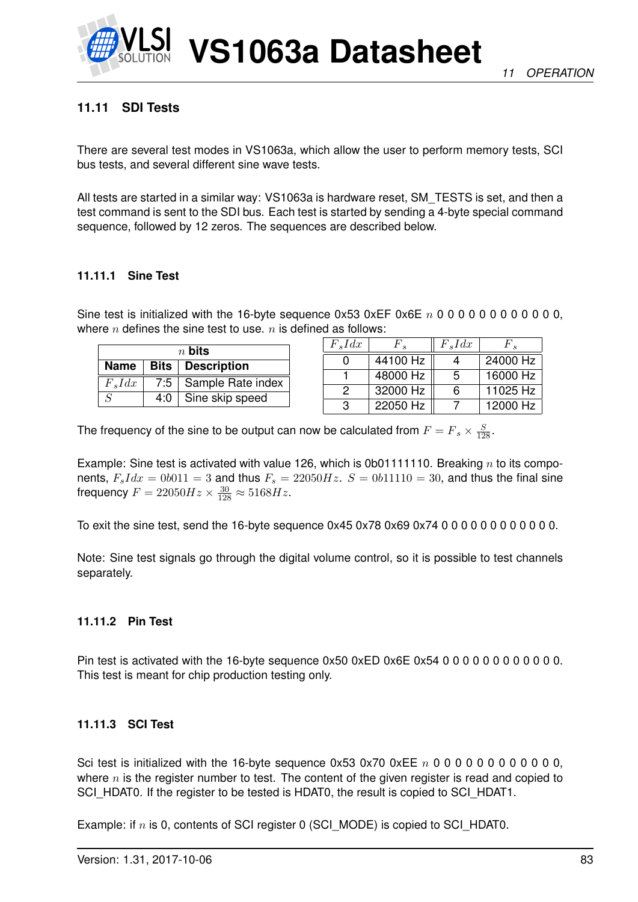

# <span id="page-82-0"></span>**11.11 SDI Tests**

There are several test modes in VS1063a, which allow the user to perform memory tests, SCI bus tests, and several different sine wave tests.

All tests are started in a similar way: VS1063a is hardware reset, SM\_TESTS is set, and then a test command is sent to the SDI bus. Each test is started by sending a 4-byte special command sequence, followed by 12 zeros. The sequences are described below.

# **11.11.1 Sine Test**

Sine test is initialized with the 16-byte sequence  $0x53$   $0xEF$   $0x6E$   $n 0 0 0 0 0 0 0 0 0 0 0 0$ , where  $n$  defines the sine test to use.  $n$  is defined as follows:

| $n$ bits                  |  |                                  |  |
|---------------------------|--|----------------------------------|--|
| Name   Bits   Description |  |                                  |  |
| $F_s I dx$                |  | 7:5   Sample Rate index          |  |
| $\varsigma$               |  | $\overline{4:0}$ Sine skip speed |  |

| $F_s I dx$ | $F_{\rm e}$ | $F_s I dx$ | $F$ .    |
|------------|-------------|------------|----------|
|            | 44100 Hz    |            | 24000 Hz |
|            | 48000 Hz    | -5         | 16000 Hz |
| 2          | 32000 Hz    | հ          | 11025 Hz |
| З          | 22050 Hz    |            | 12000 Hz |

The frequency of the sine to be output can now be calculated from  $F = F_s \times \frac{S}{128}$ .

Example: Sine test is activated with value 126, which is 0b011111110. Breaking  $n$  to its components,  $F_s I dx = 0b011 = 3$  and thus  $F_s = 22050 Hz$ .  $S = 0b11110 = 30$ , and thus the final sine frequency  $F = 22050Hz \times \frac{30}{128} \approx 5168Hz$ .

To exit the sine test, send the 16-byte sequence 0x45 0x78 0x69 0x74 0 0 0 0 0 0 0 0 0 0 0 0.

Note: Sine test signals go through the digital volume control, so it is possible to test channels separately.

# **11.11.2 Pin Test**

Pin test is activated with the 16-byte sequence 0x50 0xED 0x6E 0x54 0 0 0 0 0 0 0 0 0 0 0 0. This test is meant for chip production testing only.

# **11.11.3 SCI Test**

Sci test is initialized with the 16-byte sequence 0x53 0x70 0xEE  $n \times 0 \times 0$  0 0 0 0 0 0 0 0 0, where  $n$  is the register number to test. The content of the given register is read and copied to SCI\_HDAT0. If the register to be tested is HDAT0, the result is copied to SCI\_HDAT1.

Example: if  $n$  is 0, contents of SCI register 0 (SCI\_MODE) is copied to SCI\_HDAT0.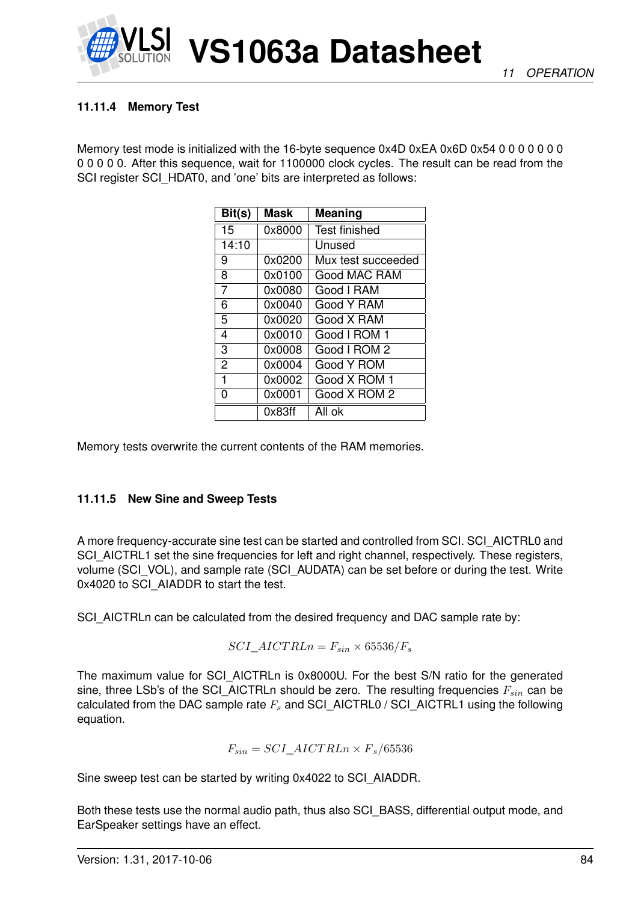

# **11.11.4 Memory Test**

Memory test mode is initialized with the 16-byte sequence 0x4D 0xEA 0x6D 0x54 0 0 0 0 0 0 0 0 0 0 0 0. After this sequence, wait for 1100000 clock cycles. The result can be read from the SCI register SCI\_HDAT0, and 'one' bits are interpreted as follows:

| Bit(s)         | Mask   | Meaning              |
|----------------|--------|----------------------|
| 15             | 0x8000 | <b>Test finished</b> |
| 14:10          |        | Unused               |
| 9              | 0x0200 | Mux test succeeded   |
| 8              | 0x0100 | Good MAC RAM         |
| 7              | 0x0080 | Good I RAM           |
| 6              | 0x0040 | Good Y RAM           |
| 5              | 0x0020 | Good X RAM           |
| 4              | 0x0010 | Good I ROM 1         |
| 3              | 0x0008 | Good I ROM 2         |
| $\overline{2}$ | 0x0004 | Good Y ROM           |
| 1              | 0x0002 | Good X ROM 1         |
| 0              | 0x0001 | Good X ROM 2         |
|                | 0x83ff | All ok               |

Memory tests overwrite the current contents of the RAM memories.

# **11.11.5 New Sine and Sweep Tests**

A more frequency-accurate sine test can be started and controlled from SCI. SCI\_AICTRL0 and SCI\_AICTRL1 set the sine frequencies for left and right channel, respectively. These registers, volume (SCI\_VOL), and sample rate (SCI\_AUDATA) can be set before or during the test. Write 0x4020 to SCI\_AIADDR to start the test.

SCI\_AICTRLn can be calculated from the desired frequency and DAC sample rate by:

$$
SCI\_AICTRLn = F_{sin} \times 65536/F_s
$$

The maximum value for SCI\_AICTRLn is 0x8000U. For the best S/N ratio for the generated sine, three LSb's of the SCI AICTRLn should be zero. The resulting frequencies  $F_{sin}$  can be calculated from the DAC sample rate  $F_s$  and SCI\_AICTRL0 / SCI\_AICTRL1 using the following equation.

$$
F_{sin} = SCI\_AICTRLn \times F_s/65536
$$

Sine sweep test can be started by writing 0x4022 to SCI\_AIADDR.

Both these tests use the normal audio path, thus also SCI\_BASS, differential output mode, and EarSpeaker settings have an effect.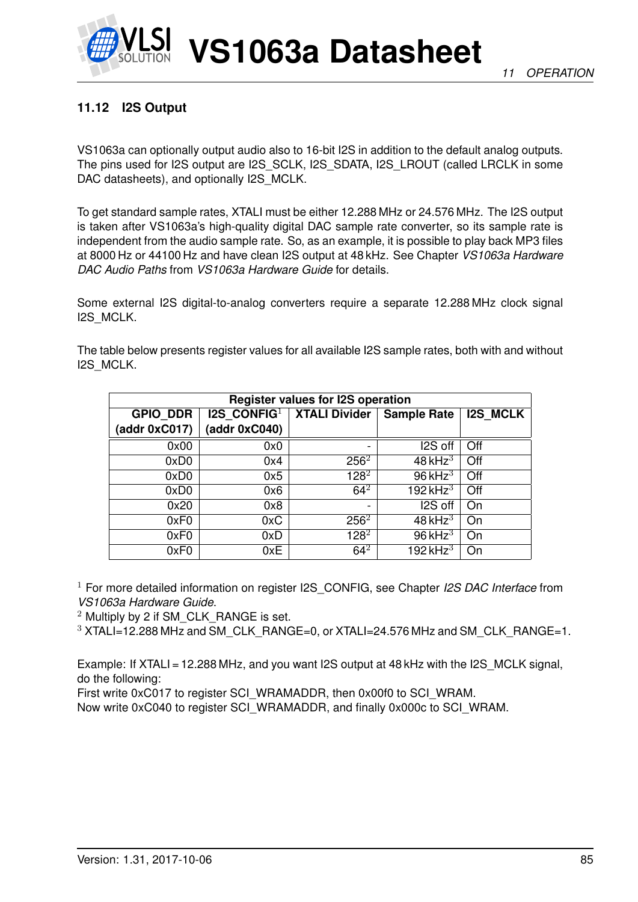

# **11.12 I2S Output**

VS1063a can optionally output audio also to 16-bit I2S in addition to the default analog outputs. The pins used for I2S output are I2S\_SCLK, I2S\_SDATA, I2S\_LROUT (called LRCLK in some DAC datasheets), and optionally I2S MCLK.

To get standard sample rates, XTALI must be either 12.288 MHz or 24.576 MHz. The I2S output is taken after VS1063a's high-quality digital DAC sample rate converter, so its sample rate is independent from the audio sample rate. So, as an example, it is possible to play back MP3 files at 8000 Hz or 44100 Hz and have clean I2S output at 48 kHz. See Chapter *VS1063a Hardware DAC Audio Paths* from *VS1063a Hardware Guide* for details.

Some external I2S digital-to-analog converters require a separate 12.288 MHz clock signal I2S\_MCLK.

The table below presents register values for all available I2S sample rates, both with and without I2S\_MCLK.

| <b>Register values for I2S operation</b> |                                |                      |                       |                 |
|------------------------------------------|--------------------------------|----------------------|-----------------------|-----------------|
| <b>GPIO DDR</b>                          | <b>I2S</b> CONFIG <sup>1</sup> | <b>XTALI Divider</b> | <b>Sample Rate</b>    | <b>I2S MCLK</b> |
| (addr 0xC017)                            | (addr 0xC040)                  |                      |                       |                 |
| 0x00                                     | 0x0                            |                      | I2S off               | Off             |
| 0xD <sub>0</sub>                         | 0x4                            | $256^2$              | $48$ kHz <sup>3</sup> | Off             |
| 0xD <sub>0</sub>                         | 0x5                            | $128^{2}$            | $96$ kHz <sup>3</sup> | Off             |
| 0xD <sub>0</sub>                         | 0x6                            | $64^2$               | 192 kHz $^3$          | Off             |
| 0x20                                     | 0x8                            |                      | I2S off               | On              |
| 0xF0                                     | 0xC                            | $256^2$              | 48 kHz $3$            | On              |
| 0xF0                                     | 0xD                            | $128^{2}$            | $96$ kHz <sup>3</sup> | On              |
| 0xF0                                     | 0xE                            | $64^2$               | 192 $kHz3$            | On              |

<sup>1</sup> For more detailed information on register I2S\_CONFIG, see Chapter *I2S DAC Interface* from *VS1063a Hardware Guide*.

<sup>2</sup> Multiply by 2 if SM\_CLK\_RANGE is set.

 $3$  XTALI=12.288 MHz and SM\_CLK\_RANGE=0, or XTALI=24.576 MHz and SM\_CLK\_RANGE=1.

Example: If XTALI = 12.288 MHz, and you want I2S output at 48 kHz with the I2S MCLK signal, do the following:

First write 0xC017 to register SCI\_WRAMADDR, then 0x00f0 to SCI\_WRAM.

Now write 0xC040 to register SCI\_WRAMADDR, and finally 0x000c to SCI\_WRAM.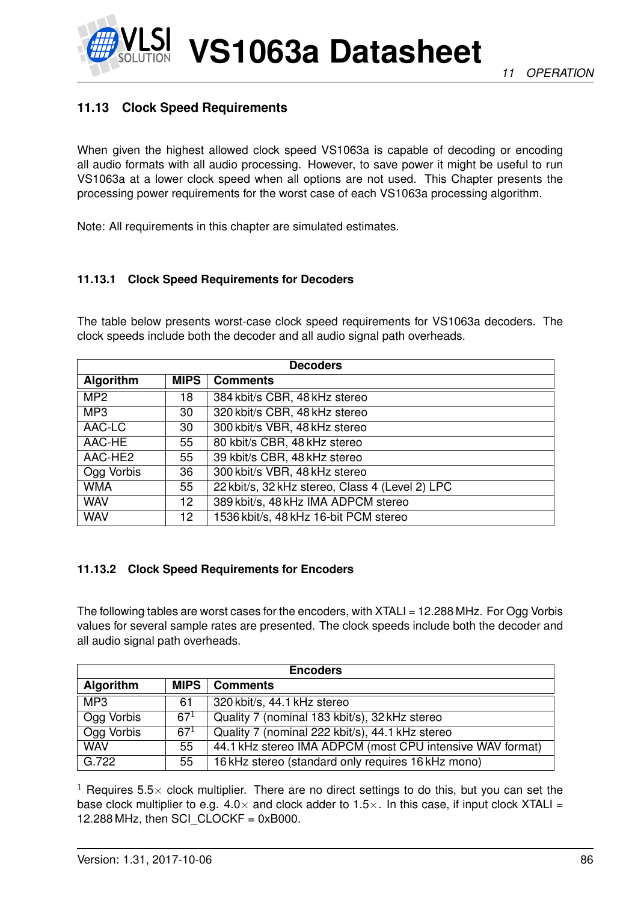# **11.13 Clock Speed Requirements**

When given the highest allowed clock speed VS1063a is capable of decoding or encoding all audio formats with all audio processing. However, to save power it might be useful to run VS1063a at a lower clock speed when all options are not used. This Chapter presents the processing power requirements for the worst case of each VS1063a processing algorithm.

Note: All requirements in this chapter are simulated estimates.

## **11.13.1 Clock Speed Requirements for Decoders**

The table below presents worst-case clock speed requirements for VS1063a decoders. The clock speeds include both the decoder and all audio signal path overheads.

| <b>Decoders</b> |             |                                                 |
|-----------------|-------------|-------------------------------------------------|
| Algorithm       | <b>MIPS</b> | <b>Comments</b>                                 |
| MP <sub>2</sub> | 18          | 384 kbit/s CBR, 48 kHz stereo                   |
| MP <sub>3</sub> | 30          | 320 kbit/s CBR, 48 kHz stereo                   |
| AAC-LC          | 30          | 300 kbit/s VBR, 48 kHz stereo                   |
| AAC-HE          | 55          | 80 kbit/s CBR, 48 kHz stereo                    |
| AAC-HE2         | 55          | 39 kbit/s CBR, 48 kHz stereo                    |
| Ogg Vorbis      | 36          | 300 kbit/s VBR, 48 kHz stereo                   |
| <b>WMA</b>      | 55          | 22 kbit/s, 32 kHz stereo, Class 4 (Level 2) LPC |
| <b>WAV</b>      | 12          | 389 kbit/s, 48 kHz IMA ADPCM stereo             |
| <b>WAV</b>      | 12.         | 1536 kbit/s, 48 kHz 16-bit PCM stereo           |

### **11.13.2 Clock Speed Requirements for Encoders**

The following tables are worst cases for the encoders, with XTALI = 12.288 MHz. For Ogg Vorbis values for several sample rates are presented. The clock speeds include both the decoder and all audio signal path overheads.

| <b>Encoders</b>  |             |                                                           |
|------------------|-------------|-----------------------------------------------------------|
| <b>Algorithm</b> | <b>MIPS</b> | <b>Comments</b>                                           |
| MP <sub>3</sub>  | 61          | 320 kbit/s, 44.1 kHz stereo                               |
| Ogg Vorbis       | $67^{1}$    | Quality 7 (nominal 183 kbit/s), 32 kHz stereo             |
| Ogg Vorbis       | $67^{1}$    | Quality 7 (nominal 222 kbit/s), 44.1 kHz stereo           |
| <b>WAV</b>       | 55          | 44.1 kHz stereo IMA ADPCM (most CPU intensive WAV format) |
| G.722            | 55          | 16 kHz stereo (standard only requires 16 kHz mono)        |

<sup>1</sup> Requires 5.5 $\times$  clock multiplier. There are no direct settings to do this, but you can set the base clock multiplier to e.g.  $4.0 \times$  and clock adder to  $1.5 \times$ . In this case, if input clock XTALI = 12.288 MHz, then SCI $CLOCKF = 0xB000$ .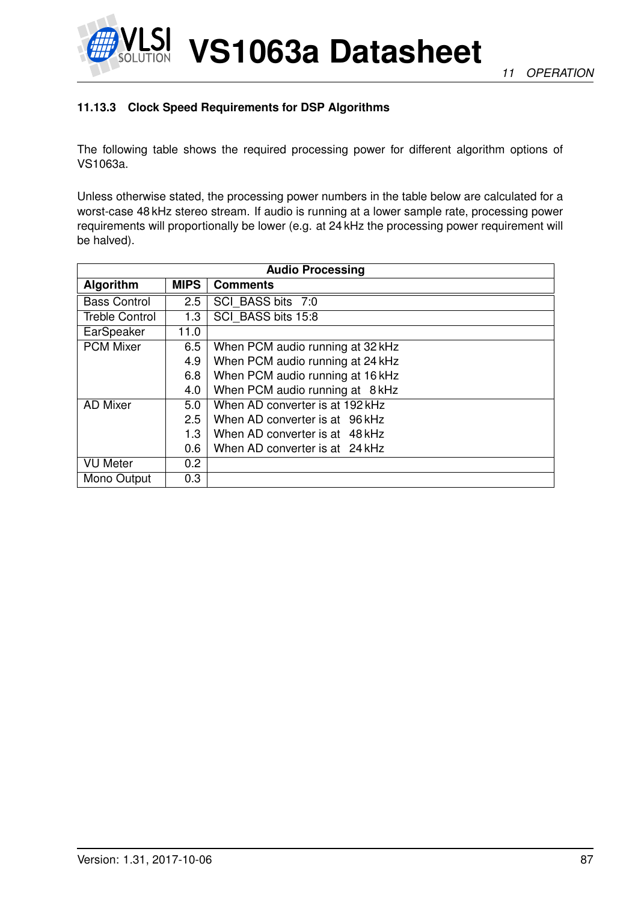

**11.13.3 Clock Speed Requirements for DSP Algorithms**

The following table shows the required processing power for different algorithm options of VS1063a.

**VS1063a Datasheet**

Unless otherwise stated, the processing power numbers in the table below are calculated for a worst-case 48 kHz stereo stream. If audio is running at a lower sample rate, processing power requirements will proportionally be lower (e.g. at 24 kHz the processing power requirement will be halved).

| <b>Audio Processing</b> |             |                                  |
|-------------------------|-------------|----------------------------------|
| Algorithm               | <b>MIPS</b> | <b>Comments</b>                  |
| <b>Bass Control</b>     | 2.5         | SCI BASS bits 7:0                |
| <b>Treble Control</b>   | 1.3         | SCI BASS bits 15:8               |
| EarSpeaker              | 11.0        |                                  |
| <b>PCM Mixer</b>        | 6.5         | When PCM audio running at 32 kHz |
|                         | 4.9         | When PCM audio running at 24 kHz |
|                         | 6.8         | When PCM audio running at 16 kHz |
|                         | 4.0         | When PCM audio running at 8 kHz  |
| <b>AD Mixer</b>         | 5.0         | When AD converter is at 192 kHz  |
|                         | 2.5         | When AD converter is at 96 kHz   |
|                         | 1.3         | When AD converter is at 48 kHz   |
|                         | 0.6         | When AD converter is at 24 kHz   |
| <b>VU</b> Meter         | 0.2         |                                  |
| Mono Output             | 0.3         |                                  |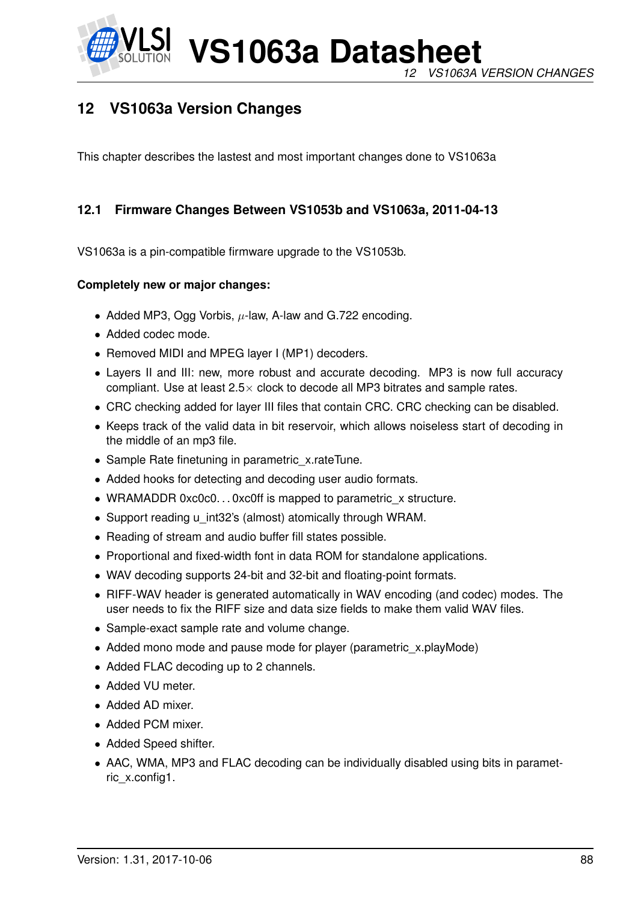

# **12 VS1063a Version Changes**

This chapter describes the lastest and most important changes done to VS1063a

# **12.1 Firmware Changes Between VS1053b and VS1063a, 2011-04-13**

VS1063a is a pin-compatible firmware upgrade to the VS1053b.

#### **Completely new or major changes:**

- Added MP3, Ogg Vorbis,  $\mu$ -law, A-law and G.722 encoding.
- Added codec mode.
- Removed MIDI and MPEG layer I (MP1) decoders.
- Layers II and III: new, more robust and accurate decoding. MP3 is now full accuracy compliant. Use at least  $2.5 \times$  clock to decode all MP3 bitrates and sample rates.
- CRC checking added for layer III files that contain CRC. CRC checking can be disabled.
- Keeps track of the valid data in bit reservoir, which allows noiseless start of decoding in the middle of an mp3 file.
- Sample Rate finetuning in parametric x.rateTune.
- Added hooks for detecting and decoding user audio formats.
- WRAMADDR 0xc0c0...0xc0ff is mapped to parametric x structure.
- Support reading u\_int32's (almost) atomically through WRAM.
- Reading of stream and audio buffer fill states possible.
- Proportional and fixed-width font in data ROM for standalone applications.
- WAV decoding supports 24-bit and 32-bit and floating-point formats.
- RIFF-WAV header is generated automatically in WAV encoding (and codec) modes. The user needs to fix the RIFF size and data size fields to make them valid WAV files.
- Sample-exact sample rate and volume change.
- Added mono mode and pause mode for player (parametric\_x.playMode)
- Added FLAC decoding up to 2 channels.
- Added VU meter.
- Added AD mixer.
- Added PCM mixer.
- Added Speed shifter.
- AAC, WMA, MP3 and FLAC decoding can be individually disabled using bits in parametric\_x.config1.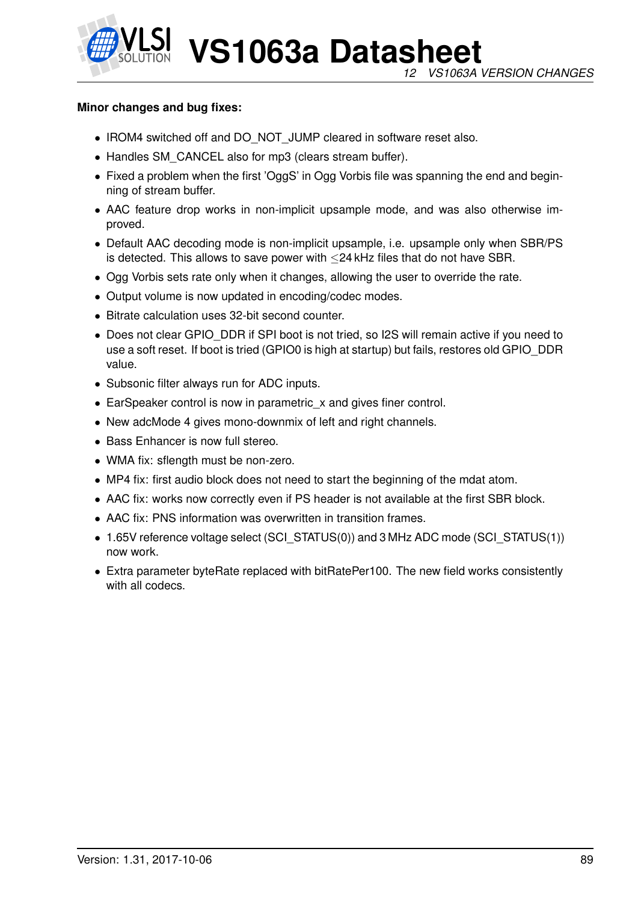

### **Minor changes and bug fixes:**

- IROM4 switched off and DO\_NOT\_JUMP cleared in software reset also.
- Handles SM\_CANCEL also for mp3 (clears stream buffer).
- Fixed a problem when the first 'OggS' in Ogg Vorbis file was spanning the end and beginning of stream buffer.
- AAC feature drop works in non-implicit upsample mode, and was also otherwise improved.
- Default AAC decoding mode is non-implicit upsample, i.e. upsample only when SBR/PS is detected. This allows to save power with ≤24 kHz files that do not have SBR.
- Ogg Vorbis sets rate only when it changes, allowing the user to override the rate.
- Output volume is now updated in encoding/codec modes.
- Bitrate calculation uses 32-bit second counter.
- Does not clear GPIO DDR if SPI boot is not tried, so I2S will remain active if you need to use a soft reset. If boot is tried (GPIO0 is high at startup) but fails, restores old GPIO\_DDR value.
- Subsonic filter always run for ADC inputs.
- EarSpeaker control is now in parametric x and gives finer control.
- New adcMode 4 gives mono-downmix of left and right channels.
- Bass Enhancer is now full stereo.
- WMA fix: sflength must be non-zero.
- MP4 fix: first audio block does not need to start the beginning of the mdat atom.
- AAC fix: works now correctly even if PS header is not available at the first SBR block.
- AAC fix: PNS information was overwritten in transition frames.
- 1.65V reference voltage select (SCI\_STATUS(0)) and 3 MHz ADC mode (SCI\_STATUS(1)) now work.
- Extra parameter byteRate replaced with bitRatePer100. The new field works consistently with all codecs.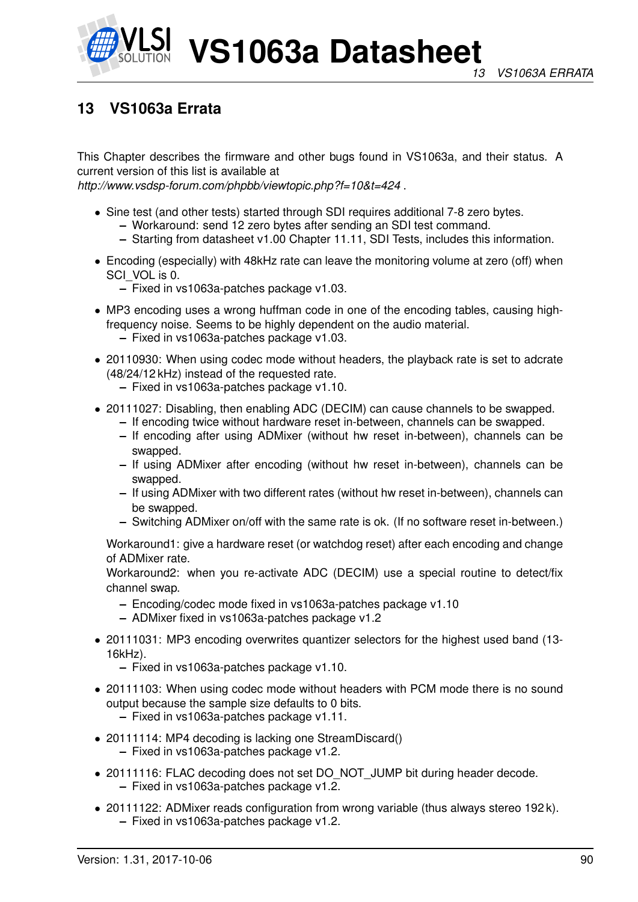

# **13 VS1063a Errata**

This Chapter describes the firmware and other bugs found in VS1063a, and their status. A current version of this list is available at

*http://www.vsdsp-forum.com/phpbb/viewtopic.php?f=10&t=424* .

- Sine test (and other tests) started through SDI requires additional 7-8 zero bytes.
	- **–** Workaround: send 12 zero bytes after sending an SDI test command.
	- **–** Starting from datasheet v1.00 Chapter [11.11,](#page-82-0) SDI Tests, includes this information.
- Encoding (especially) with 48kHz rate can leave the monitoring volume at zero (off) when SCI\_VOL is 0.
	- **–** Fixed in vs1063a-patches package v1.03.
- MP3 encoding uses a wrong huffman code in one of the encoding tables, causing highfrequency noise. Seems to be highly dependent on the audio material. **–** Fixed in vs1063a-patches package v1.03.
- 20110930: When using codec mode without headers, the playback rate is set to adcrate (48/24/12 kHz) instead of the requested rate.
	- **–** Fixed in vs1063a-patches package v1.10.
- 20111027: Disabling, then enabling ADC (DECIM) can cause channels to be swapped.
	- **–** If encoding twice without hardware reset in-between, channels can be swapped.
	- **–** If encoding after using ADMixer (without hw reset in-between), channels can be swapped.
	- **–** If using ADMixer after encoding (without hw reset in-between), channels can be swapped.
	- **–** If using ADMixer with two different rates (without hw reset in-between), channels can be swapped.
	- **–** Switching ADMixer on/off with the same rate is ok. (If no software reset in-between.)

Workaround1: give a hardware reset (or watchdog reset) after each encoding and change of ADMixer rate.

Workaround2: when you re-activate ADC (DECIM) use a special routine to detect/fix channel swap.

- **–** Encoding/codec mode fixed in vs1063a-patches package v1.10
- **–** ADMixer fixed in vs1063a-patches package v1.2
- 20111031: MP3 encoding overwrites quantizer selectors for the highest used band (13- 16kHz).
	- **–** Fixed in vs1063a-patches package v1.10.
- 20111103: When using codec mode without headers with PCM mode there is no sound output because the sample size defaults to 0 bits.
	- **–** Fixed in vs1063a-patches package v1.11.
- 20111114: MP4 decoding is lacking one StreamDiscard()
	- **–** Fixed in vs1063a-patches package v1.2.
- 20111116: FLAC decoding does not set DO\_NOT\_JUMP bit during header decode. **–** Fixed in vs1063a-patches package v1.2.
- 20111122: ADMixer reads configuration from wrong variable (thus always stereo 192k). **–** Fixed in vs1063a-patches package v1.2.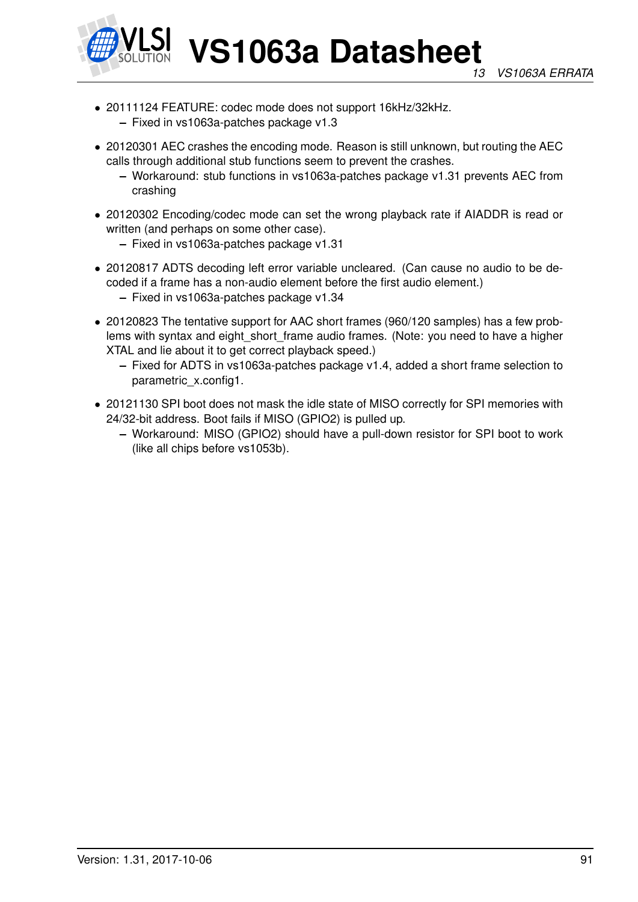

- 20111124 FEATURE: codec mode does not support 16kHz/32kHz.
	- **–** Fixed in vs1063a-patches package v1.3
- 20120301 AEC crashes the encoding mode. Reason is still unknown, but routing the AEC calls through additional stub functions seem to prevent the crashes.
	- **–** Workaround: stub functions in vs1063a-patches package v1.31 prevents AEC from crashing
- 20120302 Encoding/codec mode can set the wrong playback rate if AIADDR is read or written (and perhaps on some other case).
	- **–** Fixed in vs1063a-patches package v1.31
- 20120817 ADTS decoding left error variable uncleared. (Can cause no audio to be decoded if a frame has a non-audio element before the first audio element.)
	- **–** Fixed in vs1063a-patches package v1.34
- 20120823 The tentative support for AAC short frames (960/120 samples) has a few problems with syntax and eight short frame audio frames. (Note: you need to have a higher XTAL and lie about it to get correct playback speed.)
	- **–** Fixed for ADTS in vs1063a-patches package v1.4, added a short frame selection to parametric\_x.config1.
- 20121130 SPI boot does not mask the idle state of MISO correctly for SPI memories with 24/32-bit address. Boot fails if MISO (GPIO2) is pulled up.
	- **–** Workaround: MISO (GPIO2) should have a pull-down resistor for SPI boot to work (like all chips before vs1053b).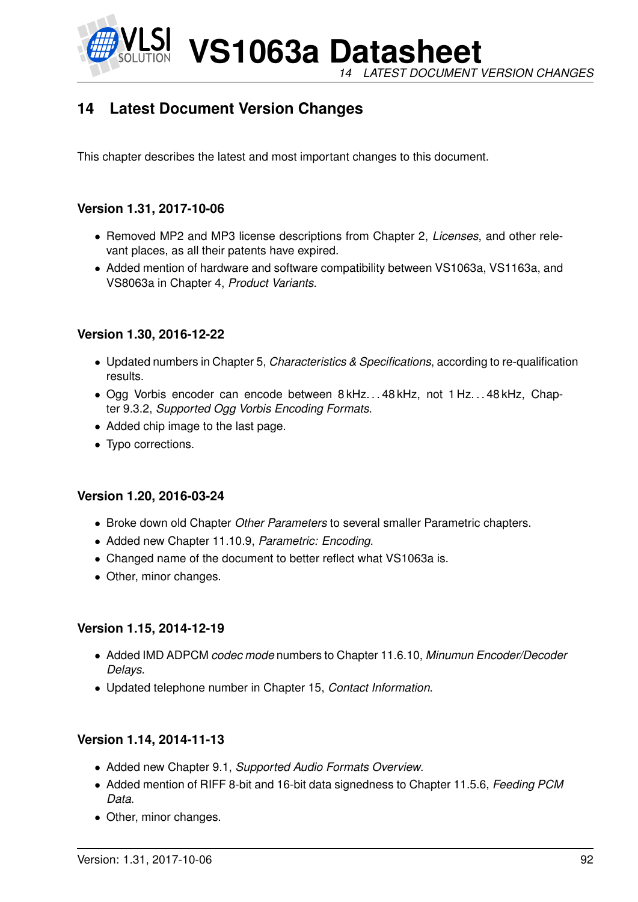

**VS1063a Datasheet** *14 LATEST DOCUMENT VERSION CHANGES*

# **14 Latest Document Version Changes**

This chapter describes the latest and most important changes to this document.

# **Version 1.31, 2017-10-06**

- Removed MP2 and MP3 license descriptions from Chapter [2,](#page-6-0) *Licenses*, and other relevant places, as all their patents have expired.
- Added mention of hardware and software compatibility between VS1063a, VS1163a, and VS8063a in Chapter [4,](#page-7-0) *Product Variants*.

# **Version 1.30, 2016-12-22**

- Updated numbers in Chapter [5,](#page-8-0) *Characteristics & Specifications*, according to re-qualification results.
- Ogg Vorbis encoder can encode between 8 kHz. . . 48 kHz, not 1 Hz. . . 48 kHz, Chapter [9.3.2,](#page-34-0) *Supported Ogg Vorbis Encoding Formats*.
- Added chip image to the last page.
- Typo corrections.

# **Version 1.20, 2016-03-24**

- Broke down old Chapter *Other Parameters* to several smaller Parametric chapters.
- Added new Chapter [11.10.9,](#page-78-0) *Parametric: Encoding*.
- Changed name of the document to better reflect what VS1063a is.
- Other, minor changes.

# **Version 1.15, 2014-12-19**

- Added IMD ADPCM *codec mode* numbers to Chapter [11.6.10,](#page-65-0) *Minumun Encoder/Decoder Delays*.
- Updated telephone number in Chapter [15,](#page-92-0) *Contact Information*.

# **Version 1.14, 2014-11-13**

- Added new Chapter [9.1,](#page-27-0) *Supported Audio Formats Overview*.
- Added mention of RIFF 8-bit and 16-bit data signedness to Chapter [11.5.6,](#page-57-0) *Feeding PCM Data*.
- Other, minor changes.